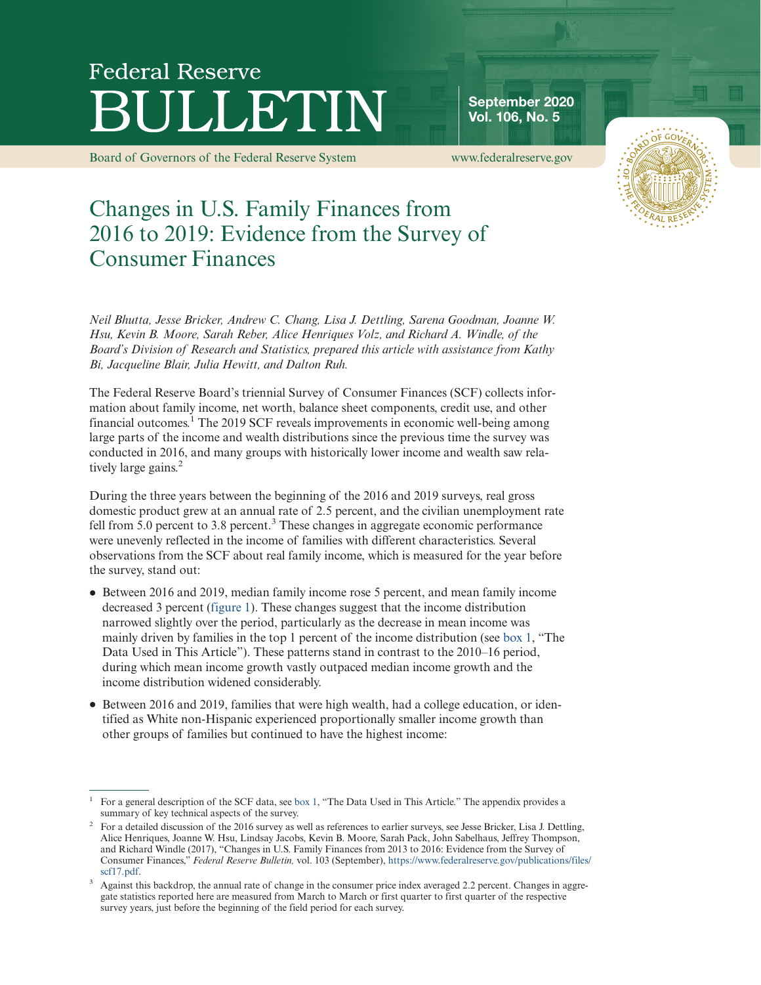# **Federal Reserve** LLETIN

[Board of Governors of the Federal Reserve System www.federalreserve.gov](https://www.federalreserve.gov)

Vol. 106, No. 5

September 2020



# Changes in U.S. Family Finances from 2016 to 2019: Evidence from the Survey of Consumer Finances

*Neil Bhutta, Jesse Bricker, Andrew C. Chang, Lisa J. Dettling, Sarena Goodman, Joanne W. Hsu, Kevin B. Moore, Sarah Reber, Alice Henriques Volz, and Richard A. Windle, of the Board's Division of Research and Statistics, prepared this article with assistance from Kathy Bi, Jacqueline Blair, Julia Hewitt, and Dalton Ruh.*

The Federal Reserve Board's triennial Survey of Consumer Finances (SCF) collects information about family income, net worth, balance sheet components, credit use, and other financial outcomes.<sup>1</sup> The 2019 SCF reveals improvements in economic well-being among large parts of the income and wealth distributions since the previous time the survey was conducted in 2016, and many groups with historically lower income and wealth saw relatively large gains.<sup>2</sup>

During the three years between the beginning of the 2016 and 2019 surveys, real gross domestic product grew at an annual rate of 2.5 percent, and the civilian unemployment rate fell from 5.0 percent to 3.8 percent.<sup>3</sup> These changes in aggregate economic performance were unevenly reflected in the income of families with different characteristics. Several observations from the SCF about real family income, which is measured for the year before the survey, stand out:

- ‰ Between 2016 and 2019, median family income rose 5 percent, and mean family income decreased 3 percent [\(figure 1\)](#page-1-0). These changes suggest that the income distribution narrowed slightly over the period, particularly as the decrease in mean income was mainly driven by families in the top 1 percent of the income distribution (see [box 1,](#page-3-0) "The Data Used in This Article"). These patterns stand in contrast to the 2010–16 period, during which mean income growth vastly outpaced median income growth and the income distribution widened considerably.
- ‰ Between 2016 and 2019, families that were high wealth, had a college education, or identified as White non-Hispanic experienced proportionally smaller income growth than other groups of families but continued to have the highest income:

<sup>1</sup> For a general description of the SCF data, see [box 1,](#page-3-0) "The Data Used in This Article." The appendix provides a summary of key technical aspects of the survey.

<sup>&</sup>lt;sup>2</sup> For a detailed discussion of the 2016 survey as well as references to earlier surveys, see Jesse Bricker, Lisa J. Dettling, Alice Henriques, Joanne W. Hsu, Lindsay Jacobs, Kevin B. Moore, Sarah Pack, John Sabelhaus, Jeffrey Thompson, and Richard Windle (2017), "Changes in U.S. Family Finances from 2013 to 2016: Evidence from the Survey of Consumer Finances," *Federal Reserve Bulletin,* vol. 103 (September), [https://www.federalreserve.gov/publications/files/](https://www.federalreserve.gov/publications/files/scf17.pdf) [scf17.pdf.](https://www.federalreserve.gov/publications/files/scf17.pdf)

Against this backdrop, the annual rate of change in the consumer price index averaged 2.2 percent. Changes in aggregate statistics reported here are measured from March to March or first quarter to first quarter of the respective survey years, just before the beginning of the field period for each survey.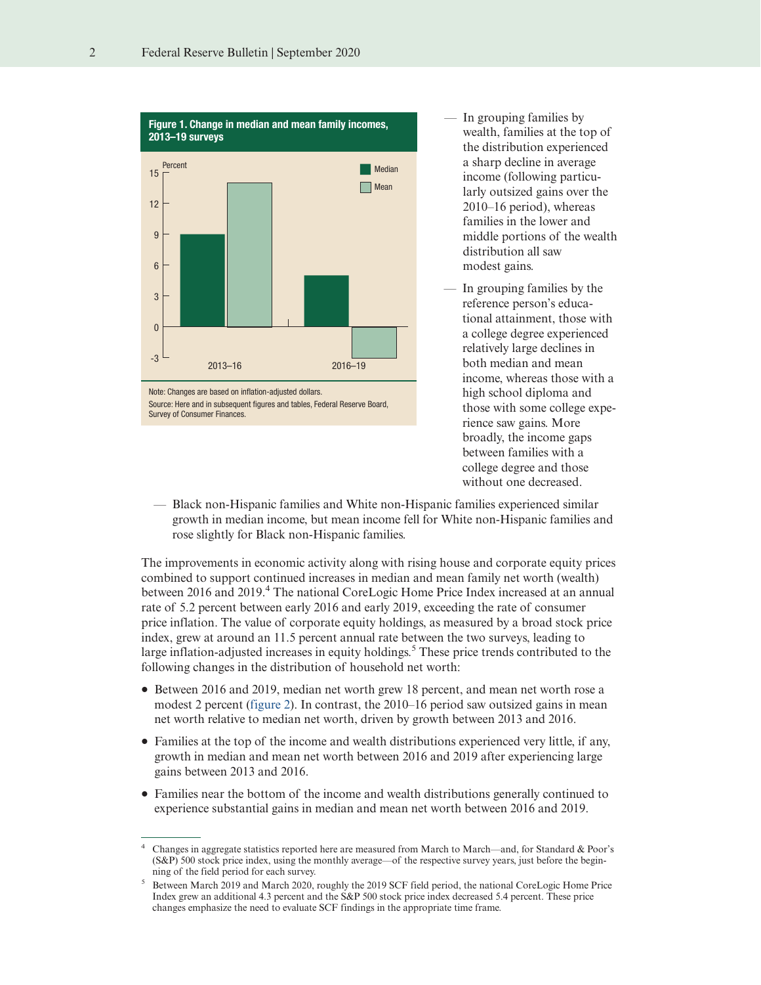<span id="page-1-0"></span>

- In grouping families by wealth, families at the top of the distribution experienced a sharp decline in average income (following particularly outsized gains over the 2010–16 period), whereas families in the lower and middle portions of the wealth distribution all saw modest gains.
- In grouping families by the reference person's educational attainment, those with a college degree experienced relatively large declines in both median and mean income, whereas those with a high school diploma and those with some college experience saw gains. More broadly, the income gaps between families with a college degree and those without one decreased.
- Black non-Hispanic families and White non-Hispanic families experienced similar growth in median income, but mean income fell for White non-Hispanic families and rose slightly for Black non-Hispanic families.

The improvements in economic activity along with rising house and corporate equity prices combined to support continued increases in median and mean family net worth (wealth) between 2016 and 2019.<sup>4</sup> The national CoreLogic Home Price Index increased at an annual rate of 5.2 percent between early 2016 and early 2019, exceeding the rate of consumer price inflation. The value of corporate equity holdings, as measured by a broad stock price index, grew at around an 11.5 percent annual rate between the two surveys, leading to large inflation-adjusted increases in equity holdings.<sup>5</sup> These price trends contributed to the following changes in the distribution of household net worth:

- ‰ Between 2016 and 2019, median net worth grew 18 percent, and mean net worth rose a modest 2 percent [\(figure 2\)](#page-2-0). In contrast, the 2010–16 period saw outsized gains in mean net worth relative to median net worth, driven by growth between 2013 and 2016.
- ‰ Families at the top of the income and wealth distributions experienced very little, if any, growth in median and mean net worth between 2016 and 2019 after experiencing large gains between 2013 and 2016.
- ‰ Families near the bottom of the income and wealth distributions generally continued to experience substantial gains in median and mean net worth between 2016 and 2019.

<sup>4</sup> Changes in aggregate statistics reported here are measured from March to March—and, for Standard & Poor's (S&P) 500 stock price index, using the monthly average—of the respective survey years, just before the beginning of the field period for each survey.

<sup>5</sup> Between March 2019 and March 2020, roughly the 2019 SCF field period, the national CoreLogic Home Price Index grew an additional 4.3 percent and the S&P 500 stock price index decreased 5.4 percent. These price changes emphasize the need to evaluate SCF findings in the appropriate time frame.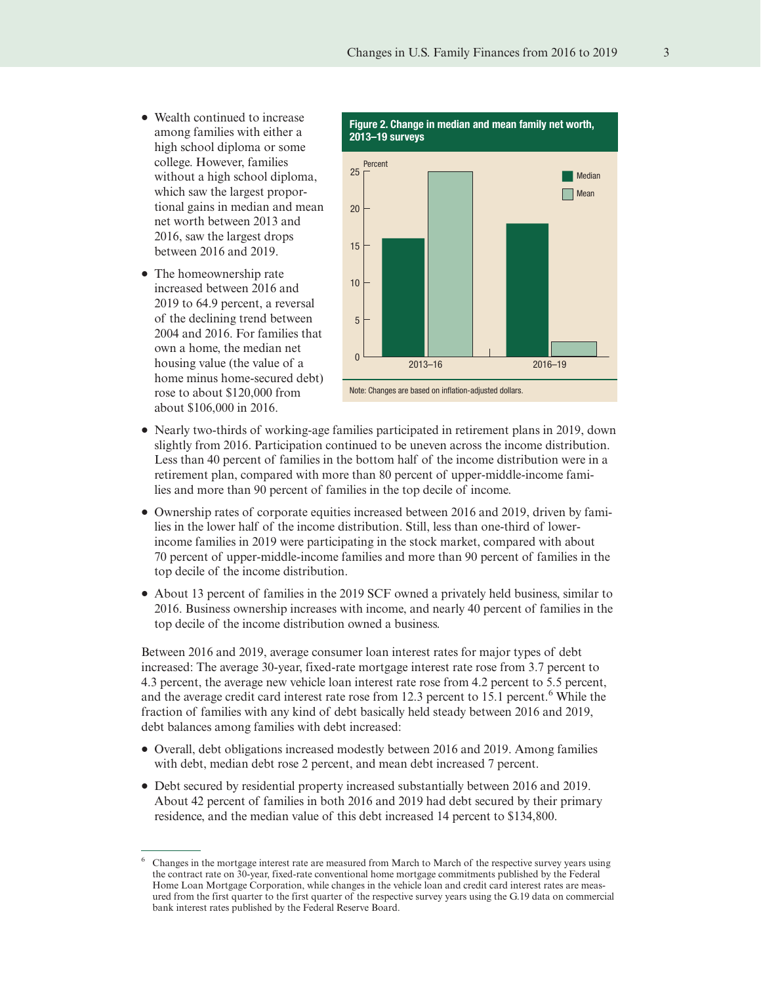- <span id="page-2-0"></span>• Wealth continued to increase among families with either a high school diploma or some college. However, families without a high school diploma, which saw the largest proportional gains in median and mean net worth between 2013 and 2016, saw the largest drops between 2016 and 2019.
- The homeownership rate increased between 2016 and 2019 to 64.9 percent, a reversal of the declining trend between 2004 and 2016. For families that own a home, the median net housing value (the value of a home minus home-secured debt) rose to about \$120,000 from about \$106,000 in 2016.



- ‰ Nearly two-thirds of working-age families participated in retirement plans in 2019, down slightly from 2016. Participation continued to be uneven across the income distribution. Less than 40 percent of families in the bottom half of the income distribution were in a retirement plan, compared with more than 80 percent of upper-middle-income families and more than 90 percent of families in the top decile of income.
- ‰ Ownership rates of corporate equities increased between 2016 and 2019, driven by families in the lower half of the income distribution. Still, less than one-third of lowerincome families in 2019 were participating in the stock market, compared with about 70 percent of upper-middle-income families and more than 90 percent of families in the top decile of the income distribution.
- ‰ About 13 percent of families in the 2019 SCF owned a privately held business, similar to 2016. Business ownership increases with income, and nearly 40 percent of families in the top decile of the income distribution owned a business.

Between 2016 and 2019, average consumer loan interest rates for major types of debt increased: The average 30-year, fixed-rate mortgage interest rate rose from 3.7 percent to 4.3 percent, the average new vehicle loan interest rate rose from 4.2 percent to 5.5 percent, and the average credit card interest rate rose from 12.3 percent to 15.1 percent.<sup>6</sup> While the fraction of families with any kind of debt basically held steady between 2016 and 2019, debt balances among families with debt increased:

- ‰ Overall, debt obligations increased modestly between 2016 and 2019. Among families with debt, median debt rose 2 percent, and mean debt increased 7 percent.
- ‰ Debt secured by residential property increased substantially between 2016 and 2019. About 42 percent of families in both 2016 and 2019 had debt secured by their primary residence, and the median value of this debt increased 14 percent to \$134,800.

<sup>6</sup> Changes in the mortgage interest rate are measured from March to March of the respective survey years using the contract rate on 30-year, fixed-rate conventional home mortgage commitments published by the Federal Home Loan Mortgage Corporation, while changes in the vehicle loan and credit card interest rates are measured from the first quarter to the first quarter of the respective survey years using the G.19 data on commercial bank interest rates published by the Federal Reserve Board.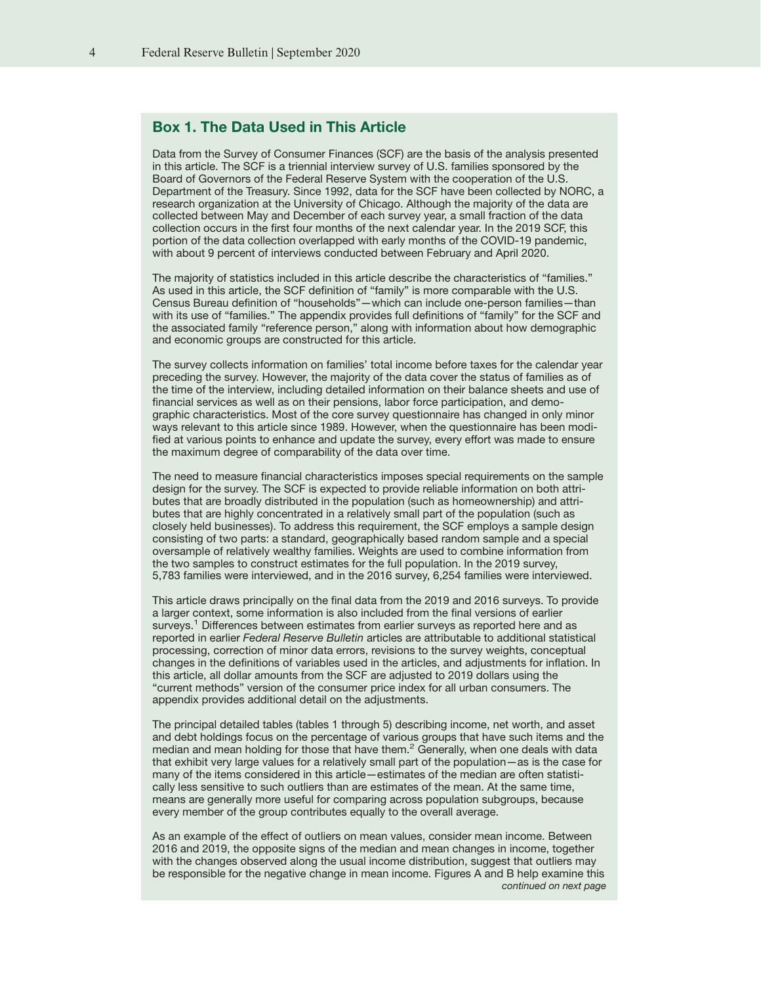# <span id="page-3-0"></span>Box 1. The Data Used in This Article

Data from the Survey of Consumer Finances (SCF) are the basis of the analysis presented in this article. The SCF is a triennial interview survey of U.S. families sponsored by the Board of Governors of the Federal Reserve System with the cooperation of the U.S. Department of the Treasury. Since 1992, data for the SCF have been collected by NORC, a research organization at the University of Chicago. Although the majority of the data are collected between May and December of each survey year, a small fraction of the data collection occurs in the first four months of the next calendar year. In the 2019 SCF, this portion of the data collection overlapped with early months of the COVID-19 pandemic, with about 9 percent of interviews conducted between February and April 2020.

The majority of statistics included in this article describe the characteristics of "families." As used in this article, the SCF definition of "family" is more comparable with the U.S. Census Bureau definition of "households"—which can include one-person families—than with its use of "families." The appendix provides full definitions of "family" for the SCF and the associated family "reference person," along with information about how demographic and economic groups are constructed for this article.

The survey collects information on families' total income before taxes for the calendar year preceding the survey. However, the majority of the data cover the status of families as of the time of the interview, including detailed information on their balance sheets and use of financial services as well as on their pensions, labor force participation, and demographic characteristics. Most of the core survey questionnaire has changed in only minor ways relevant to this article since 1989. However, when the questionnaire has been modified at various points to enhance and update the survey, every effort was made to ensure the maximum degree of comparability of the data over time.

The need to measure financial characteristics imposes special requirements on the sample design for the survey. The SCF is expected to provide reliable information on both attributes that are broadly distributed in the population (such as homeownership) and attributes that are highly concentrated in a relatively small part of the population (such as closely held businesses). To address this requirement, the SCF employs a sample design consisting of two parts: a standard, geographically based random sample and a special oversample of relatively wealthy families. Weights are used to combine information from the two samples to construct estimates for the full population. In the 2019 survey, 5,783 families were interviewed, and in the 2016 survey, 6,254 families were interviewed.

This article draws principally on the final data from the 2019 and 2016 surveys. To provide a larger context, some information is also included from the final versions of earlier surveys.<sup>1</sup> Differences between estimates from earlier surveys as reported here and as reported in earlier Federal Reserve Bulletin articles are attributable to additional statistical processing, correction of minor data errors, revisions to the survey weights, conceptual changes in the definitions of variables used in the articles, and adjustments for inflation. In this article, all dollar amounts from the SCF are adjusted to 2019 dollars using the "current methods" version of the consumer price index for all urban consumers. The appendix provides additional detail on the adjustments.

The principal detailed tables (tables 1 through 5) describing income, net worth, and asset and debt holdings focus on the percentage of various groups that have such items and the median and mean holding for those that have them.<sup>2</sup> Generally, when one deals with data that exhibit very large values for a relatively small part of the population—as is the case for many of the items considered in this article—estimates of the median are often statistically less sensitive to such outliers than are estimates of the mean. At the same time, means are generally more useful for comparing across population subgroups, because every member of the group contributes equally to the overall average.

As an example of the effect of outliers on mean values, consider mean income. Between 2016 and 2019, the opposite signs of the median and mean changes in income, together with the changes observed along the usual income distribution, suggest that outliers may be responsible for the negative change in mean income. Figures A and B help examine this continued on next page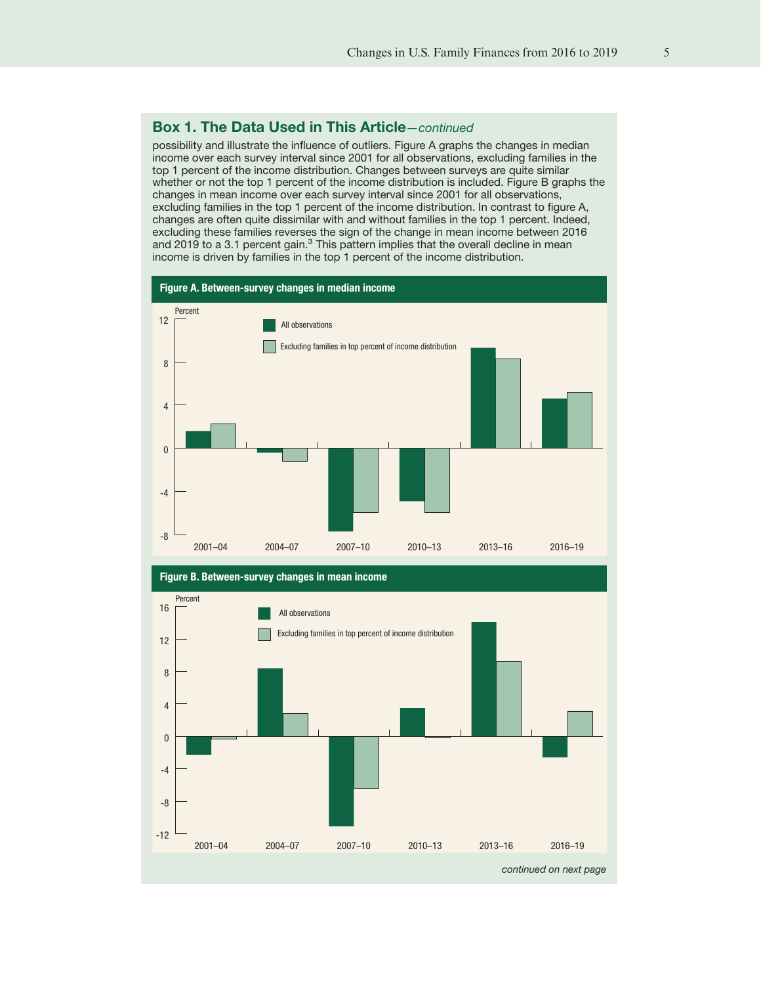# Box 1. The Data Used in This Article—continued

possibility and illustrate the influence of outliers. Figure A graphs the changes in median income over each survey interval since 2001 for all observations, excluding families in the top 1 percent of the income distribution. Changes between surveys are quite similar whether or not the top 1 percent of the income distribution is included. Figure B graphs the changes in mean income over each survey interval since 2001 for all observations, excluding families in the top 1 percent of the income distribution. In contrast to figure A, changes are often quite dissimilar with and without families in the top 1 percent. Indeed, excluding these families reverses the sign of the change in mean income between 2016 and 2019 to a 3.1 percent gain.<sup>3</sup> This pattern implies that the overall decline in mean income is driven by families in the top 1 percent of the income distribution.



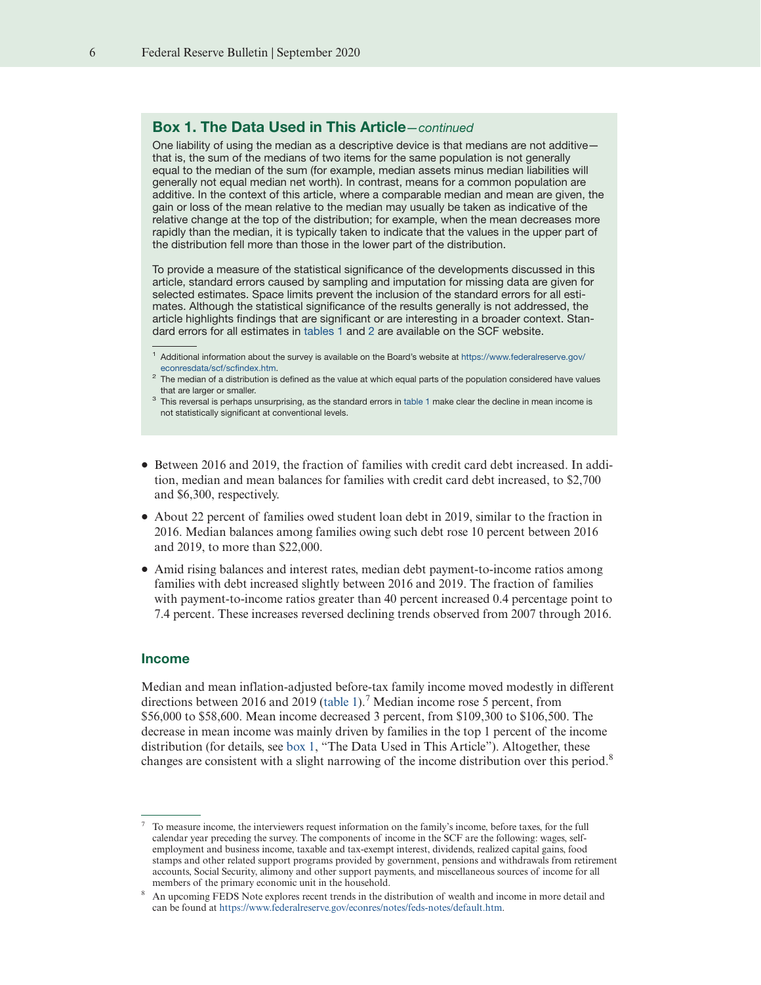# Box 1. The Data Used in This Article—continued

One liability of using the median as a descriptive device is that medians are not additive that is, the sum of the medians of two items for the same population is not generally equal to the median of the sum (for example, median assets minus median liabilities will generally not equal median net worth). In contrast, means for a common population are additive. In the context of this article, where a comparable median and mean are given, the gain or loss of the mean relative to the median may usually be taken as indicative of the relative change at the top of the distribution; for example, when the mean decreases more rapidly than the median, it is typically taken to indicate that the values in the upper part of the distribution fell more than those in the lower part of the distribution.

To provide a measure of the statistical significance of the developments discussed in this article, standard errors caused by sampling and imputation for missing data are given for selected estimates. Space limits prevent the inclusion of the standard errors for all estimates. Although the statistical significance of the results generally is not addressed, the article highlights findings that are significant or are interesting in a broader context. Standard errors for all estimates in [tables 1](#page-6-0) and [2](#page-10-0) are available on the SCF website.

- ‰ Between 2016 and 2019, the fraction of families with credit card debt increased. In addition, median and mean balances for families with credit card debt increased, to \$2,700 and \$6,300, respectively.
- ‰ About 22 percent of families owed student loan debt in 2019, similar to the fraction in 2016. Median balances among families owing such debt rose 10 percent between 2016 and 2019, to more than \$22,000.
- ‰ Amid rising balances and interest rates, median debt payment-to-income ratios among families with debt increased slightly between 2016 and 2019. The fraction of families with payment-to-income ratios greater than 40 percent increased 0.4 percentage point to 7.4 percent. These increases reversed declining trends observed from 2007 through 2016.

#### Income

Median and mean inflation-adjusted before-tax family income moved modestly in different directions between 2016 and 2019 [\(table 1\)](#page-6-0).<sup>7</sup> Median income rose 5 percent, from \$56,000 to \$58,600. Mean income decreased 3 percent, from \$109,300 to \$106,500. The decrease in mean income was mainly driven by families in the top 1 percent of the income distribution (for details, see [box 1,](#page-3-0) "The Data Used in This Article"). Altogether, these changes are consistent with a slight narrowing of the income distribution over this period.<sup>8</sup>

<sup>1</sup> Additional information about the survey is available on the Board's website at [https://www.federalreserve.gov/](http://www.federalreserve.gov/econresdata/scf/scfindex.htm) [econresdata/scf/scfindex.htm.](http://www.federalreserve.gov/econresdata/scf/scfindex.htm)

 $2$  The median of a distribution is defined as the value at which equal parts of the population considered have values that are larger or smaller.

<sup>&</sup>lt;sup>3</sup> This reversal is perhaps unsurprising, as the standard errors in [table 1](#page-6-0) make clear the decline in mean income is not statistically significant at conventional levels.

<sup>7</sup> To measure income, the interviewers request information on the family's income, before taxes, for the full calendar year preceding the survey. The components of income in the SCF are the following: wages, selfemployment and business income, taxable and tax-exempt interest, dividends, realized capital gains, food stamps and other related support programs provided by government, pensions and withdrawals from retirement accounts, Social Security, alimony and other support payments, and miscellaneous sources of income for all members of the primary economic unit in the household.

<sup>8</sup> An upcoming FEDS Note explores recent trends in the distribution of wealth and income in more detail and can be found at [https://www.federalreserve.gov/econres/notes/feds-notes/default.htm.](https://www.federalreserve.gov/econres/notes/feds-notes/default.htm)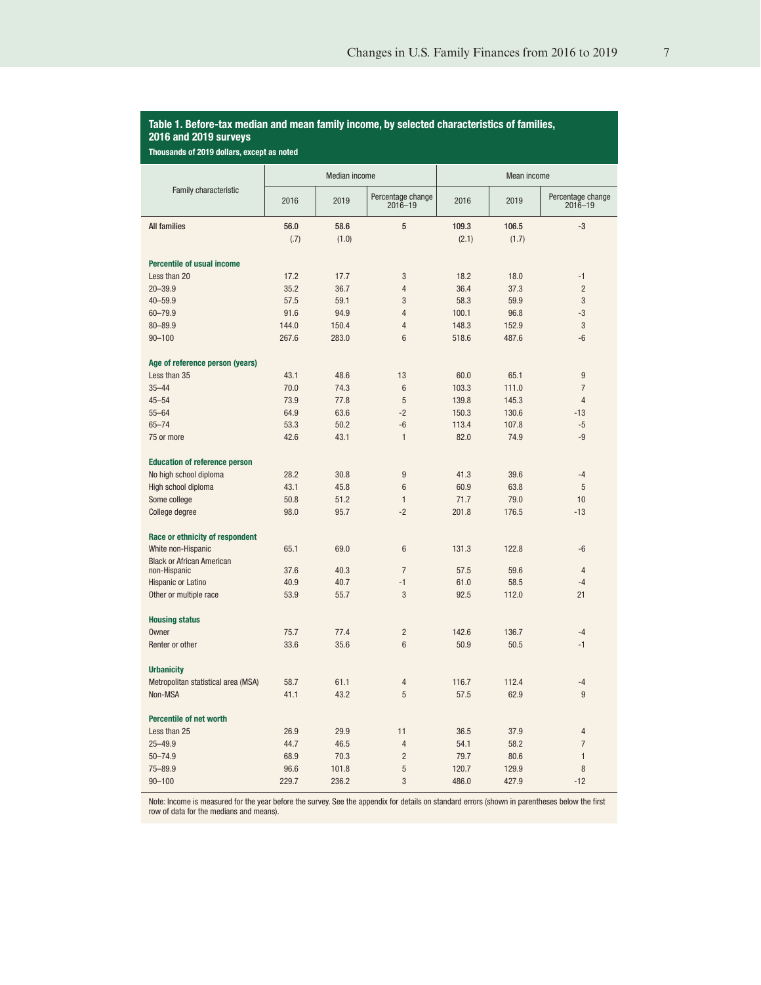# <span id="page-6-0"></span>Table 1. Before-tax median and mean family income, by selected characteristics of families, 2016 and 2019 surveys

Thousands of 2019 dollars, except as noted

|                                      | Median income |       |                                  | Mean income |       |                                  |
|--------------------------------------|---------------|-------|----------------------------------|-------------|-------|----------------------------------|
| Family characteristic                | 2016          | 2019  | Percentage change<br>$2016 - 19$ | 2016        | 2019  | Percentage change<br>$2016 - 19$ |
| <b>All families</b>                  | 56.0          | 58.6  | 5                                | 109.3       | 106.5 | $-3$                             |
|                                      | (.7)          | (1.0) |                                  | (2.1)       | (1.7) |                                  |
| <b>Percentile of usual income</b>    |               |       |                                  |             |       |                                  |
| Less than 20                         | 17.2          | 17.7  | 3                                | 18.2        | 18.0  | $-1$                             |
| $20 - 39.9$                          | 35.2          | 36.7  | $\overline{4}$                   | 36.4        | 37.3  | $\overline{2}$                   |
| $40 - 59.9$                          | 57.5          | 59.1  | 3                                | 58.3        | 59.9  | 3                                |
| 60-79.9                              | 91.6          | 94.9  | $\overline{4}$                   | 100.1       | 96.8  | $-3$                             |
| $80 - 89.9$                          | 144.0         | 150.4 | $\overline{4}$                   | 148.3       | 152.9 | 3                                |
| $90 - 100$                           | 267.6         | 283.0 | 6                                | 518.6       | 487.6 | $-6$                             |
|                                      |               |       |                                  |             |       |                                  |
| Age of reference person (years)      |               |       |                                  |             |       |                                  |
| Less than 35                         | 43.1          | 48.6  | 13                               | 60.0        | 65.1  | $\overline{9}$                   |
| $35 - 44$                            | 70.0          | 74.3  | $6\phantom{1}$                   | 103.3       | 111.0 | $\overline{7}$                   |
| $45 - 54$                            | 73.9          | 77.8  | $\overline{5}$                   | 139.8       | 145.3 | $\overline{4}$                   |
| $55 - 64$                            | 64.9          | 63.6  | $-2$                             | 150.3       | 130.6 | $-13$                            |
| $65 - 74$                            | 53.3          | 50.2  | $-6$                             | 113.4       | 107.8 | $-5$                             |
| 75 or more                           | 42.6          | 43.1  | $\mathbf{1}$                     | 82.0        | 74.9  | $-9$                             |
| <b>Education of reference person</b> |               |       |                                  |             |       |                                  |
| No high school diploma               | 28.2          | 30.8  | 9                                | 41.3        | 39.6  | $-4$                             |
| High school diploma                  | 43.1          | 45.8  | 6                                | 60.9        | 63.8  | 5                                |
| Some college                         | 50.8          | 51.2  | $\mathbf{1}$                     | 71.7        | 79.0  | 10                               |
| College degree                       | 98.0          | 95.7  | $-2$                             | 201.8       | 176.5 | $-13$                            |
| Race or ethnicity of respondent      |               |       |                                  |             |       |                                  |
| White non-Hispanic                   | 65.1          | 69.0  | 6                                | 131.3       | 122.8 | $-6$                             |
| <b>Black or African American</b>     |               |       |                                  |             |       |                                  |
| non-Hispanic                         | 37.6          | 40.3  | $\overline{7}$                   | 57.5        | 59.6  | $\overline{4}$                   |
| Hispanic or Latino                   | 40.9          | 40.7  | $-1$                             | 61.0        | 58.5  | $-4$                             |
| Other or multiple race               | 53.9          | 55.7  | 3                                | 92.5        | 112.0 | 21                               |
| <b>Housing status</b>                |               |       |                                  |             |       |                                  |
| Owner                                | 75.7          | 77.4  | $\overline{2}$                   | 142.6       | 136.7 | $-4$                             |
| Renter or other                      | 33.6          | 35.6  | 6                                | 50.9        | 50.5  | $-1$                             |
|                                      |               |       |                                  |             |       |                                  |
| <b>Urbanicity</b>                    |               |       |                                  |             |       |                                  |
| Metropolitan statistical area (MSA)  | 58.7          | 61.1  | $\overline{4}$                   | 116.7       | 112.4 | $-4$                             |
| Non-MSA                              | 41.1          | 43.2  | 5                                | 57.5        | 62.9  | 9                                |
| <b>Percentile of net worth</b>       |               |       |                                  |             |       |                                  |
| Less than 25                         | 26.9          | 29.9  | 11                               | 36.5        | 37.9  | 4                                |
| $25 - 49.9$                          | 44.7          | 46.5  | 4                                | 54.1        | 58.2  | $\overline{7}$                   |
| $50 - 74.9$                          | 68.9          | 70.3  | $\overline{2}$                   | 79.7        | 80.6  | $\mathbf{1}$                     |
| $75 - 89.9$                          | 96.6          | 101.8 | 5                                | 120.7       | 129.9 | 8                                |
| $90 - 100$                           | 229.7         | 236.2 | 3                                | 486.0       | 427.9 | $-12$                            |

Note: Income is measured for the year before the survey. See the appendix for details on standard errors (shown in parentheses below the first row of data for the medians and means).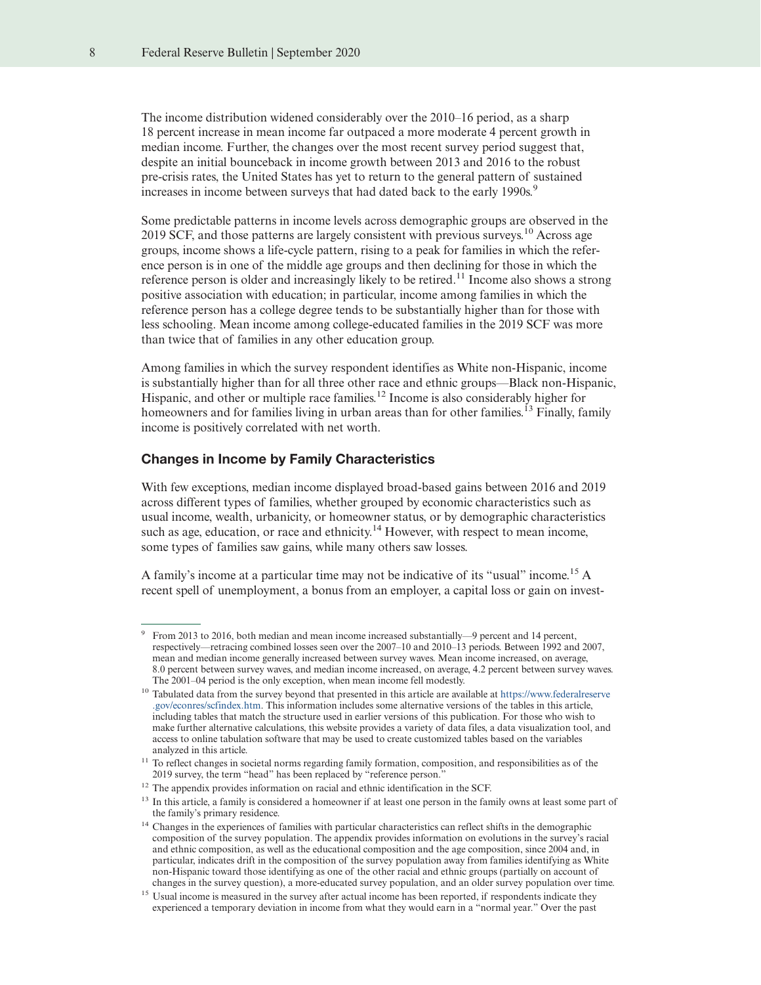The income distribution widened considerably over the 2010–16 period, as a sharp 18 percent increase in mean income far outpaced a more moderate 4 percent growth in median income. Further, the changes over the most recent survey period suggest that, despite an initial bounceback in income growth between 2013 and 2016 to the robust pre-crisis rates, the United States has yet to return to the general pattern of sustained increases in income between surveys that had dated back to the early 1990s.<sup>9</sup>

Some predictable patterns in income levels across demographic groups are observed in the 2019 SCF, and those patterns are largely consistent with previous surveys.<sup>10</sup> Across age groups, income shows a life-cycle pattern, rising to a peak for families in which the reference person is in one of the middle age groups and then declining for those in which the reference person is older and increasingly likely to be retired.<sup>11</sup> Income also shows a strong positive association with education; in particular, income among families in which the reference person has a college degree tends to be substantially higher than for those with less schooling. Mean income among college-educated families in the 2019 SCF was more than twice that of families in any other education group.

Among families in which the survey respondent identifies as White non-Hispanic, income is substantially higher than for all three other race and ethnic groups—Black non-Hispanic, Hispanic, and other or multiple race families.<sup>12</sup> Income is also considerably higher for homeowners and for families living in urban areas than for other families.<sup>13</sup> Finally, family income is positively correlated with net worth.

#### Changes in Income by Family Characteristics

With few exceptions, median income displayed broad-based gains between 2016 and 2019 across different types of families, whether grouped by economic characteristics such as usual income, wealth, urbanicity, or homeowner status, or by demographic characteristics such as age, education, or race and ethnicity.<sup>14</sup> However, with respect to mean income, some types of families saw gains, while many others saw losses.

A family's income at a particular time may not be indicative of its "usual" income.<sup>15</sup> A recent spell of unemployment, a bonus from an employer, a capital loss or gain on invest-

<sup>9</sup> From 2013 to 2016, both median and mean income increased substantially—9 percent and 14 percent, respectively—retracing combined losses seen over the 2007–10 and 2010–13 periods. Between 1992 and 2007, mean and median income generally increased between survey waves. Mean income increased, on average, 8.0 percent between survey waves, and median income increased, on average, 4.2 percent between survey waves. The 2001–04 period is the only exception, when mean income fell modestly.

<sup>10</sup> Tabulated data from the survey beyond that presented in this article are available at [https://www.federalreserve](https://www.federalreserve.gov/econres/scfindex.htm) [.gov/econres/scfindex.htm.](https://www.federalreserve.gov/econres/scfindex.htm) This information includes some alternative versions of the tables in this article, including tables that match the structure used in earlier versions of this publication. For those who wish to make further alternative calculations, this website provides a variety of data files, a data visualization tool, and access to online tabulation software that may be used to create customized tables based on the variables analyzed in this article.

<sup>&</sup>lt;sup>11</sup> To reflect changes in societal norms regarding family formation, composition, and responsibilities as of the 2019 survey, the term "head" has been replaced by "reference person.

<sup>&</sup>lt;sup>12</sup> The appendix provides information on racial and ethnic identification in the SCF.

<sup>&</sup>lt;sup>13</sup> In this article, a family is considered a homeowner if at least one person in the family owns at least some part of the family's primary residence.

<sup>&</sup>lt;sup>14</sup> Changes in the experiences of families with particular characteristics can reflect shifts in the demographic composition of the survey population. The appendix provides information on evolutions in the survey's racial and ethnic composition, as well as the educational composition and the age composition, since 2004 and, in particular, indicates drift in the composition of the survey population away from families identifying as White non-Hispanic toward those identifying as one of the other racial and ethnic groups (partially on account of changes in the survey question), a more-educated survey population, and an older survey population over time.

<sup>&</sup>lt;sup>15</sup> Usual income is measured in the survey after actual income has been reported, if respondents indicate they experienced a temporary deviation in income from what they would earn in a "normal year." Over the past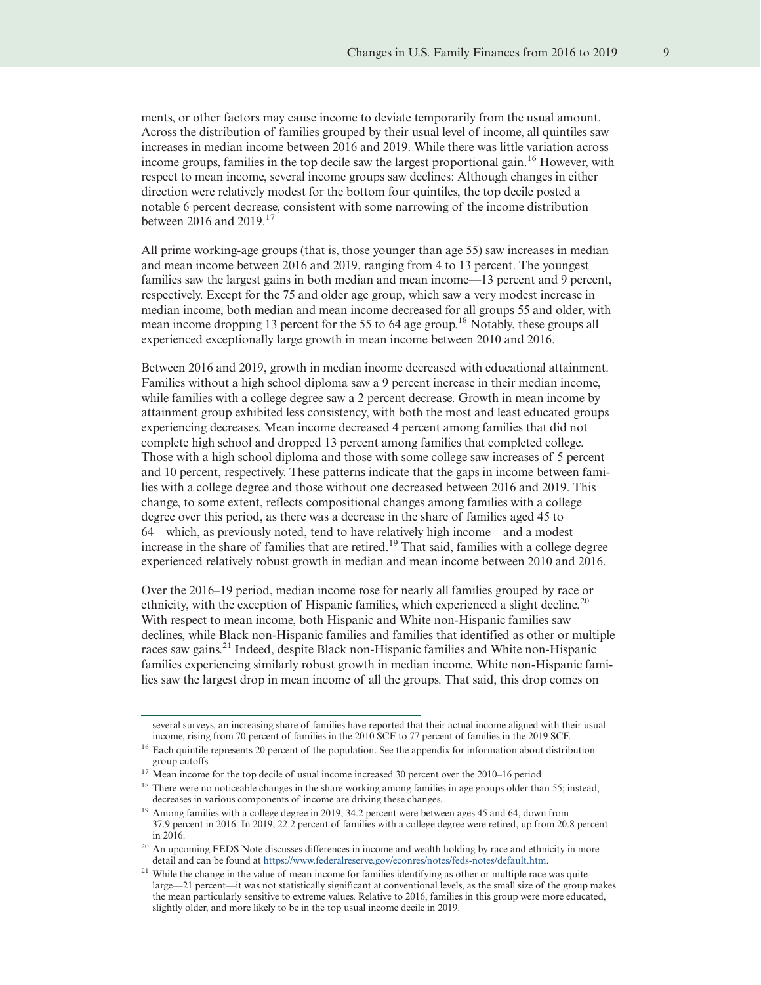ments, or other factors may cause income to deviate temporarily from the usual amount. Across the distribution of families grouped by their usual level of income, all quintiles saw increases in median income between 2016 and 2019. While there was little variation across income groups, families in the top decile saw the largest proportional gain.<sup>16</sup> However, with respect to mean income, several income groups saw declines: Although changes in either direction were relatively modest for the bottom four quintiles, the top decile posted a notable 6 percent decrease, consistent with some narrowing of the income distribution between 2016 and 2019.<sup>17</sup>

All prime working-age groups (that is, those younger than age 55) saw increases in median and mean income between 2016 and 2019, ranging from 4 to 13 percent. The youngest families saw the largest gains in both median and mean income—13 percent and 9 percent, respectively. Except for the 75 and older age group, which saw a very modest increase in median income, both median and mean income decreased for all groups 55 and older, with mean income dropping 13 percent for the 55 to 64 age group.<sup>18</sup> Notably, these groups all experienced exceptionally large growth in mean income between 2010 and 2016.

Between 2016 and 2019, growth in median income decreased with educational attainment. Families without a high school diploma saw a 9 percent increase in their median income, while families with a college degree saw a 2 percent decrease. Growth in mean income by attainment group exhibited less consistency, with both the most and least educated groups experiencing decreases. Mean income decreased 4 percent among families that did not complete high school and dropped 13 percent among families that completed college. Those with a high school diploma and those with some college saw increases of 5 percent and 10 percent, respectively. These patterns indicate that the gaps in income between families with a college degree and those without one decreased between 2016 and 2019. This change, to some extent, reflects compositional changes among families with a college degree over this period, as there was a decrease in the share of families aged 45 to 64—which, as previously noted, tend to have relatively high income—and a modest increase in the share of families that are retired.<sup>19</sup> That said, families with a college degree experienced relatively robust growth in median and mean income between 2010 and 2016.

Over the 2016–19 period, median income rose for nearly all families grouped by race or ethnicity, with the exception of Hispanic families, which experienced a slight decline.<sup>20</sup> With respect to mean income, both Hispanic and White non-Hispanic families saw declines, while Black non-Hispanic families and families that identified as other or multiple races saw gains.<sup>21</sup> Indeed, despite Black non-Hispanic families and White non-Hispanic families experiencing similarly robust growth in median income, White non-Hispanic families saw the largest drop in mean income of all the groups. That said, this drop comes on

several surveys, an increasing share of families have reported that their actual income aligned with their usual income, rising from 70 percent of families in the 2010 SCF to 77 percent of families in the 2019 SCF.

<sup>&</sup>lt;sup>16</sup> Each quintile represents 20 percent of the population. See the appendix for information about distribution group cutoffs.

<sup>&</sup>lt;sup>17</sup> Mean income for the top decile of usual income increased 30 percent over the 2010–16 period.

<sup>&</sup>lt;sup>18</sup> There were no noticeable changes in the share working among families in age groups older than 55; instead, decreases in various components of income are driving these changes.

<sup>&</sup>lt;sup>19</sup> Among families with a college degree in 2019, 34.2 percent were between ages 45 and 64, down from 37.9 percent in 2016. In 2019, 22.2 percent of families with a college degree were retired, up from 20.8 percent in 2016.

<sup>&</sup>lt;sup>20</sup> An upcoming FEDS Note discusses differences in income and wealth holding by race and ethnicity in more detail and can be found at [https://www.federalreserve.gov/econres/notes/feds-notes/default.htm.](https://www.federalreserve.gov/econres/notes/feds-notes/default.htm)

<sup>&</sup>lt;sup>21</sup> While the change in the value of mean income for families identifying as other or multiple race was quite large—21 percent—it was not statistically significant at conventional levels, as the small size of the group makes the mean particularly sensitive to extreme values. Relative to 2016, families in this group were more educated, slightly older, and more likely to be in the top usual income decile in 2019.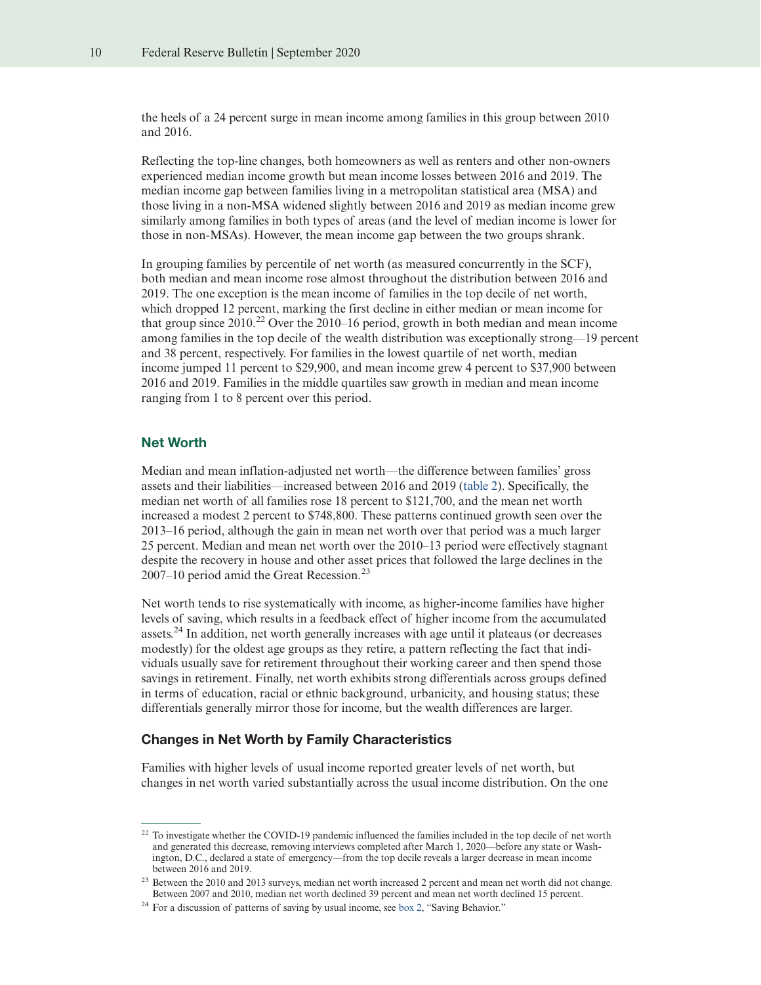the heels of a 24 percent surge in mean income among families in this group between 2010 and 2016.

Reflecting the top-line changes, both homeowners as well as renters and other non-owners experienced median income growth but mean income losses between 2016 and 2019. The median income gap between families living in a metropolitan statistical area (MSA) and those living in a non-MSA widened slightly between 2016 and 2019 as median income grew similarly among families in both types of areas (and the level of median income is lower for those in non-MSAs). However, the mean income gap between the two groups shrank.

In grouping families by percentile of net worth (as measured concurrently in the SCF), both median and mean income rose almost throughout the distribution between 2016 and 2019. The one exception is the mean income of families in the top decile of net worth, which dropped 12 percent, marking the first decline in either median or mean income for that group since 2010.<sup>22</sup> Over the 2010–16 period, growth in both median and mean income among families in the top decile of the wealth distribution was exceptionally strong—19 percent and 38 percent, respectively. For families in the lowest quartile of net worth, median income jumped 11 percent to \$29,900, and mean income grew 4 percent to \$37,900 between 2016 and 2019. Families in the middle quartiles saw growth in median and mean income ranging from 1 to 8 percent over this period.

#### Net Worth

Median and mean inflation-adjusted net worth—the difference between families' gross assets and their liabilities—increased between 2016 and 2019 [\(table 2\)](#page-10-0). Specifically, the median net worth of all families rose 18 percent to \$121,700, and the mean net worth increased a modest 2 percent to \$748,800. These patterns continued growth seen over the 2013–16 period, although the gain in mean net worth over that period was a much larger 25 percent. Median and mean net worth over the 2010–13 period were effectively stagnant despite the recovery in house and other asset prices that followed the large declines in the  $2007-10$  period amid the Great Recession.<sup>23</sup>

Net worth tends to rise systematically with income, as higher-income families have higher levels of saving, which results in a feedback effect of higher income from the accumulated assets.<sup>24</sup> In addition, net worth generally increases with age until it plateaus (or decreases modestly) for the oldest age groups as they retire, a pattern reflecting the fact that individuals usually save for retirement throughout their working career and then spend those savings in retirement. Finally, net worth exhibits strong differentials across groups defined in terms of education, racial or ethnic background, urbanicity, and housing status; these differentials generally mirror those for income, but the wealth differences are larger.

### Changes in Net Worth by Family Characteristics

Families with higher levels of usual income reported greater levels of net worth, but changes in net worth varied substantially across the usual income distribution. On the one

<sup>&</sup>lt;sup>22</sup> To investigate whether the COVID-19 pandemic influenced the families included in the top decile of net worth and generated this decrease, removing interviews completed after March 1, 2020—before any state or Washington, D.C., declared a state of emergency—from the top decile reveals a larger decrease in mean income between 2016 and 2019.

<sup>&</sup>lt;sup>23</sup> Between the 2010 and 2013 surveys, median net worth increased 2 percent and mean net worth did not change. Between 2007 and 2010, median net worth declined 39 percent and mean net worth declined 15 percent.

<sup>&</sup>lt;sup>24</sup> For a discussion of patterns of saving by usual income, see [box 2,](#page-12-0) "Saving Behavior."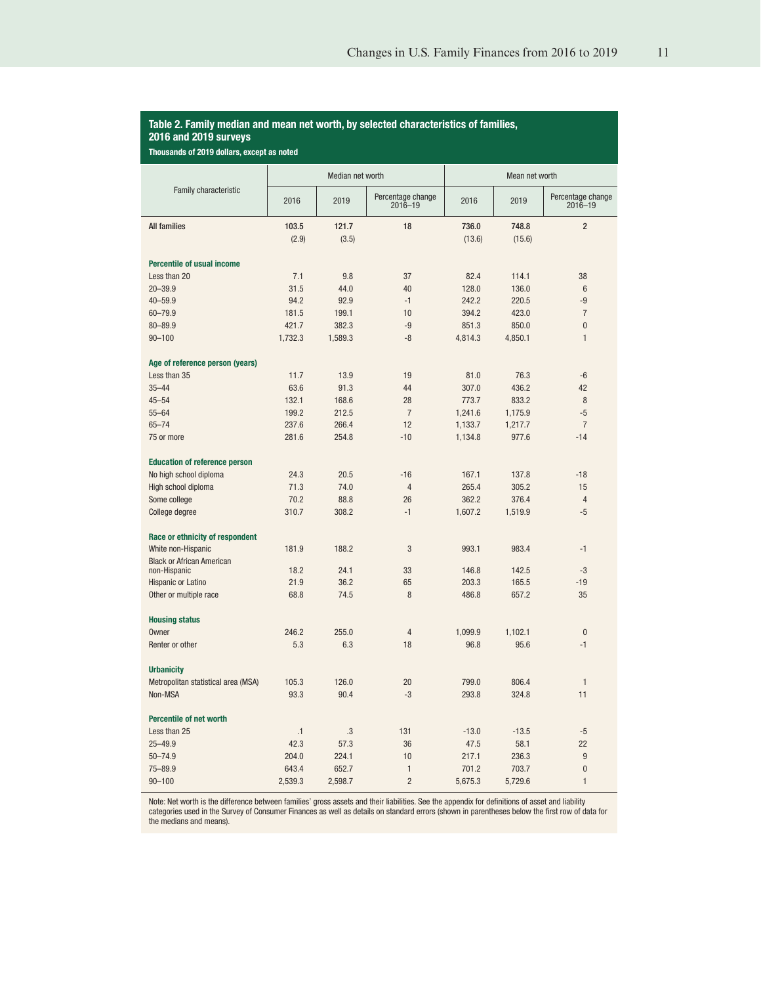#### <span id="page-10-0"></span>Table 2. Family median and mean net worth, by selected characteristics of families, 2016 and 2019 surveys

Thousands of 2019 dollars, except as noted

|                                                  |         | Median net worth |                                  | Mean net worth |         |                                  |
|--------------------------------------------------|---------|------------------|----------------------------------|----------------|---------|----------------------------------|
| Family characteristic                            | 2016    | 2019             | Percentage change<br>$2016 - 19$ | 2016           | 2019    | Percentage change<br>$2016 - 19$ |
| <b>All families</b>                              | 103.5   | 121.7            | 18                               | 736.0          | 748.8   | $\overline{2}$                   |
|                                                  | (2.9)   | (3.5)            |                                  | (13.6)         | (15.6)  |                                  |
| <b>Percentile of usual income</b>                |         |                  |                                  |                |         |                                  |
| Less than 20                                     | 7.1     | 9.8              | 37                               | 82.4           | 114.1   | 38                               |
| $20 - 39.9$                                      | 31.5    | 44.0             | 40                               | 128.0          | 136.0   | 6                                |
| $40 - 59.9$                                      | 94.2    | 92.9             | $-1$                             | 242.2          | 220.5   | -9                               |
| 60-79.9                                          | 181.5   | 199.1            | 10                               | 394.2          | 423.0   | $\overline{7}$                   |
| $80 - 89.9$                                      | 421.7   | 382.3            | $-9$                             | 851.3          | 850.0   | $\overline{0}$                   |
| $90 - 100$                                       | 1,732.3 | 1,589.3          | $-8$                             | 4,814.3        | 4,850.1 | 1                                |
| Age of reference person (years)                  |         |                  |                                  |                |         |                                  |
| Less than 35                                     | 11.7    | 13.9             | 19                               | 81.0           | 76.3    | $-6$                             |
| $35 - 44$                                        | 63.6    | 91.3             | 44                               | 307.0          | 436.2   | 42                               |
| $45 - 54$                                        | 132.1   | 168.6            | 28                               | 773.7          | 833.2   | 8                                |
| $55 - 64$                                        | 199.2   | 212.5            | $\overline{7}$                   | 1,241.6        | 1,175.9 | $-5$                             |
| $65 - 74$                                        | 237.6   | 266.4            | 12                               | 1,133.7        | 1,217.7 | $\overline{7}$                   |
| 75 or more                                       | 281.6   | 254.8            | $-10$                            | 1,134.8        | 977.6   | $-14$                            |
| <b>Education of reference person</b>             |         |                  |                                  |                |         |                                  |
| No high school diploma                           | 24.3    | 20.5             | $-16$                            | 167.1          | 137.8   | $-18$                            |
| High school diploma                              | 71.3    | 74.0             | $\overline{4}$                   | 265.4          | 305.2   | 15                               |
| Some college                                     | 70.2    | 88.8             | 26                               | 362.2          | 376.4   | $\overline{4}$                   |
| College degree                                   | 310.7   | 308.2            | $-1$                             | 1,607.2        | 1,519.9 | $-5$                             |
| Race or ethnicity of respondent                  |         |                  |                                  |                |         |                                  |
| White non-Hispanic                               | 181.9   | 188.2            | 3                                | 993.1          | 983.4   | $-1$                             |
| <b>Black or African American</b><br>non-Hispanic | 18.2    | 24.1             | 33                               | 146.8          | 142.5   | $-3$                             |
| Hispanic or Latino                               | 21.9    | 36.2             | 65                               | 203.3          | 165.5   | $-19$                            |
| Other or multiple race                           | 68.8    | 74.5             | 8                                | 486.8          | 657.2   | 35                               |
| <b>Housing status</b>                            |         |                  |                                  |                |         |                                  |
| Owner                                            | 246.2   | 255.0            | 4                                | 1,099.9        | 1,102.1 | $\mathbf{0}$                     |
| Renter or other                                  | 5.3     | 6.3              | 18                               | 96.8           | 95.6    | $-1$                             |
| <b>Urbanicity</b>                                |         |                  |                                  |                |         |                                  |
| Metropolitan statistical area (MSA)              | 105.3   | 126.0            | 20                               | 799.0          | 806.4   | $\mathbf{1}$                     |
| Non-MSA                                          | 93.3    | 90.4             | $-3$                             | 293.8          | 324.8   | 11                               |
| <b>Percentile of net worth</b>                   |         |                  |                                  |                |         |                                  |
| Less than 25                                     | .1      | .3               | 131                              | $-13.0$        | $-13.5$ | $-5$                             |
| $25 - 49.9$                                      | 42.3    | 57.3             | 36                               | 47.5           | 58.1    | 22                               |
| $50 - 74.9$                                      | 204.0   | 224.1            | 10                               | 217.1          | 236.3   | 9                                |
| 75-89.9                                          | 643.4   | 652.7            | $\mathbf{1}$                     | 701.2          | 703.7   | $\overline{0}$                   |
| $90 - 100$                                       | 2,539.3 | 2,598.7          | $\overline{2}$                   | 5,675.3        | 5,729.6 | $\mathbf{1}$                     |

Note: Net worth is the difference between families' gross assets and their liabilities. See the appendix for definitions of asset and liability<br>categories used in the Survey of Consumer Finances as well as details on stand the medians and means).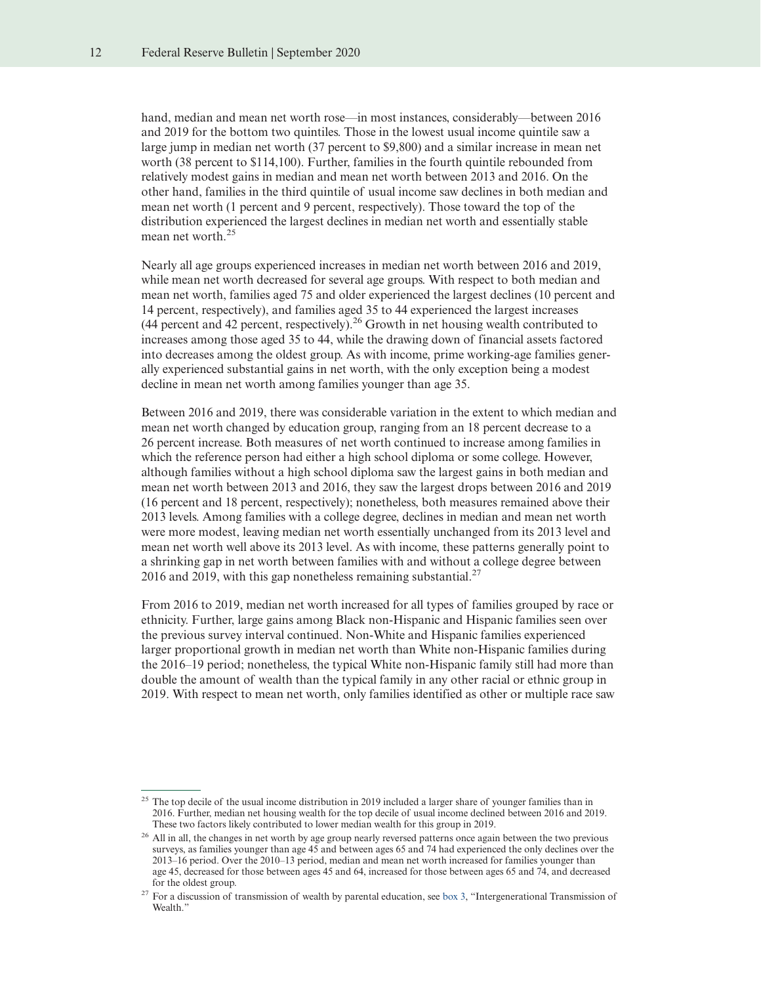hand, median and mean net worth rose—in most instances, considerably—between 2016 and 2019 for the bottom two quintiles. Those in the lowest usual income quintile saw a large jump in median net worth (37 percent to \$9,800) and a similar increase in mean net worth (38 percent to \$114,100). Further, families in the fourth quintile rebounded from relatively modest gains in median and mean net worth between 2013 and 2016. On the other hand, families in the third quintile of usual income saw declines in both median and mean net worth (1 percent and 9 percent, respectively). Those toward the top of the distribution experienced the largest declines in median net worth and essentially stable mean net worth.<sup>25</sup>

Nearly all age groups experienced increases in median net worth between 2016 and 2019, while mean net worth decreased for several age groups. With respect to both median and mean net worth, families aged 75 and older experienced the largest declines (10 percent and 14 percent, respectively), and families aged 35 to 44 experienced the largest increases  $(44)$  percent and 42 percent, respectively).<sup>26</sup> Growth in net housing wealth contributed to increases among those aged 35 to 44, while the drawing down of financial assets factored into decreases among the oldest group. As with income, prime working-age families generally experienced substantial gains in net worth, with the only exception being a modest decline in mean net worth among families younger than age 35.

Between 2016 and 2019, there was considerable variation in the extent to which median and mean net worth changed by education group, ranging from an 18 percent decrease to a 26 percent increase. Both measures of net worth continued to increase among families in which the reference person had either a high school diploma or some college. However, although families without a high school diploma saw the largest gains in both median and mean net worth between 2013 and 2016, they saw the largest drops between 2016 and 2019 (16 percent and 18 percent, respectively); nonetheless, both measures remained above their 2013 levels. Among families with a college degree, declines in median and mean net worth were more modest, leaving median net worth essentially unchanged from its 2013 level and mean net worth well above its 2013 level. As with income, these patterns generally point to a shrinking gap in net worth between families with and without a college degree between 2016 and 2019, with this gap nonetheless remaining substantial. $^{27}$ 

From 2016 to 2019, median net worth increased for all types of families grouped by race or ethnicity. Further, large gains among Black non-Hispanic and Hispanic families seen over the previous survey interval continued. Non-White and Hispanic families experienced larger proportional growth in median net worth than White non-Hispanic families during the 2016–19 period; nonetheless, the typical White non-Hispanic family still had more than double the amount of wealth than the typical family in any other racial or ethnic group in 2019. With respect to mean net worth, only families identified as other or multiple race saw

<sup>&</sup>lt;sup>25</sup> The top decile of the usual income distribution in 2019 included a larger share of younger families than in 2016. Further, median net housing wealth for the top decile of usual income declined between 2016 and 2019. These two factors likely contributed to lower median wealth for this group in 2019.

<sup>&</sup>lt;sup>26</sup> All in all, the changes in net worth by age group nearly reversed patterns once again between the two previous surveys, as families younger than age 45 and between ages 65 and 74 had experienced the only declines over the 2013–16 period. Over the 2010–13 period, median and mean net worth increased for families younger than age 45, decreased for those between ages 45 and 64, increased for those between ages 65 and 74, and decreased for the oldest group.

<sup>&</sup>lt;sup>27</sup> For a discussion of transmission of wealth by parental education, see [box 3,](#page-13-0) "Intergenerational Transmission of Wealth."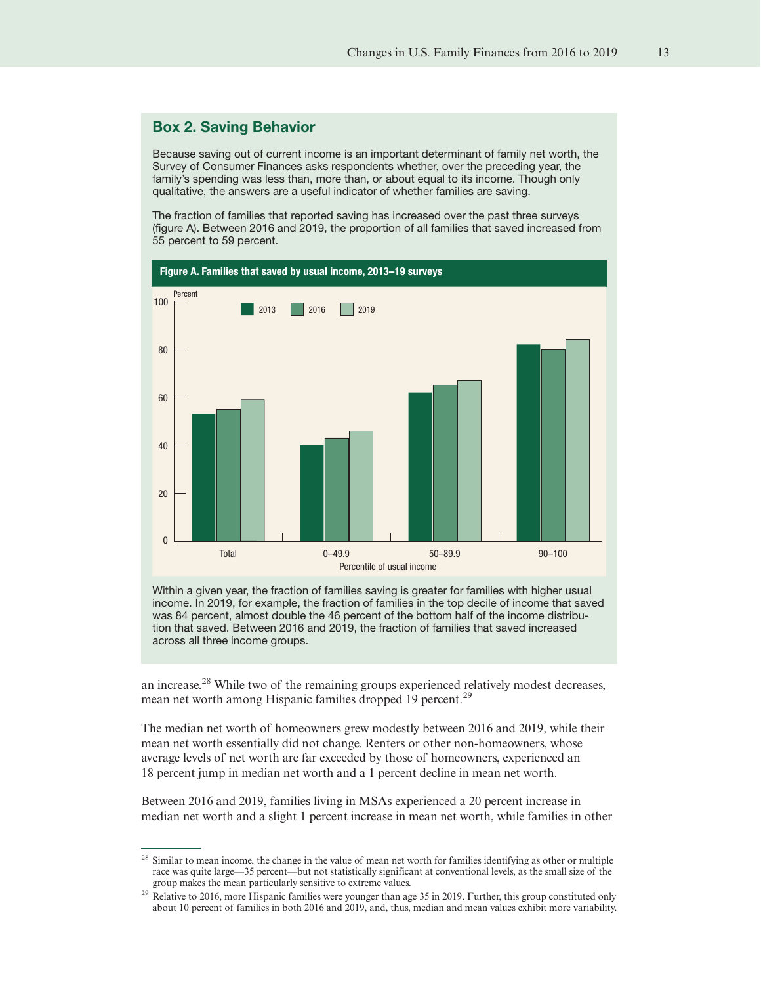# <span id="page-12-0"></span>Box 2. Saving Behavior

Because saving out of current income is an important determinant of family net worth, the Survey of Consumer Finances asks respondents whether, over the preceding year, the family's spending was less than, more than, or about equal to its income. Though only qualitative, the answers are a useful indicator of whether families are saving.

The fraction of families that reported saving has increased over the past three surveys (figure A). Between 2016 and 2019, the proportion of all families that saved increased from 55 percent to 59 percent.



Within a given year, the fraction of families saving is greater for families with higher usual income. In 2019, for example, the fraction of families in the top decile of income that saved was 84 percent, almost double the 46 percent of the bottom half of the income distribution that saved. Between 2016 and 2019, the fraction of families that saved increased across all three income groups.

an increase.<sup>28</sup> While two of the remaining groups experienced relatively modest decreases, mean net worth among Hispanic families dropped 19 percent.<sup>29</sup>

The median net worth of homeowners grew modestly between 2016 and 2019, while their mean net worth essentially did not change. Renters or other non-homeowners, whose average levels of net worth are far exceeded by those of homeowners, experienced an 18 percent jump in median net worth and a 1 percent decline in mean net worth.

Between 2016 and 2019, families living in MSAs experienced a 20 percent increase in median net worth and a slight 1 percent increase in mean net worth, while families in other

<sup>&</sup>lt;sup>28</sup> Similar to mean income, the change in the value of mean net worth for families identifying as other or multiple race was quite large—35 percent—but not statistically significant at conventional levels, as the small size of the group makes the mean particularly sensitive to extreme values.

<sup>&</sup>lt;sup>29</sup> Relative to 2016, more Hispanic families were younger than age 35 in 2019. Further, this group constituted only about 10 percent of families in both 2016 and 2019, and, thus, median and mean values exhibit more variability.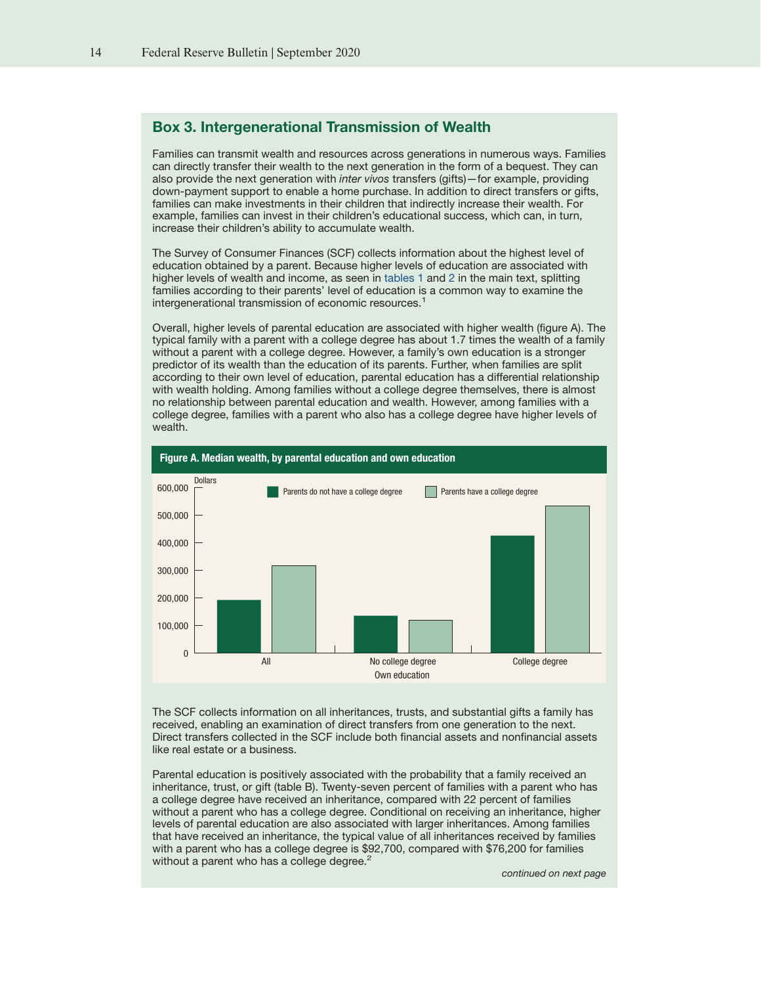# <span id="page-13-0"></span>Box 3. Intergenerational Transmission of Wealth

Families can transmit wealth and resources across generations in numerous ways. Families can directly transfer their wealth to the next generation in the form of a bequest. They can also provide the next generation with inter vivos transfers (gifts)—for example, providing down-payment support to enable a home purchase. In addition to direct transfers or gifts, families can make investments in their children that indirectly increase their wealth. For example, families can invest in their children's educational success, which can, in turn, increase their children's ability to accumulate wealth.

The Survey of Consumer Finances (SCF) collects information about the highest level of education obtained by a parent. Because higher levels of education are associated with higher levels of wealth and income, as seen in [tables 1](#page-6-0) and [2](#page-10-0) in the main text, splitting families according to their parents' level of education is a common way to examine the intergenerational transmission of economic resources.<sup>1</sup>

Overall, higher levels of parental education are associated with higher wealth (figure A). The typical family with a parent with a college degree has about 1.7 times the wealth of a family without a parent with a college degree. However, a family's own education is a stronger predictor of its wealth than the education of its parents. Further, when families are split according to their own level of education, parental education has a differential relationship with wealth holding. Among families without a college degree themselves, there is almost no relationship between parental education and wealth. However, among families with a college degree, families with a parent who also has a college degree have higher levels of wealth.



The SCF collects information on all inheritances, trusts, and substantial gifts a family has received, enabling an examination of direct transfers from one generation to the next. Direct transfers collected in the SCF include both financial assets and nonfinancial assets like real estate or a business.

Parental education is positively associated with the probability that a family received an inheritance, trust, or gift (table B). Twenty-seven percent of families with a parent who has a college degree have received an inheritance, compared with 22 percent of families without a parent who has a college degree. Conditional on receiving an inheritance, higher levels of parental education are also associated with larger inheritances. Among families that have received an inheritance, the typical value of all inheritances received by families with a parent who has a college degree is \$92,700, compared with \$76,200 for families without a parent who has a college degree.<sup>2</sup>

continued on next page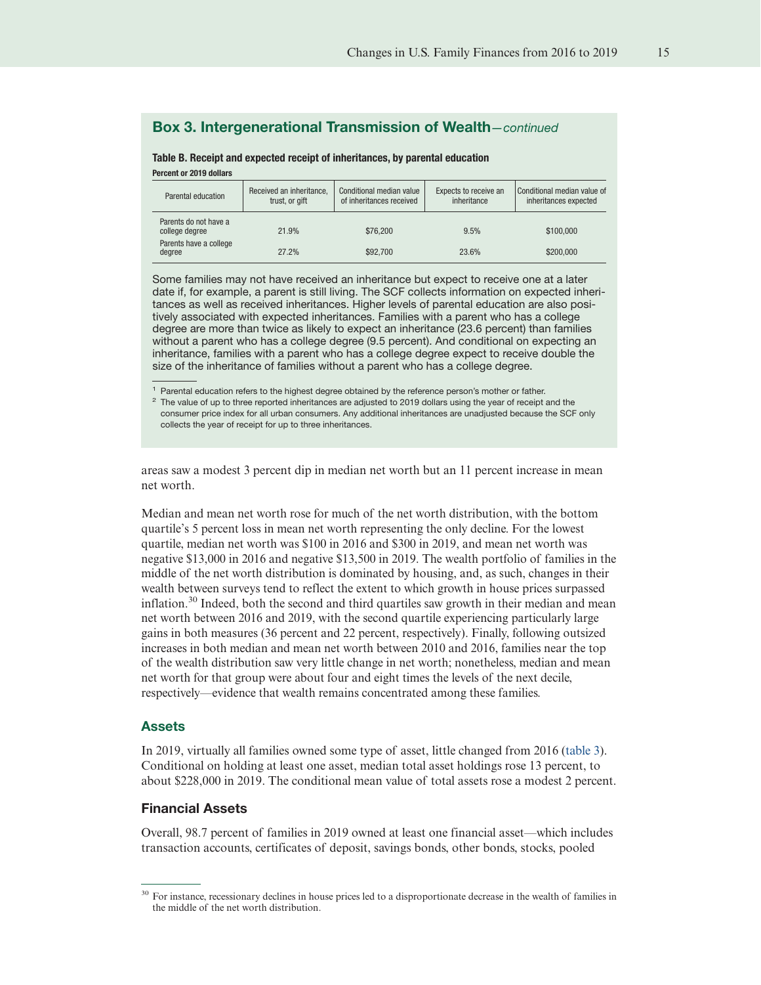# Box 3. Intergenerational Transmission of Wealth—continued

| Percent or 2019 dollars                 |                                            |                                                      |                                      |                                                   |
|-----------------------------------------|--------------------------------------------|------------------------------------------------------|--------------------------------------|---------------------------------------------------|
| Parental education                      | Received an inheritance,<br>trust, or gift | Conditional median value<br>of inheritances received | Expects to receive an<br>inheritance | Conditional median value<br>inheritances expected |
| Parents do not have a<br>college degree | 21.9%                                      | \$76,200                                             | 9.5%                                 | \$100,000                                         |
| Parents have a college<br>dearee        | 27 2 <sub>%</sub>                          | \$92,700                                             | 23.6%                                | \$200000                                          |

degree 27.2% \$92,700 23.6% \$200,000 \$92,000 23.6%

Table B. Receipt and expected receipt of inheritances, by parental education

Some families may not have received an inheritance but expect to receive one at a later date if, for example, a parent is still living. The SCF collects information on expected inheritances as well as received inheritances. Higher levels of parental education are also positively associated with expected inheritances. Families with a parent who has a college degree are more than twice as likely to expect an inheritance (23.6 percent) than families without a parent who has a college degree (9.5 percent). And conditional on expecting an inheritance, families with a parent who has a college degree expect to receive double the size of the inheritance of families without a parent who has a college degree.

<sup>1</sup> Parental education refers to the highest degree obtained by the reference person's mother or father.

 $2$  The value of up to three reported inheritances are adjusted to 2019 dollars using the year of receipt and the consumer price index for all urban consumers. Any additional inheritances are unadjusted because the SCF only collects the year of receipt for up to three inheritances.

areas saw a modest 3 percent dip in median net worth but an 11 percent increase in mean net worth.

Median and mean net worth rose for much of the net worth distribution, with the bottom quartile's 5 percent loss in mean net worth representing the only decline. For the lowest quartile, median net worth was \$100 in 2016 and \$300 in 2019, and mean net worth was negative \$13,000 in 2016 and negative \$13,500 in 2019. The wealth portfolio of families in the middle of the net worth distribution is dominated by housing, and, as such, changes in their wealth between surveys tend to reflect the extent to which growth in house prices surpassed inflation.<sup>30</sup> Indeed, both the second and third quartiles saw growth in their median and mean net worth between 2016 and 2019, with the second quartile experiencing particularly large gains in both measures (36 percent and 22 percent, respectively). Finally, following outsized increases in both median and mean net worth between 2010 and 2016, families near the top of the wealth distribution saw very little change in net worth; nonetheless, median and mean net worth for that group were about four and eight times the levels of the next decile, respectively—evidence that wealth remains concentrated among these families.

#### Assets

In 2019, virtually all families owned some type of asset, little changed from 2016 [\(table 3\)](#page-15-0). Conditional on holding at least one asset, median total asset holdings rose 13 percent, to about \$228,000 in 2019. The conditional mean value of total assets rose a modest 2 percent.

#### Financial Assets

Overall, 98.7 percent of families in 2019 owned at least one financial asset—which includes transaction accounts, certificates of deposit, savings bonds, other bonds, stocks, pooled

conditional median of

<sup>30</sup> For instance, recessionary declines in house prices led to a disproportionate decrease in the wealth of families in the middle of the net worth distribution.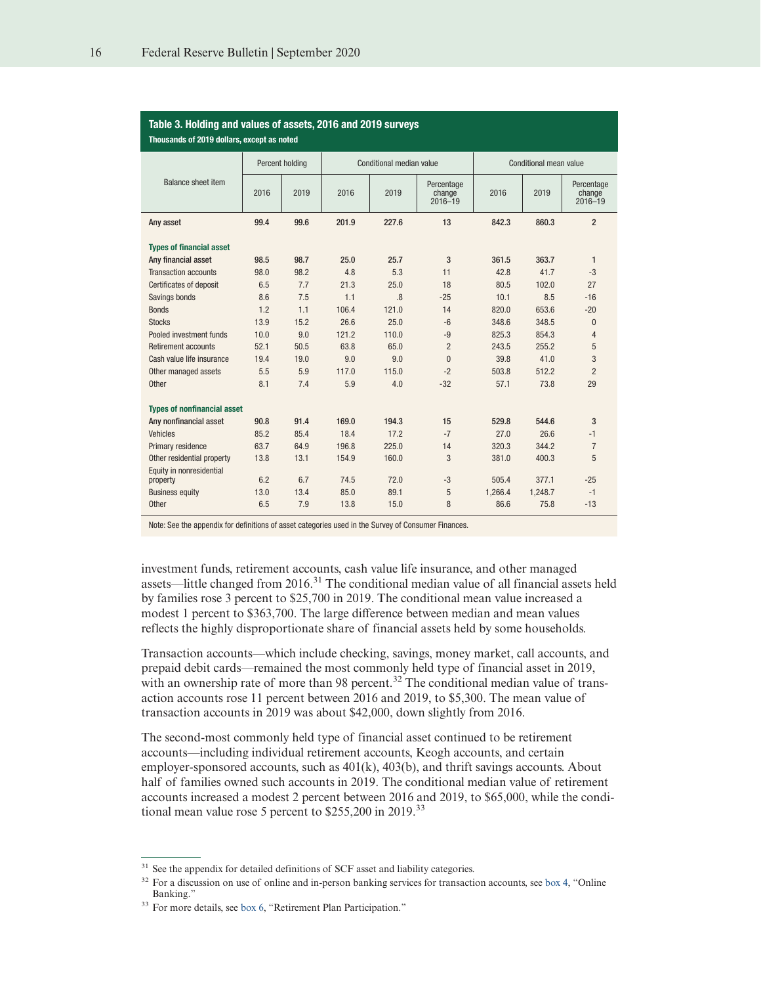<span id="page-15-0"></span>

| Table 3. Holding and values of assets, 2016 and 2019 surveys<br>Thousands of 2019 dollars, except as noted |      |                 |       |                          |                                     |         |                        |                                     |
|------------------------------------------------------------------------------------------------------------|------|-----------------|-------|--------------------------|-------------------------------------|---------|------------------------|-------------------------------------|
|                                                                                                            |      | Percent holding |       | Conditional median value |                                     |         | Conditional mean value |                                     |
| <b>Balance sheet item</b>                                                                                  | 2016 | 2019            | 2016  | 2019                     | Percentage<br>change<br>$2016 - 19$ | 2016    | 2019                   | Percentage<br>change<br>$2016 - 19$ |
| Any asset                                                                                                  | 99.4 | 99.6            | 201.9 | 227.6                    | 13                                  | 842.3   | 860.3                  | $\overline{2}$                      |
| <b>Types of financial asset</b>                                                                            |      |                 |       |                          |                                     |         |                        |                                     |
| Any financial asset                                                                                        | 98.5 | 98.7            | 25.0  | 25.7                     | 3                                   | 361.5   | 363.7                  | $\mathbf{1}$                        |
| <b>Transaction accounts</b>                                                                                | 98.0 | 98.2            | 4.8   | 5.3                      | 11                                  | 42.8    | 41.7                   | $-3$                                |
| <b>Certificates of deposit</b>                                                                             | 6.5  | 7.7             | 21.3  | 25.0                     | 18                                  | 80.5    | 102.0                  | 27                                  |
| Savings bonds                                                                                              | 8.6  | 7.5             | 1.1   | .8                       | $-25$                               | 10.1    | 8.5                    | $-16$                               |
| <b>Bonds</b>                                                                                               | 1.2  | 1.1             | 106.4 | 121.0                    | 14                                  | 820.0   | 653.6                  | $-20$                               |
| <b>Stocks</b>                                                                                              | 13.9 | 15.2            | 26.6  | 25.0                     | $-6$                                | 348.6   | 348.5                  | $\Omega$                            |
| Pooled investment funds                                                                                    | 10.0 | 9.0             | 121.2 | 110.0                    | $-9$                                | 825.3   | 854.3                  | 4                                   |
| <b>Retirement accounts</b>                                                                                 | 52.1 | 50.5            | 63.8  | 65.0                     | $\overline{2}$                      | 243.5   | 255.2                  | 5                                   |
| Cash value life insurance                                                                                  | 19.4 | 19.0            | 9.0   | 9.0                      | $\theta$                            | 39.8    | 41.0                   | 3                                   |
| Other managed assets                                                                                       | 5.5  | 5.9             | 117.0 | 115.0                    | $-2$                                | 503.8   | 512.2                  | $\overline{2}$                      |
| Other                                                                                                      | 8.1  | 7.4             | 5.9   | 4.0                      | $-32$                               | 57.1    | 73.8                   | 29                                  |
| <b>Types of nonfinancial asset</b>                                                                         |      |                 |       |                          |                                     |         |                        |                                     |
| Any nonfinancial asset                                                                                     | 90.8 | 91.4            | 169.0 | 194.3                    | 15                                  | 529.8   | 544.6                  | 3                                   |
| <b>Vehicles</b>                                                                                            | 85.2 | 85.4            | 18.4  | 17.2                     | $-7$                                | 27.0    | 26.6                   | $-1$                                |
| Primary residence                                                                                          | 63.7 | 64.9            | 196.8 | 225.0                    | 14                                  | 320.3   | 344.2                  | $\overline{7}$                      |
| Other residential property                                                                                 | 13.8 | 13.1            | 154.9 | 160.0                    | 3                                   | 381.0   | 400.3                  | 5                                   |
| Equity in nonresidential                                                                                   |      |                 |       |                          |                                     |         |                        |                                     |
| property                                                                                                   | 6.2  | 6.7             | 74.5  | 72.0                     | -3                                  | 505.4   | 377.1                  | $-25$                               |
| <b>Business equity</b>                                                                                     | 13.0 | 13.4            | 85.0  | 89.1                     | 5                                   | 1.266.4 | 1,248.7                | $-1$                                |
| Other                                                                                                      | 6.5  | 7.9             | 13.8  | 15.0                     | 8                                   | 86.6    | 75.8                   | $-13$                               |

# Table 3. Holding and values of assets, 2016 and 2019 surveys

Note: See the appendix for definitions of asset categories used in the Survey of Consumer Finances.

investment funds, retirement accounts, cash value life insurance, and other managed assets—little changed from 2016.<sup>31</sup> The conditional median value of all financial assets held by families rose 3 percent to \$25,700 in 2019. The conditional mean value increased a modest 1 percent to \$363,700. The large difference between median and mean values reflects the highly disproportionate share of financial assets held by some households.

Transaction accounts—which include checking, savings, money market, call accounts, and prepaid debit cards—remained the most commonly held type of financial asset in 2019, with an ownership rate of more than 98 percent.<sup>32</sup> The conditional median value of transaction accounts rose 11 percent between 2016 and 2019, to \$5,300. The mean value of transaction accounts in 2019 was about \$42,000, down slightly from 2016.

The second-most commonly held type of financial asset continued to be retirement accounts—including individual retirement accounts, Keogh accounts, and certain employer-sponsored accounts, such as 401(k), 403(b), and thrift savings accounts. About half of families owned such accounts in 2019. The conditional median value of retirement accounts increased a modest 2 percent between 2016 and 2019, to \$65,000, while the conditional mean value rose 5 percent to \$255,200 in 2019.<sup>33</sup>

<sup>&</sup>lt;sup>31</sup> See the appendix for detailed definitions of SCF asset and liability categories.

<sup>&</sup>lt;sup>32</sup> For a discussion on use of online and in-person banking services for transaction accounts, see [box 4,](#page-16-0) "Online Banking."

<sup>&</sup>lt;sup>33</sup> For more details, see [box 6,](#page-19-0) "Retirement Plan Participation."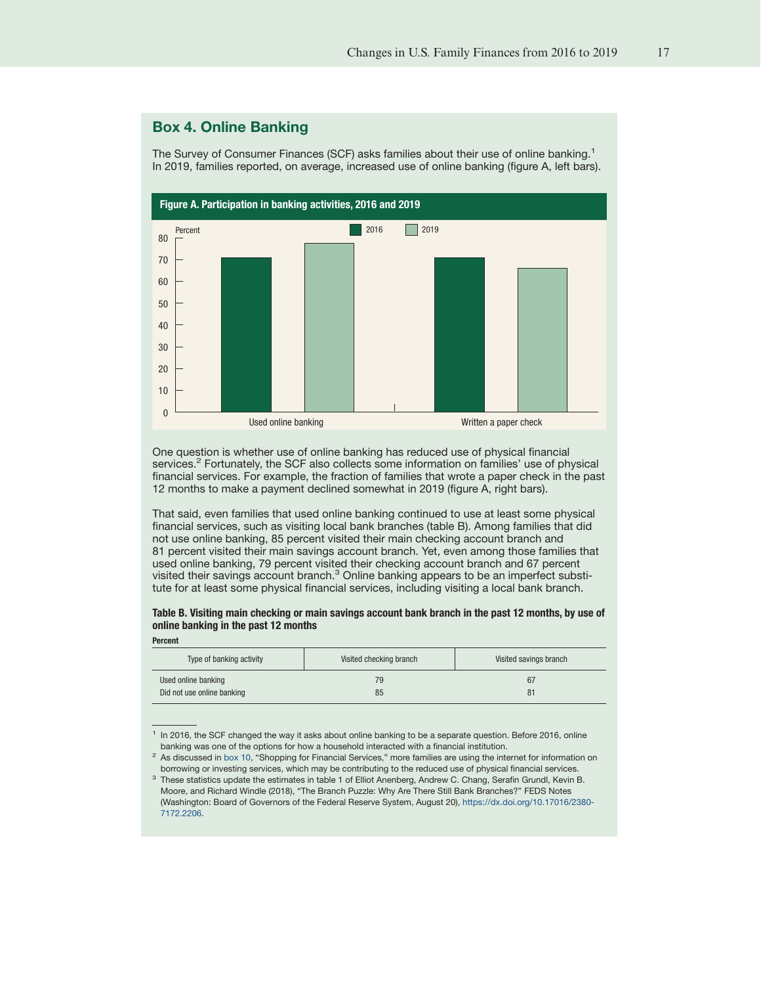# <span id="page-16-0"></span>Box 4. Online Banking

The Survey of Consumer Finances (SCF) asks families about their use of online banking.<sup>1</sup> In 2019, families reported, on average, increased use of online banking (figure A, left bars).



One question is whether use of online banking has reduced use of physical financial services.<sup>2</sup> Fortunately, the SCF also collects some information on families' use of physical financial services. For example, the fraction of families that wrote a paper check in the past 12 months to make a payment declined somewhat in 2019 (figure A, right bars).

That said, even families that used online banking continued to use at least some physical financial services, such as visiting local bank branches (table B). Among families that did not use online banking, 85 percent visited their main checking account branch and 81 percent visited their main savings account branch. Yet, even among those families that used online banking, 79 percent visited their checking account branch and 67 percent visited their savings account branch.<sup>3</sup> Online banking appears to be an imperfect substitute for at least some physical financial services, including visiting a local bank branch.

# Table B. Visiting main checking or main savings account bank branch in the past 12 months, by use of online banking in the past 12 months

|  | <b>Percent</b> |
|--|----------------|
|--|----------------|

| Type of banking activity   | Visited checking branch | Visited savings branch |
|----------------------------|-------------------------|------------------------|
| Used online banking        | 79                      | 67                     |
| Did not use online banking | 85                      | 81                     |

<sup>&</sup>lt;sup>1</sup> In 2016, the SCF changed the way it asks about online banking to be a separate question. Before 2016, online banking was one of the options for how a household interacted with a financial institution.

<sup>&</sup>lt;sup>2</sup> As discussed in [box 10,](#page-29-0) "Shopping for Financial Services," more families are using the internet for information on borrowing or investing services, which may be contributing to the reduced use of physical financial services.

<sup>&</sup>lt;sup>3</sup> These statistics update the estimates in table 1 of Elliot Anenberg, Andrew C. Chang, Serafin Grundl, Kevin B. Moore, and Richard Windle (2018), "The Branch Puzzle: Why Are There Still Bank Branches?" FEDS Notes (Washington: Board of Governors of the Federal Reserve System, August 20), [https://dx.doi.org/10.17016/2380-](https://dx.doi.org/10.17016/2380-7172.2206) [7172.2206.](https://dx.doi.org/10.17016/2380-7172.2206)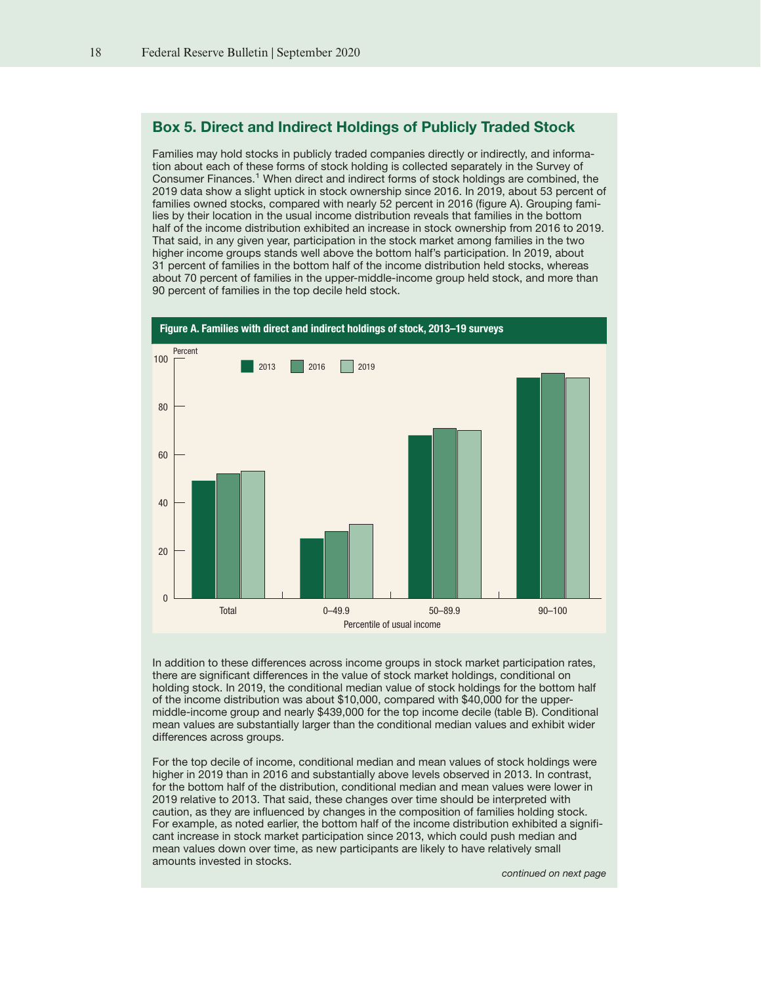# <span id="page-17-0"></span>Box 5. Direct and Indirect Holdings of Publicly Traded Stock

Families may hold stocks in publicly traded companies directly or indirectly, and information about each of these forms of stock holding is collected separately in the Survey of Consumer Finances.<sup>1</sup> When direct and indirect forms of stock holdings are combined, the 2019 data show a slight uptick in stock ownership since 2016. In 2019, about 53 percent of families owned stocks, compared with nearly 52 percent in 2016 (figure A). Grouping families by their location in the usual income distribution reveals that families in the bottom half of the income distribution exhibited an increase in stock ownership from 2016 to 2019. That said, in any given year, participation in the stock market among families in the two higher income groups stands well above the bottom half's participation. In 2019, about 31 percent of families in the bottom half of the income distribution held stocks, whereas about 70 percent of families in the upper-middle-income group held stock, and more than 90 percent of families in the top decile held stock.



In addition to these differences across income groups in stock market participation rates, there are significant differences in the value of stock market holdings, conditional on holding stock. In 2019, the conditional median value of stock holdings for the bottom half of the income distribution was about \$10,000, compared with \$40,000 for the uppermiddle-income group and nearly \$439,000 for the top income decile (table B). Conditional mean values are substantially larger than the conditional median values and exhibit wider differences across groups.

For the top decile of income, conditional median and mean values of stock holdings were higher in 2019 than in 2016 and substantially above levels observed in 2013. In contrast, for the bottom half of the distribution, conditional median and mean values were lower in 2019 relative to 2013. That said, these changes over time should be interpreted with caution, as they are influenced by changes in the composition of families holding stock. For example, as noted earlier, the bottom half of the income distribution exhibited a significant increase in stock market participation since 2013, which could push median and mean values down over time, as new participants are likely to have relatively small amounts invested in stocks.

continued on next page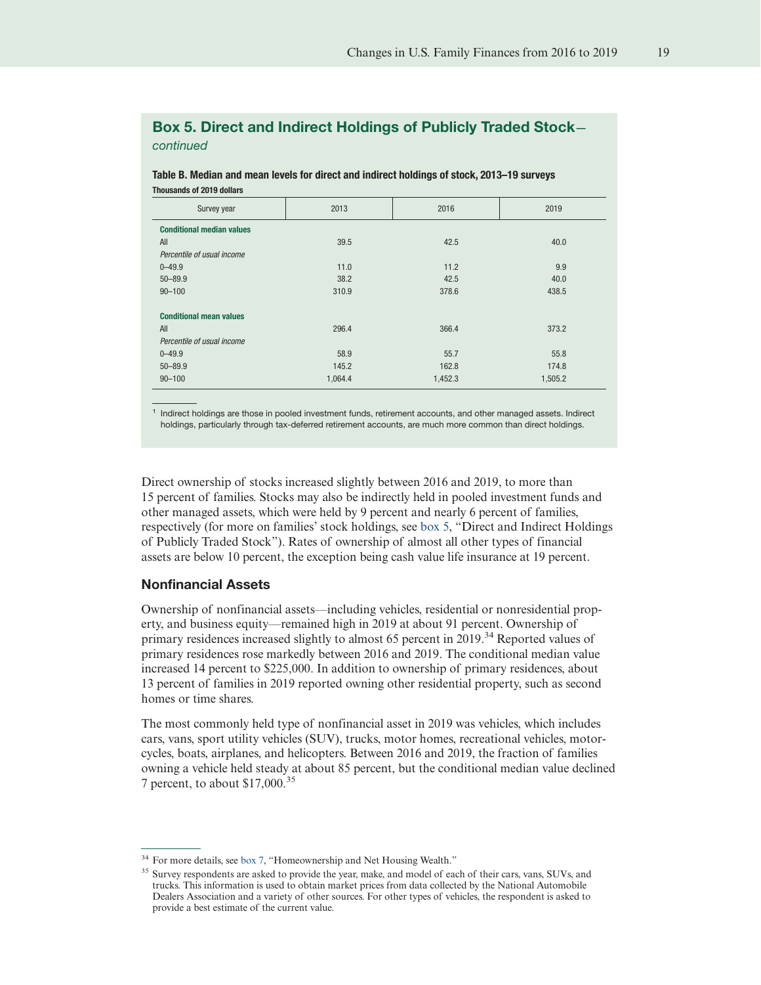# Box 5. Direct and Indirect Holdings of Publicly Traded Stock continued

Table B. Median and mean levels for direct and indirect holdings of stock, 2013–19 surveys Thousands of 2019 dollars

| Survey year                      | 2013    | 2016    | 2019    |
|----------------------------------|---------|---------|---------|
| <b>Conditional median values</b> |         |         |         |
| All                              | 39.5    | 42.5    | 40.0    |
| Percentile of usual income       |         |         |         |
| $0 - 49.9$                       | 11.0    | 11.2    | 9.9     |
| $50 - 89.9$                      | 38.2    | 42.5    | 40.0    |
| $90 - 100$                       | 310.9   | 378.6   | 438.5   |
| <b>Conditional mean values</b>   |         |         |         |
| All                              | 296.4   | 366.4   | 373.2   |
| Percentile of usual income       |         |         |         |
| $0 - 49.9$                       | 58.9    | 55.7    | 55.8    |
| $50 - 89.9$                      | 145.2   | 162.8   | 174.8   |
| $90 - 100$                       | 1,064.4 | 1,452.3 | 1,505.2 |

1 Indirect holdings are those in pooled investment funds, retirement accounts, and other managed assets. Indirect holdings, particularly through tax-deferred retirement accounts, are much more common than direct holdings.

Direct ownership of stocks increased slightly between 2016 and 2019, to more than 15 percent of families. Stocks may also be indirectly held in pooled investment funds and other managed assets, which were held by 9 percent and nearly 6 percent of families, respectively (for more on families' stock holdings, see [box 5,](#page-17-0) "Direct and Indirect Holdings of Publicly Traded Stock"). Rates of ownership of almost all other types of financial assets are below 10 percent, the exception being cash value life insurance at 19 percent.

### Nonfinancial Assets

Ownership of nonfinancial assets—including vehicles, residential or nonresidential property, and business equity—remained high in 2019 at about 91 percent. Ownership of primary residences increased slightly to almost 65 percent in 2019.<sup>34</sup> Reported values of primary residences rose markedly between 2016 and 2019. The conditional median value increased 14 percent to \$225,000. In addition to ownership of primary residences, about 13 percent of families in 2019 reported owning other residential property, such as second homes or time shares.

The most commonly held type of nonfinancial asset in 2019 was vehicles, which includes cars, vans, sport utility vehicles (SUV), trucks, motor homes, recreational vehicles, motorcycles, boats, airplanes, and helicopters. Between 2016 and 2019, the fraction of families owning a vehicle held steady at about 85 percent, but the conditional median value declined 7 percent, to about \$17,000.<sup>35</sup>

<sup>&</sup>lt;sup>34</sup> For more details, see [box 7,](#page-21-0) "Homeownership and Net Housing Wealth."

<sup>&</sup>lt;sup>35</sup> Survey respondents are asked to provide the year, make, and model of each of their cars, vans, SUVs, and trucks. This information is used to obtain market prices from data collected by the National Automobile Dealers Association and a variety of other sources. For other types of vehicles, the respondent is asked to provide a best estimate of the current value.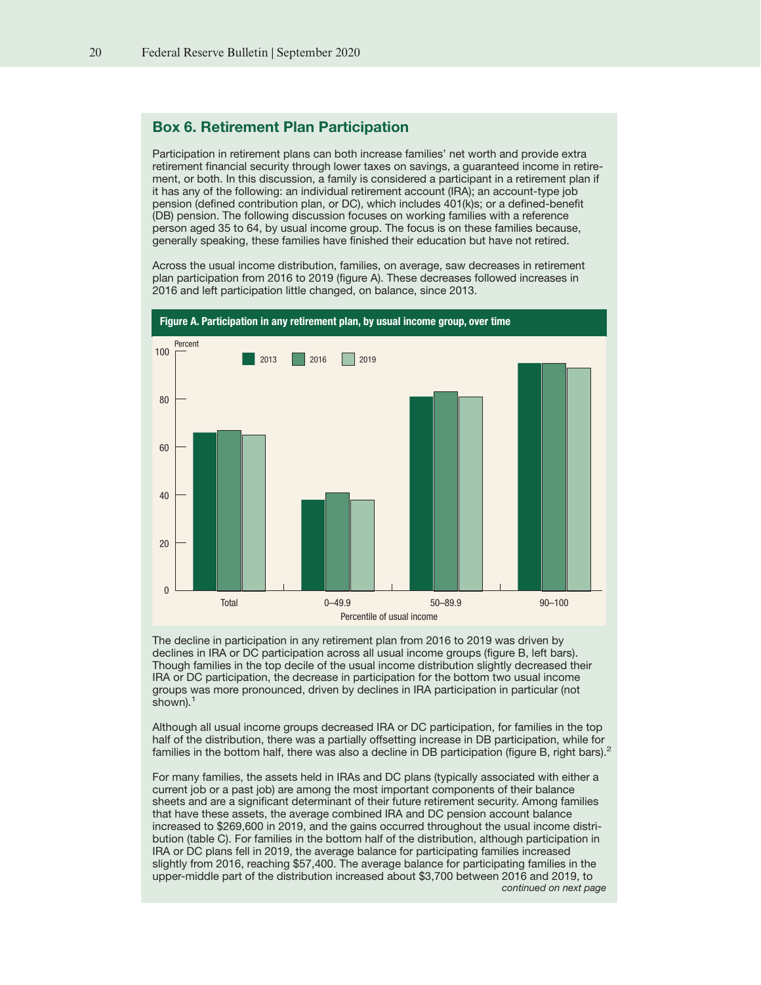# <span id="page-19-0"></span>Box 6. Retirement Plan Participation

Participation in retirement plans can both increase families' net worth and provide extra retirement financial security through lower taxes on savings, a guaranteed income in retirement, or both. In this discussion, a family is considered a participant in a retirement plan if it has any of the following: an individual retirement account (IRA); an account-type job pension (defined contribution plan, or DC), which includes 401(k)s; or a defined-benefit (DB) pension. The following discussion focuses on working families with a reference person aged 35 to 64, by usual income group. The focus is on these families because, generally speaking, these families have finished their education but have not retired.

Across the usual income distribution, families, on average, saw decreases in retirement plan participation from 2016 to 2019 (figure A). These decreases followed increases in 2016 and left participation little changed, on balance, since 2013.



The decline in participation in any retirement plan from 2016 to 2019 was driven by declines in IRA or DC participation across all usual income groups (figure B, left bars). Though families in the top decile of the usual income distribution slightly decreased their IRA or DC participation, the decrease in participation for the bottom two usual income groups was more pronounced, driven by declines in IRA participation in particular (not shown). $<sup>1</sup>$ </sup>

Although all usual income groups decreased IRA or DC participation, for families in the top half of the distribution, there was a partially offsetting increase in DB participation, while for families in the bottom half, there was also a decline in DB participation (figure B, right bars).<sup>2</sup>

For many families, the assets held in IRAs and DC plans (typically associated with either a current job or a past job) are among the most important components of their balance sheets and are a significant determinant of their future retirement security. Among families that have these assets, the average combined IRA and DC pension account balance increased to \$269,600 in 2019, and the gains occurred throughout the usual income distribution (table C). For families in the bottom half of the distribution, although participation in IRA or DC plans fell in 2019, the average balance for participating families increased slightly from 2016, reaching \$57,400. The average balance for participating families in the upper-middle part of the distribution increased about \$3,700 between 2016 and 2019, to continued on next page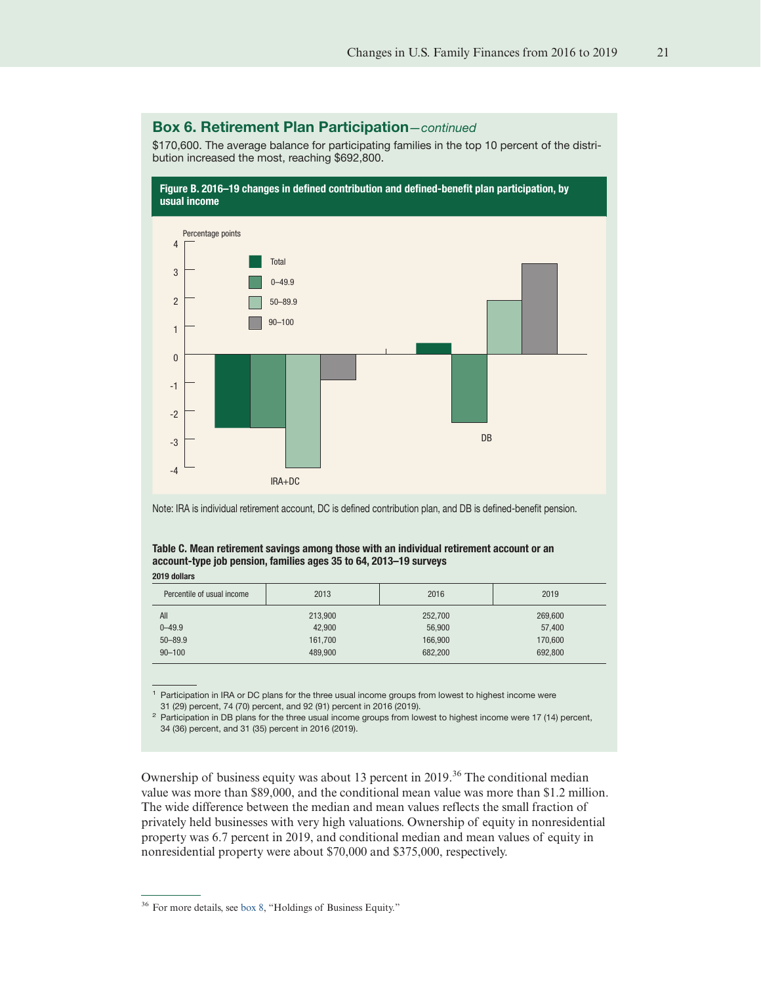# Box 6. Retirement Plan Participation—continued

\$170,600. The average balance for participating families in the top 10 percent of the distribution increased the most, reaching \$692,800.



Note: IRA is individual retirement account, DC is defined contribution plan, and DB is defined-benefit pension.

# Table C. Mean retirement savings among those with an individual retirement account or an account-type job pension, families ages 35 to 64, 2013–19 surveys

2019 dollars

| Percentile of usual income | 2013    | 2016    | 2019    |
|----------------------------|---------|---------|---------|
| All                        | 213,900 | 252,700 | 269,600 |
| $0 - 49.9$                 | 42,900  | 56,900  | 57,400  |
| $50 - 89.9$                | 161,700 | 166,900 | 170,600 |
| $90 - 100$                 | 489.900 | 682,200 | 692,800 |

<sup>1</sup> Participation in IRA or DC plans for the three usual income groups from lowest to highest income were 31 (29) percent, 74 (70) percent, and 92 (91) percent in 2016 (2019).

<sup>2</sup> Participation in DB plans for the three usual income groups from lowest to highest income were 17 (14) percent, 34 (36) percent, and 31 (35) percent in 2016 (2019).

Ownership of business equity was about 13 percent in 2019.<sup>36</sup> The conditional median value was more than \$89,000, and the conditional mean value was more than \$1.2 million. The wide difference between the median and mean values reflects the small fraction of privately held businesses with very high valuations. Ownership of equity in nonresidential property was 6.7 percent in 2019, and conditional median and mean values of equity in nonresidential property were about \$70,000 and \$375,000, respectively.

<sup>36</sup> For more details, see [box 8,](#page-24-0) "Holdings of Business Equity."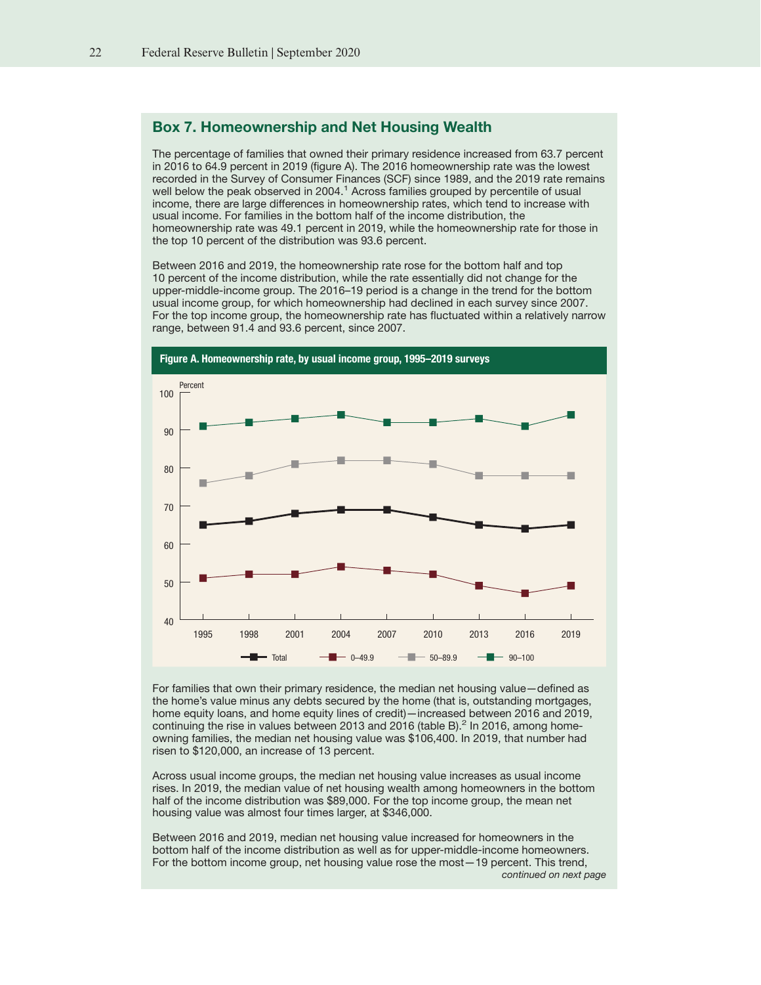#### <span id="page-21-0"></span>Box 7. Homeownership and Net Housing Wealth

The percentage of families that owned their primary residence increased from 63.7 percent in 2016 to 64.9 percent in 2019 (figure A). The 2016 homeownership rate was the lowest recorded in the Survey of Consumer Finances (SCF) since 1989, and the 2019 rate remains well below the peak observed in 2004.<sup>1</sup> Across families grouped by percentile of usual income, there are large differences in homeownership rates, which tend to increase with usual income. For families in the bottom half of the income distribution, the homeownership rate was 49.1 percent in 2019, while the homeownership rate for those in the top 10 percent of the distribution was 93.6 percent.

Between 2016 and 2019, the homeownership rate rose for the bottom half and top 10 percent of the income distribution, while the rate essentially did not change for the upper-middle-income group. The 2016–19 period is a change in the trend for the bottom usual income group, for which homeownership had declined in each survey since 2007. For the top income group, the homeownership rate has fluctuated within a relatively narrow range, between 91.4 and 93.6 percent, since 2007.



For families that own their primary residence, the median net housing value—defined as the home's value minus any debts secured by the home (that is, outstanding mortgages, home equity loans, and home equity lines of credit)—increased between 2016 and 2019, continuing the rise in values between 2013 and 2016 (table B).<sup>2</sup> In 2016, among homeowning families, the median net housing value was \$106,400. In 2019, that number had risen to \$120,000, an increase of 13 percent.

Across usual income groups, the median net housing value increases as usual income rises. In 2019, the median value of net housing wealth among homeowners in the bottom half of the income distribution was \$89,000. For the top income group, the mean net housing value was almost four times larger, at \$346,000.

Between 2016 and 2019, median net housing value increased for homeowners in the bottom half of the income distribution as well as for upper-middle-income homeowners. For the bottom income group, net housing value rose the most—19 percent. This trend, continued on next page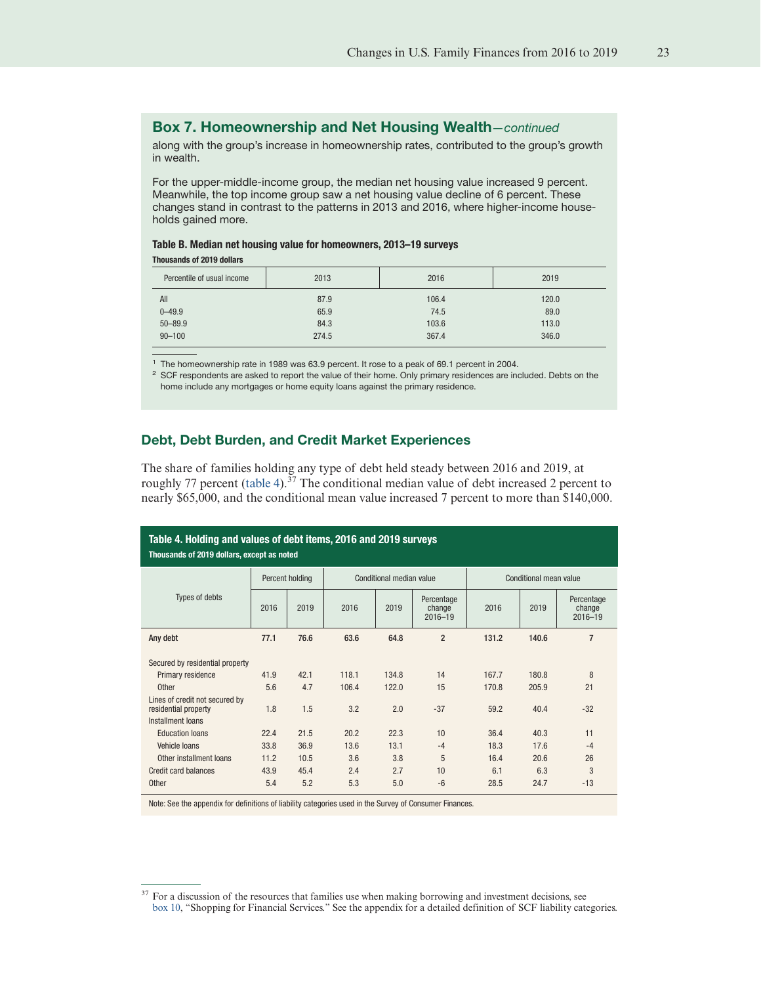#### <span id="page-22-0"></span>Box 7. Homeownership and Net Housing Wealth—continued

along with the group's increase in homeownership rates, contributed to the group's growth in wealth.

For the upper-middle-income group, the median net housing value increased 9 percent. Meanwhile, the top income group saw a net housing value decline of 6 percent. These changes stand in contrast to the patterns in 2013 and 2016, where higher-income households gained more.

#### Table B. Median net housing value for homeowners, 2013–19 surveys

Thousands of 2019 dollars

| Percentile of usual income | 2013  | 2016  | 2019  |
|----------------------------|-------|-------|-------|
| All                        | 87.9  | 106.4 | 120.0 |
| $0 - 49.9$                 | 65.9  | 74.5  | 89.0  |
| $50 - 89.9$                | 84.3  | 103.6 | 113.0 |
| $90 - 100$                 | 274.5 | 367.4 | 346.0 |

<sup>1</sup> The homeownership rate in 1989 was 63.9 percent. It rose to a peak of 69.1 percent in 2004.

 $2$  SCF respondents are asked to report the value of their home. Only primary residences are included. Debts on the home include any mortgages or home equity loans against the primary residence.

# Debt, Debt Burden, and Credit Market Experiences

The share of families holding any type of debt held steady between 2016 and 2019, at roughly 77 percent (table 4). $37$  The conditional median value of debt increased 2 percent to nearly \$65,000, and the conditional mean value increased 7 percent to more than \$140,000.

| Table 4. Holding and values of debt items, 2016 and 2019 surveys<br>Thousands of 2019 dollars, except as noted |      |                 |       |                          |                                     |       |                        |                                     |
|----------------------------------------------------------------------------------------------------------------|------|-----------------|-------|--------------------------|-------------------------------------|-------|------------------------|-------------------------------------|
|                                                                                                                |      | Percent holding |       | Conditional median value |                                     |       | Conditional mean value |                                     |
| Types of debts                                                                                                 | 2016 | 2019            | 2016  | 2019                     | Percentage<br>change<br>$2016 - 19$ | 2016  | 2019                   | Percentage<br>change<br>$2016 - 19$ |
| Any debt                                                                                                       | 77.1 | 76.6            | 63.6  | 64.8                     | $\overline{2}$                      | 131.2 | 140.6                  | $\overline{7}$                      |
| Secured by residential property                                                                                |      |                 |       |                          |                                     |       |                        |                                     |
| Primary residence                                                                                              | 41.9 | 42.1            | 118.1 | 134.8                    | 14                                  | 167.7 | 180.8                  | 8                                   |
| Other                                                                                                          | 5.6  | 4.7             | 106.4 | 122.0                    | 15                                  | 170.8 | 205.9                  | 21                                  |
| Lines of credit not secured by<br>residential property<br>Installment loans                                    | 1.8  | 1.5             | 3.2   | 2.0                      | $-37$                               | 59.2  | 40.4                   | $-32$                               |
| <b>Education loans</b>                                                                                         | 22.4 | 21.5            | 20.2  | 22.3                     | 10                                  | 36.4  | 40.3                   | 11                                  |
| Vehicle Ioans                                                                                                  | 33.8 | 36.9            | 13.6  | 13.1                     | $-4$                                | 18.3  | 17.6                   | $-4$                                |
| Other installment loans                                                                                        | 11.2 | 10.5            | 3.6   | 3.8                      | 5                                   | 16.4  | 20.6                   | 26                                  |
| Credit card balances                                                                                           | 43.9 | 45.4            | 2.4   | 2.7                      | 10                                  | 6.1   | 6.3                    | 3                                   |
| Other                                                                                                          | 5.4  | 5.2             | 5.3   | 5.0                      | $-6$                                | 28.5  | 24.7                   | $-13$                               |

Note: See the appendix for definitions of liability categories used in the Survey of Consumer Finances.

<sup>&</sup>lt;sup>37</sup> For a discussion of the resources that families use when making borrowing and investment decisions, see [box 10,](#page-29-0) "Shopping for Financial Services." See the appendix for a detailed definition of SCF liability categories.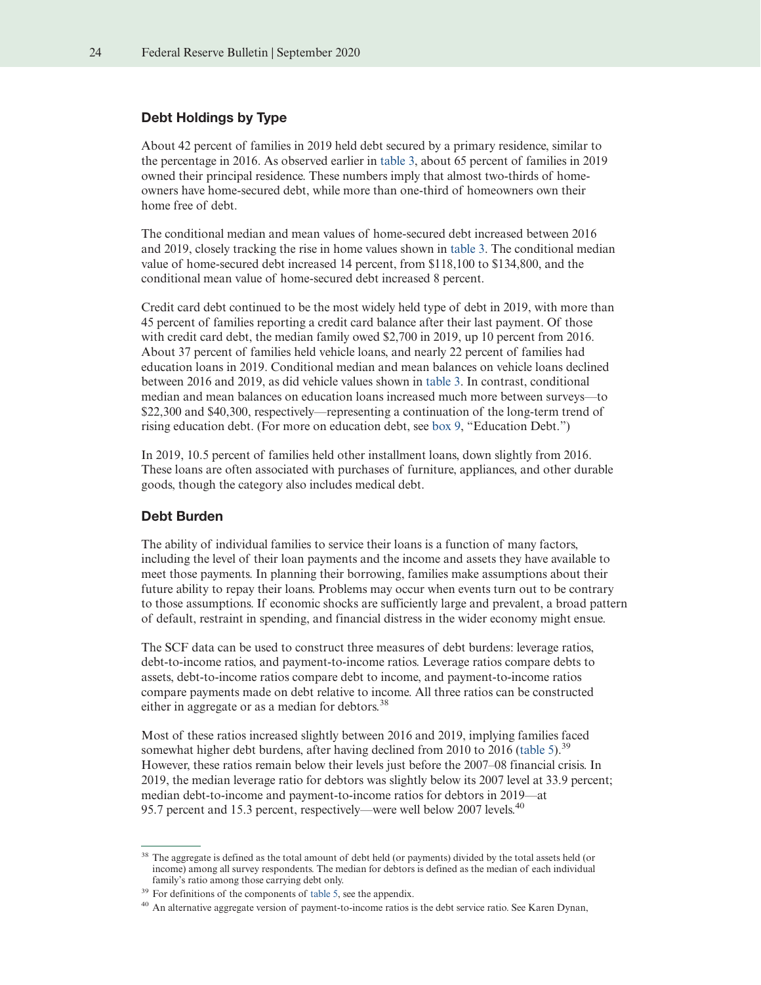# Debt Holdings by Type

About 42 percent of families in 2019 held debt secured by a primary residence, similar to the percentage in 2016. As observed earlier in [table 3,](#page-15-0) about 65 percent of families in 2019 owned their principal residence. These numbers imply that almost two-thirds of homeowners have home-secured debt, while more than one-third of homeowners own their home free of debt.

The conditional median and mean values of home-secured debt increased between 2016 and 2019, closely tracking the rise in home values shown in [table 3.](#page-15-0) The conditional median value of home-secured debt increased 14 percent, from \$118,100 to \$134,800, and the conditional mean value of home-secured debt increased 8 percent.

Credit card debt continued to be the most widely held type of debt in 2019, with more than 45 percent of families reporting a credit card balance after their last payment. Of those with credit card debt, the median family owed \$2,700 in 2019, up 10 percent from 2016. About 37 percent of families held vehicle loans, and nearly 22 percent of families had education loans in 2019. Conditional median and mean balances on vehicle loans declined between 2016 and 2019, as did vehicle values shown in [table 3.](#page-15-0) In contrast, conditional median and mean balances on education loans increased much more between surveys—to \$22,300 and \$40,300, respectively—representing a continuation of the long-term trend of rising education debt. (For more on education debt, see [box 9,](#page-26-0) "Education Debt.")

In 2019, 10.5 percent of families held other installment loans, down slightly from 2016. These loans are often associated with purchases of furniture, appliances, and other durable goods, though the category also includes medical debt.

#### Debt Burden

The ability of individual families to service their loans is a function of many factors, including the level of their loan payments and the income and assets they have available to meet those payments. In planning their borrowing, families make assumptions about their future ability to repay their loans. Problems may occur when events turn out to be contrary to those assumptions. If economic shocks are sufficiently large and prevalent, a broad pattern of default, restraint in spending, and financial distress in the wider economy might ensue.

The SCF data can be used to construct three measures of debt burdens: leverage ratios, debt-to-income ratios, and payment-to-income ratios. Leverage ratios compare debts to assets, debt-to-income ratios compare debt to income, and payment-to-income ratios compare payments made on debt relative to income. All three ratios can be constructed either in aggregate or as a median for debtors.<sup>38</sup>

Most of these ratios increased slightly between 2016 and 2019, implying families faced somewhat higher debt burdens, after having declined from 2010 to 2016 [\(table 5\)](#page-28-0).<sup>39</sup> However, these ratios remain below their levels just before the 2007–08 financial crisis. In 2019, the median leverage ratio for debtors was slightly below its 2007 level at 33.9 percent; median debt-to-income and payment-to-income ratios for debtors in 2019—at 95.7 percent and 15.3 percent, respectively—were well below 2007 levels.<sup>40</sup>

<sup>&</sup>lt;sup>38</sup> The aggregate is defined as the total amount of debt held (or payments) divided by the total assets held (or income) among all survey respondents. The median for debtors is defined as the median of each individual family's ratio among those carrying debt only.

 $39$  For definitions of the components of [table 5,](#page-28-0) see the appendix.

<sup>&</sup>lt;sup>40</sup> An alternative aggregate version of payment-to-income ratios is the debt service ratio. See Karen Dynan,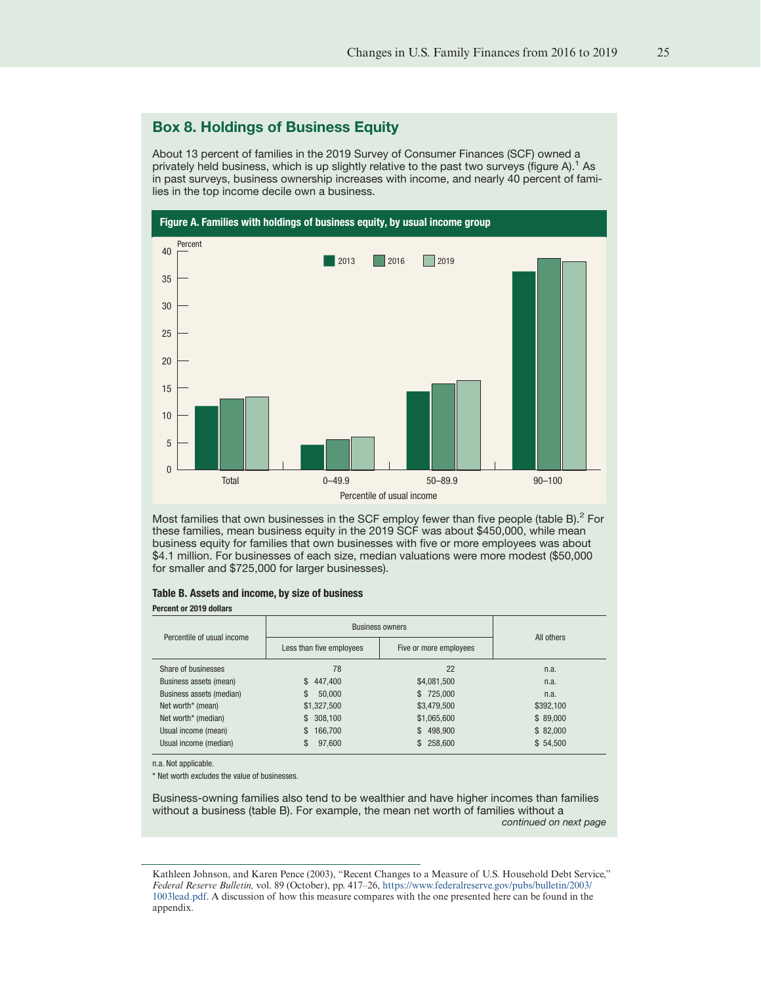# <span id="page-24-0"></span>Box 8. Holdings of Business Equity

About 13 percent of families in the 2019 Survey of Consumer Finances (SCF) owned a privately held business, which is up slightly relative to the past two surveys (figure  $A$ ).<sup>1</sup> As in past surveys, business ownership increases with income, and nearly 40 percent of families in the top income decile own a business.



Most families that own businesses in the SCF employ fewer than five people (table B). $^2$  For these families, mean business equity in the 2019 SCF was about \$450,000, while mean business equity for families that own businesses with five or more employees was about \$4.1 million. For businesses of each size, median valuations were more modest (\$50,000 for smaller and \$725,000 for larger businesses).

#### Table B. Assets and income, by size of business

#### Percent or 2019 dollars

| Percentile of usual income. | <b>Business owners</b>   | All others             |           |  |
|-----------------------------|--------------------------|------------------------|-----------|--|
|                             | Less than five employees | Five or more employees |           |  |
| Share of businesses         | 78                       | 22                     | n.a.      |  |
| Business assets (mean)      | \$447,400                | \$4,081,500            | n.a.      |  |
| Business assets (median)    | \$<br>50,000             | \$725,000              | n.a.      |  |
| Net worth* (mean)           | \$1,327,500              | \$3,479,500            | \$392,100 |  |
| Net worth* (median)         | \$308,100                | \$1,065,600            | \$89,000  |  |
| Usual income (mean)         | 166,700<br>\$            | \$498,900              | \$82,000  |  |
| Usual income (median)       | 97,600                   | \$258,600              | \$54,500  |  |

n.a. Not applicable.

\* Net worth excludes the value of businesses.

Business-owning families also tend to be wealthier and have higher incomes than families without a business (table B). For example, the mean net worth of families without a continued on next page

Kathleen Johnson, and Karen Pence (2003), "Recent Changes to a Measure of U.S. Household Debt Service," *Federal Reserve Bulletin,* vol. 89 (October), pp. 417–26, [https://www.federalreserve.gov/pubs/bulletin/2003/](https://www.federalreserve.gov/pubs/bulletin/2003/1003lead.pdf) [1003lead.pdf.](https://www.federalreserve.gov/pubs/bulletin/2003/1003lead.pdf) A discussion of how this measure compares with the one presented here can be found in the appendix.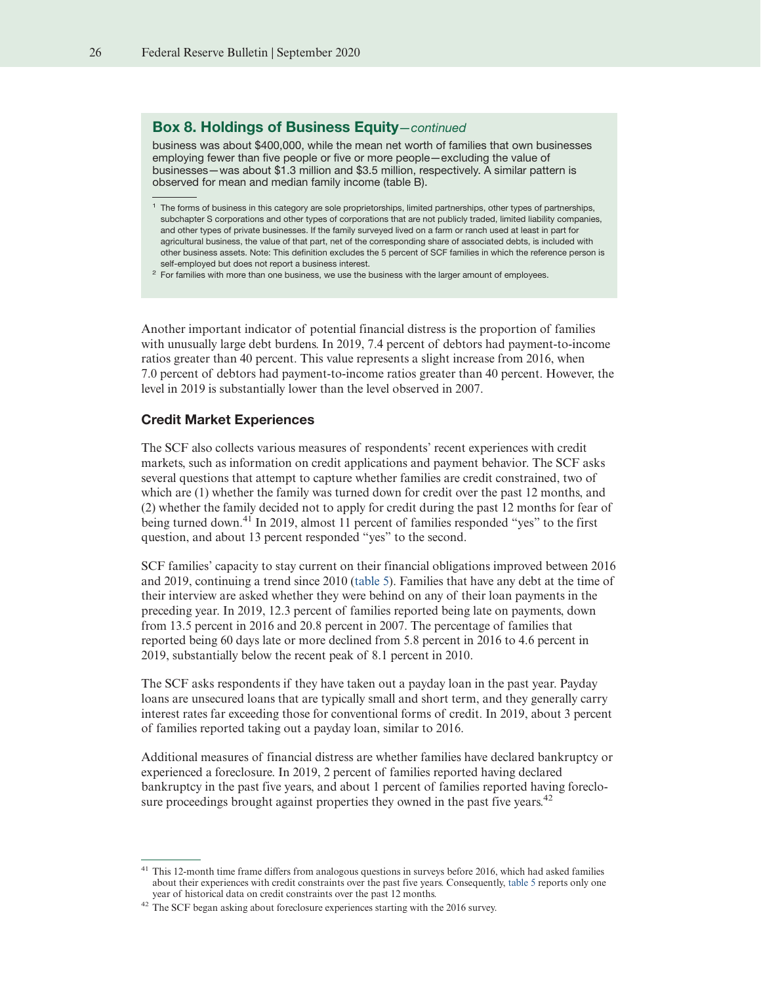#### Box 8. Holdings of Business Equity—continued

business was about \$400,000, while the mean net worth of families that own businesses employing fewer than five people or five or more people—excluding the value of businesses—was about \$1.3 million and \$3.5 million, respectively. A similar pattern is observed for mean and median family income (table B).

Another important indicator of potential financial distress is the proportion of families with unusually large debt burdens. In 2019, 7.4 percent of debtors had payment-to-income ratios greater than 40 percent. This value represents a slight increase from 2016, when 7.0 percent of debtors had payment-to-income ratios greater than 40 percent. However, the level in 2019 is substantially lower than the level observed in 2007.

#### Credit Market Experiences

The SCF also collects various measures of respondents' recent experiences with credit markets, such as information on credit applications and payment behavior. The SCF asks several questions that attempt to capture whether families are credit constrained, two of which are (1) whether the family was turned down for credit over the past 12 months, and (2) whether the family decided not to apply for credit during the past 12 months for fear of being turned down.<sup>41</sup> In 2019, almost 11 percent of families responded "yes" to the first question, and about 13 percent responded "yes" to the second.

SCF families' capacity to stay current on their financial obligations improved between 2016 and 2019, continuing a trend since 2010 [\(table 5\)](#page-28-0). Families that have any debt at the time of their interview are asked whether they were behind on any of their loan payments in the preceding year. In 2019, 12.3 percent of families reported being late on payments, down from 13.5 percent in 2016 and 20.8 percent in 2007. The percentage of families that reported being 60 days late or more declined from 5.8 percent in 2016 to 4.6 percent in 2019, substantially below the recent peak of 8.1 percent in 2010.

The SCF asks respondents if they have taken out a payday loan in the past year. Payday loans are unsecured loans that are typically small and short term, and they generally carry interest rates far exceeding those for conventional forms of credit. In 2019, about 3 percent of families reported taking out a payday loan, similar to 2016.

Additional measures of financial distress are whether families have declared bankruptcy or experienced a foreclosure. In 2019, 2 percent of families reported having declared bankruptcy in the past five years, and about 1 percent of families reported having foreclosure proceedings brought against properties they owned in the past five years.<sup>42</sup>

<sup>&</sup>lt;sup>1</sup> The forms of business in this category are sole proprietorships, limited partnerships, other types of partnerships, subchapter S corporations and other types of corporations that are not publicly traded, limited liability companies, and other types of private businesses. If the family surveyed lived on a farm or ranch used at least in part for agricultural business, the value of that part, net of the corresponding share of associated debts, is included with other business assets. Note: This definition excludes the 5 percent of SCF families in which the reference person is self-employed but does not report a business interest.

 $2$  For families with more than one business, we use the business with the larger amount of employees.

<sup>&</sup>lt;sup>41</sup> This 12-month time frame differs from analogous questions in surveys before 2016, which had asked families about their experiences with credit constraints over the past five years. Consequently, [table 5](#page-28-0) reports only one year of historical data on credit constraints over the past 12 months.

<sup>42</sup> The SCF began asking about foreclosure experiences starting with the 2016 survey.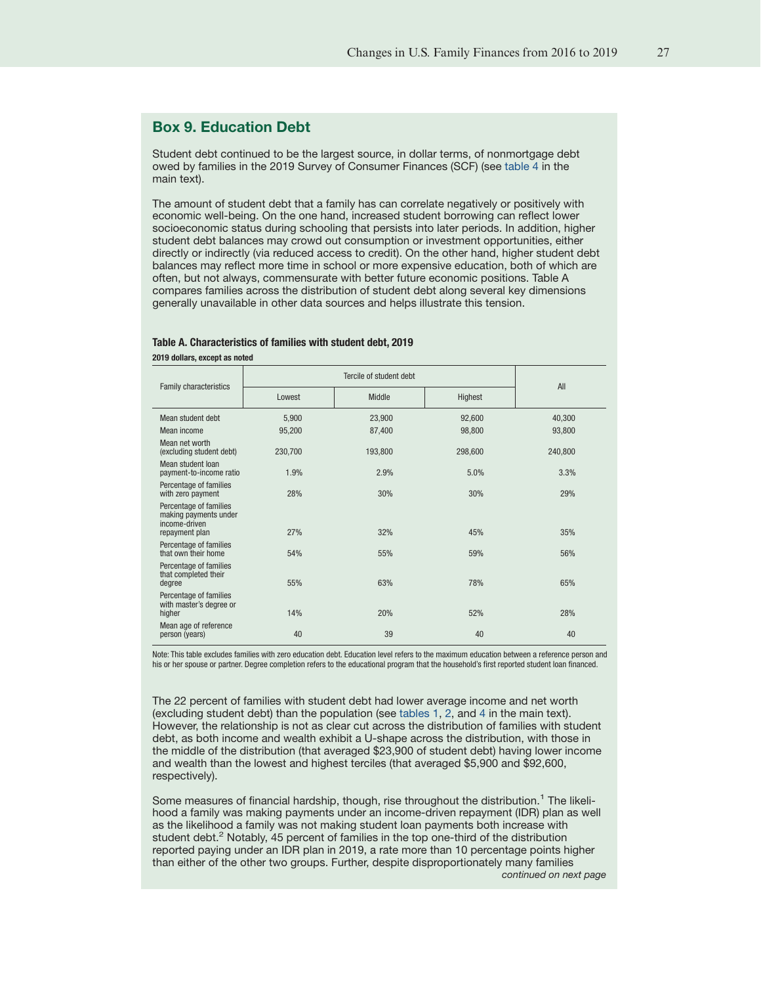# <span id="page-26-0"></span>Box 9. Education Debt

Student debt continued to be the largest source, in dollar terms, of nonmortgage debt owed by families in the 2019 Survey of Consumer Finances (SCF) (see [table 4](#page-22-0) in the main text).

The amount of student debt that a family has can correlate negatively or positively with economic well-being. On the one hand, increased student borrowing can reflect lower socioeconomic status during schooling that persists into later periods. In addition, higher student debt balances may crowd out consumption or investment opportunities, either directly or indirectly (via reduced access to credit). On the other hand, higher student debt balances may reflect more time in school or more expensive education, both of which are often, but not always, commensurate with better future economic positions. Table A compares families across the distribution of student debt along several key dimensions generally unavailable in other data sources and helps illustrate this tension.

#### Table A. Characteristics of families with student debt, 2019

2019 dollars, except as noted

|                                                                                    |         | All     |         |         |
|------------------------------------------------------------------------------------|---------|---------|---------|---------|
| <b>Family characteristics</b>                                                      | Lowest  | Middle  | Highest |         |
| Mean student debt                                                                  | 5,900   | 23,900  | 92,600  | 40,300  |
| Mean income                                                                        | 95,200  | 87,400  | 98,800  | 93,800  |
| Mean net worth<br>(excluding student debt)                                         | 230,700 | 193,800 | 298,600 | 240,800 |
| Mean student loan<br>payment-to-income ratio                                       | 1.9%    | 2.9%    | 5.0%    | 3.3%    |
| Percentage of families<br>with zero payment                                        | 28%     | 30%     | 30%     | 29%     |
| Percentage of families<br>making payments under<br>income-driven<br>repayment plan | 27%     | 32%     | 45%     | 35%     |
| Percentage of families<br>that own their home                                      | 54%     | 55%     | 59%     | 56%     |
| Percentage of families<br>that completed their<br>degree                           | 55%     | 63%     | 78%     | 65%     |
| Percentage of families<br>with master's degree or<br>higher                        | 14%     | 20%     | 52%     | 28%     |
| Mean age of reference<br>person (years)                                            | 40      | 39      | 40      | 40      |
|                                                                                    |         |         |         |         |

Note: This table excludes families with zero education debt. Education level refers to the maximum education between a reference person and his or her spouse or partner. Degree completion refers to the educational program that the household's first reported student loan financed.

The 22 percent of families with student debt had lower average income and net worth (excluding student debt) than the population (see [tables 1,](#page-6-0) [2,](#page-10-0) and [4](#page-22-0) in the main text). However, the relationship is not as clear cut across the distribution of families with student debt, as both income and wealth exhibit a U-shape across the distribution, with those in the middle of the distribution (that averaged \$23,900 of student debt) having lower income and wealth than the lowest and highest terciles (that averaged \$5,900 and \$92,600, respectively).

Some measures of financial hardship, though, rise throughout the distribution.<sup>1</sup> The likelihood a family was making payments under an income-driven repayment (IDR) plan as well as the likelihood a family was not making student loan payments both increase with student debt.<sup>2</sup> Notably, 45 percent of families in the top one-third of the distribution reported paying under an IDR plan in 2019, a rate more than 10 percentage points higher than either of the other two groups. Further, despite disproportionately many families continued on next page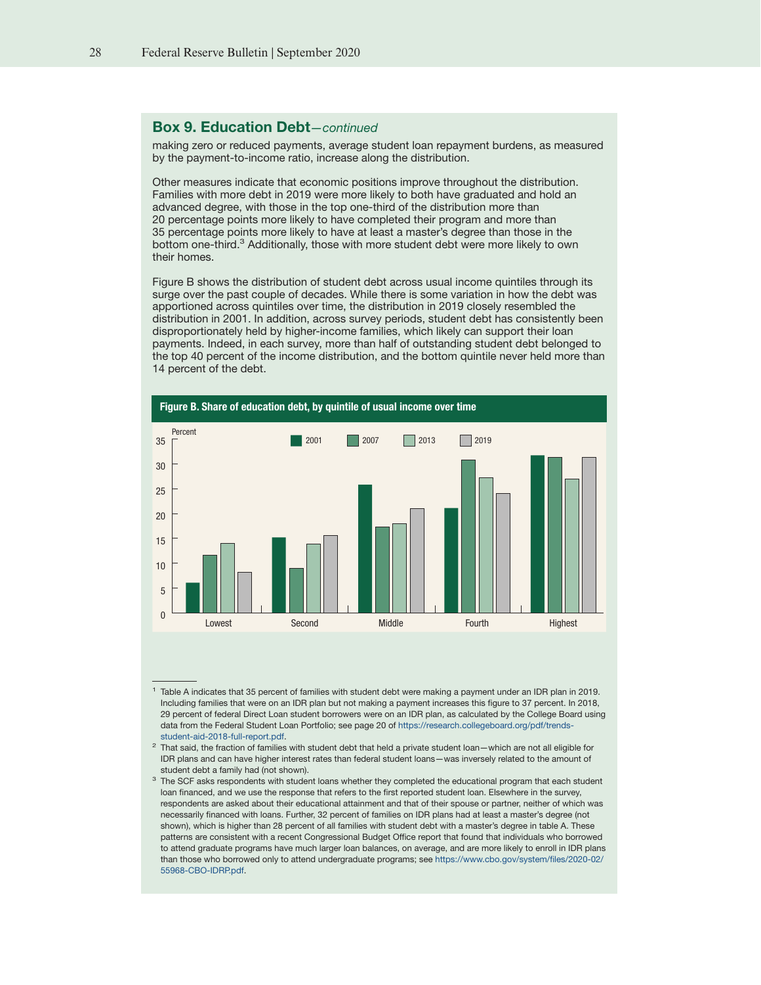# Box 9. Education Debt—continued

making zero or reduced payments, average student loan repayment burdens, as measured by the payment-to-income ratio, increase along the distribution.

Other measures indicate that economic positions improve throughout the distribution. Families with more debt in 2019 were more likely to both have graduated and hold an advanced degree, with those in the top one-third of the distribution more than 20 percentage points more likely to have completed their program and more than 35 percentage points more likely to have at least a master's degree than those in the bottom one-third.<sup>3</sup> Additionally, those with more student debt were more likely to own their homes.

Figure B shows the distribution of student debt across usual income quintiles through its surge over the past couple of decades. While there is some variation in how the debt was apportioned across quintiles over time, the distribution in 2019 closely resembled the distribution in 2001. In addition, across survey periods, student debt has consistently been disproportionately held by higher-income families, which likely can support their loan payments. Indeed, in each survey, more than half of outstanding student debt belonged to the top 40 percent of the income distribution, and the bottom quintile never held more than 14 percent of the debt.



<sup>1</sup> Table A indicates that 35 percent of families with student debt were making a payment under an IDR plan in 2019. Including families that were on an IDR plan but not making a payment increases this figure to 37 percent. In 2018, 29 percent of federal Direct Loan student borrowers were on an IDR plan, as calculated by the College Board using data from the Federal Student Loan Portfolio; see page 20 of [https://research.collegeboard.org/pdf/trends](https://research.collegeboard.org/pdf/trends-student-aid-2018-full-report.pdf)[student-aid-2018-full-report.pdf.](https://research.collegeboard.org/pdf/trends-student-aid-2018-full-report.pdf)

 $2$  That said, the fraction of families with student debt that held a private student loan—which are not all eligible for IDR plans and can have higher interest rates than federal student loans—was inversely related to the amount of student debt a family had (not shown).

 $3$  The SCF asks respondents with student loans whether they completed the educational program that each student loan financed, and we use the response that refers to the first reported student loan. Elsewhere in the survey, respondents are asked about their educational attainment and that of their spouse or partner, neither of which was necessarily financed with loans. Further, 32 percent of families on IDR plans had at least a master's degree (not shown), which is higher than 28 percent of all families with student debt with a master's degree in table A. These patterns are consistent with a recent Congressional Budget Office report that found that individuals who borrowed to attend graduate programs have much larger loan balances, on average, and are more likely to enroll in IDR plans than those who borrowed only to attend undergraduate programs; see [https://www.cbo.gov/system/files/2020-02/](https://www.cbo.gov/system/files/2020-02/55968-CBO-IDRP.pdf) [55968-CBO-IDRP.pdf.](https://www.cbo.gov/system/files/2020-02/55968-CBO-IDRP.pdf)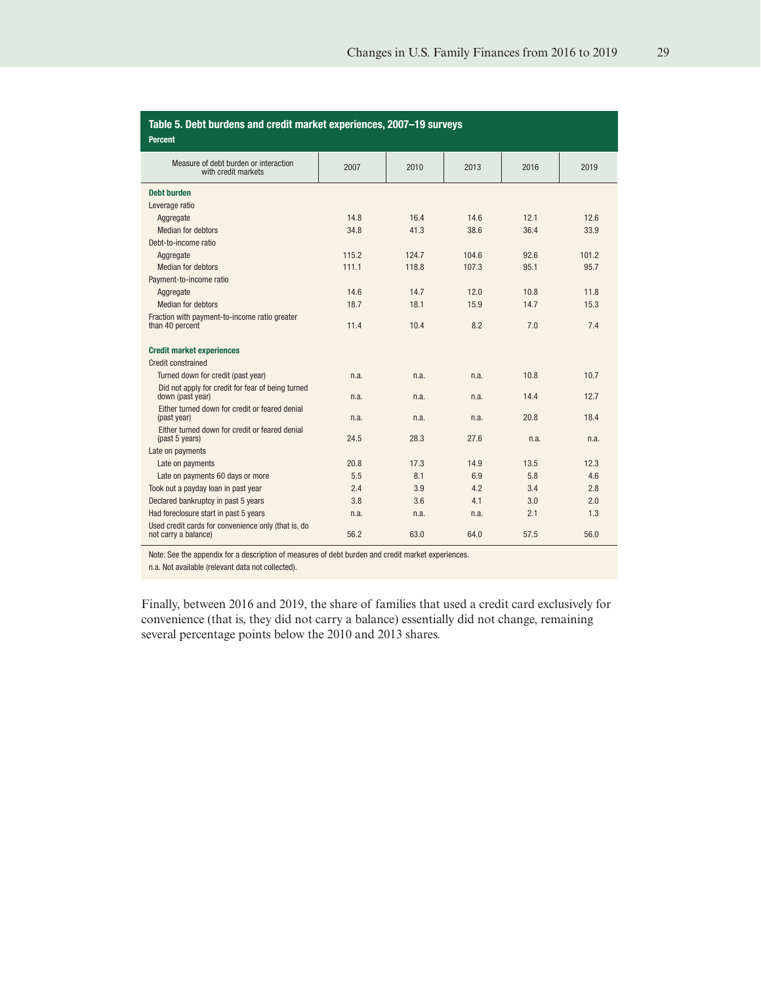<span id="page-28-0"></span>

| Table 5. Debt burdens and credit market experiences, 2007-19 surveys<br><b>Percent</b> |       |       |       |      |       |
|----------------------------------------------------------------------------------------|-------|-------|-------|------|-------|
| Measure of debt burden or interaction<br>with credit markets                           | 2007  | 2010  | 2013  | 2016 | 2019  |
| <b>Debt burden</b>                                                                     |       |       |       |      |       |
| Leverage ratio                                                                         |       |       |       |      |       |
| Aggregate                                                                              | 14.8  | 16.4  | 14.6  | 12.1 | 12.6  |
| Median for debtors                                                                     | 34.8  | 41.3  | 38.6  | 36.4 | 33.9  |
| Debt-to-income ratio                                                                   |       |       |       |      |       |
| Aggregate                                                                              | 115.2 | 124.7 | 104.6 | 92.6 | 101.2 |
| Median for debtors                                                                     | 111.1 | 118.8 | 107.3 | 95.1 | 95.7  |
| Payment-to-income ratio                                                                |       |       |       |      |       |
| Aggregate                                                                              | 14.6  | 14.7  | 12.0  | 10.8 | 11.8  |
| Median for debtors                                                                     | 18.7  | 18.1  | 15.9  | 14.7 | 15.3  |
| Fraction with payment-to-income ratio greater<br>than 40 percent                       | 11.4  | 10.4  | 8.2   | 7.0  | 7.4   |
| <b>Credit market experiences</b>                                                       |       |       |       |      |       |
| Credit constrained                                                                     |       |       |       |      |       |
| Turned down for credit (past year)                                                     | n.a.  | n.a.  | n.a.  | 10.8 | 10.7  |
| Did not apply for credit for fear of being turned<br>down (past year)                  | n.a.  | n.a.  | n.a.  | 14.4 | 12.7  |
| Either turned down for credit or feared denial<br>(past year)                          | n.a.  | n.a.  | n.a.  | 20.8 | 18.4  |
| Either turned down for credit or feared denial<br>(past 5 years)                       | 24.5  | 28.3  | 27.6  | n.a. | n.a.  |
| Late on payments                                                                       |       |       |       |      |       |
| Late on payments                                                                       | 20.8  | 17.3  | 14.9  | 13.5 | 12.3  |
| Late on payments 60 days or more                                                       | 5.5   | 8.1   | 6.9   | 5.8  | 4.6   |
| Took out a payday loan in past year                                                    | 2.4   | 3.9   | 4.2   | 3.4  | 2.8   |
| Declared bankruptcy in past 5 years                                                    | 3.8   | 3.6   | 4.1   | 3.0  | 2.0   |
| Had foreclosure start in past 5 years                                                  | n.a.  | n.a.  | n.a.  | 2.1  | 1.3   |
| Used credit cards for convenience only (that is, do<br>not carry a balance)            | 56.2  | 63.0  | 64.0  | 57.5 | 56.0  |

Note: See the appendix for a description of measures of debt burden and credit market experiences.

n.a. Not available (relevant data not collected).

Finally, between 2016 and 2019, the share of families that used a credit card exclusively for convenience (that is, they did not carry a balance) essentially did not change, remaining several percentage points below the 2010 and 2013 shares.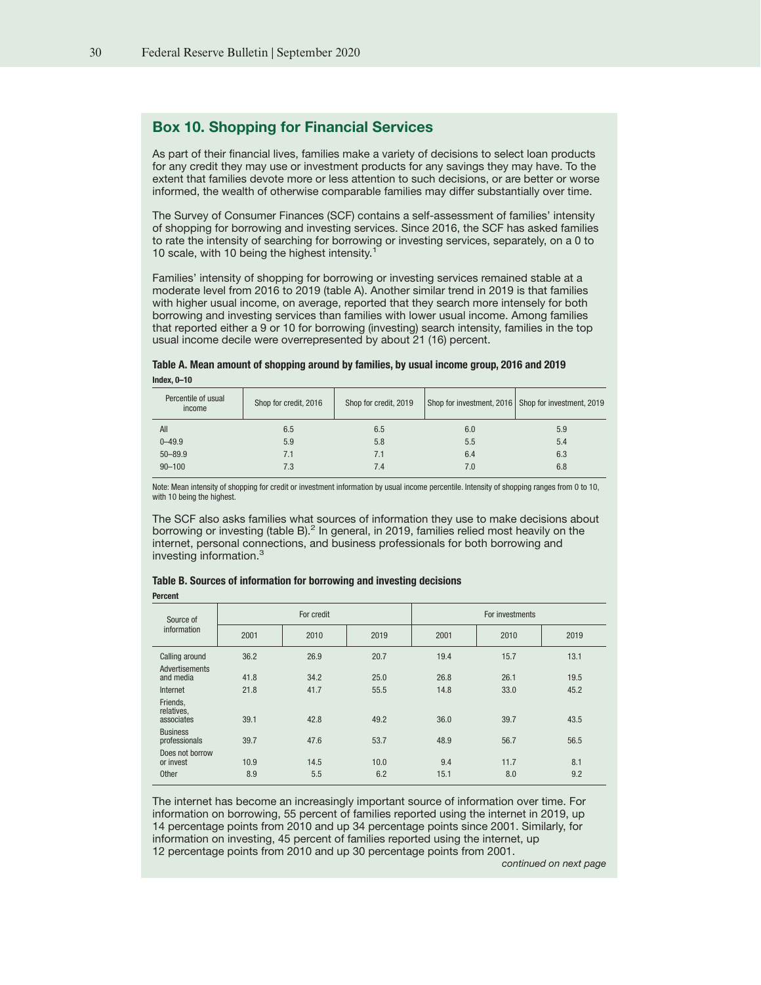# <span id="page-29-0"></span>Box 10. Shopping for Financial Services

As part of their financial lives, families make a variety of decisions to select loan products for any credit they may use or investment products for any savings they may have. To the extent that families devote more or less attention to such decisions, or are better or worse informed, the wealth of otherwise comparable families may differ substantially over time.

The Survey of Consumer Finances (SCF) contains a self-assessment of families' intensity of shopping for borrowing and investing services. Since 2016, the SCF has asked families to rate the intensity of searching for borrowing or investing services, separately, on a 0 to 10 scale, with 10 being the highest intensity.<sup>1</sup>

Families' intensity of shopping for borrowing or investing services remained stable at a moderate level from 2016 to 2019 (table A). Another similar trend in 2019 is that families with higher usual income, on average, reported that they search more intensely for both borrowing and investing services than families with lower usual income. Among families that reported either a 9 or 10 for borrowing (investing) search intensity, families in the top usual income decile were overrepresented by about 21 (16) percent.

| Table A. Mean amount of shopping around by families, by usual income group, 2016 and 2019 |  |
|-------------------------------------------------------------------------------------------|--|
| Index, $0 - 10$                                                                           |  |

| Percentile of usual<br>income | Shop for credit, 2016 | Shop for credit, 2019 |     | Shop for investment, 2016   Shop for investment, 2019 |
|-------------------------------|-----------------------|-----------------------|-----|-------------------------------------------------------|
| All                           | 6.5                   | 6.5                   | 6.0 | 5.9                                                   |
| $0 - 49.9$                    | 5.9                   | 5.8                   | 5.5 | 5.4                                                   |
| $50 - 89.9$                   | 7.1                   | 7.1                   | 6.4 | 6.3                                                   |
| $90 - 100$                    | 7.3                   | 7.4                   | 7.0 | 6.8                                                   |
|                               |                       |                       |     |                                                       |

Note: Mean intensity of shopping for credit or investment information by usual income percentile. Intensity of shopping ranges from 0 to 10, with 10 being the highest.

The SCF also asks families what sources of information they use to make decisions about borrowing or investing (table B).<sup>2</sup> In general, in 2019, families relied most heavily on the internet, personal connections, and business professionals for both borrowing and investing information.<sup>3</sup>

| Table B. Sources of information for borrowing and investing decisions |  |  |
|-----------------------------------------------------------------------|--|--|
|-----------------------------------------------------------------------|--|--|

Percent

| Source of                            |      | For credit |      |      | For investments |      |
|--------------------------------------|------|------------|------|------|-----------------|------|
| information                          | 2001 | 2010       | 2019 | 2001 | 2010            | 2019 |
| Calling around                       | 36.2 | 26.9       | 20.7 | 19.4 | 15.7            | 13.1 |
| Advertisements<br>and media          | 41.8 | 34.2       | 25.0 | 26.8 | 26.1            | 19.5 |
| Internet                             | 21.8 | 41.7       | 55.5 | 14.8 | 33.0            | 45.2 |
| Friends,<br>relatives,<br>associates | 39.1 | 42.8       | 49.2 | 36.0 | 39.7            | 43.5 |
| <b>Business</b><br>professionals     | 39.7 | 47.6       | 53.7 | 48.9 | 56.7            | 56.5 |
| Does not borrow<br>or invest         | 10.9 | 14.5       | 10.0 | 9.4  | 11.7            | 8.1  |
| Other                                | 8.9  | 5.5        | 6.2  | 15.1 | 8.0             | 9.2  |

The internet has become an increasingly important source of information over time. For information on borrowing, 55 percent of families reported using the internet in 2019, up 14 percentage points from 2010 and up 34 percentage points since 2001. Similarly, for information on investing, 45 percent of families reported using the internet, up 12 percentage points from 2010 and up 30 percentage points from 2001.

continued on next page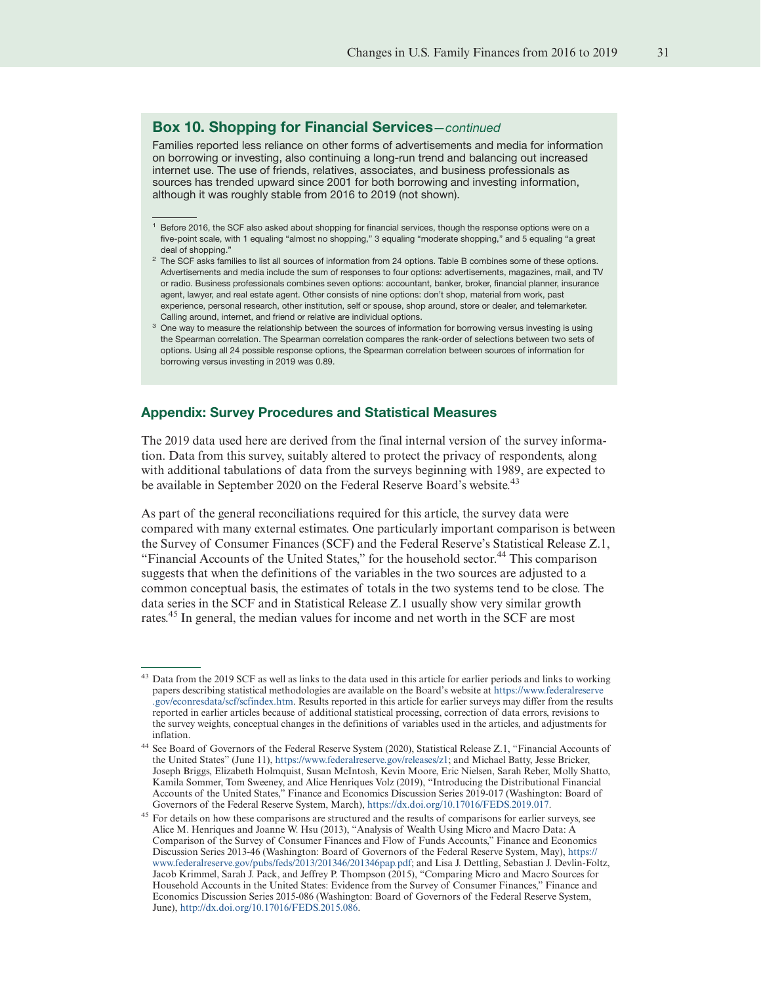### Box 10. Shopping for Financial Services—continued

Families reported less reliance on other forms of advertisements and media for information on borrowing or investing, also continuing a long-run trend and balancing out increased internet use. The use of friends, relatives, associates, and business professionals as sources has trended upward since 2001 for both borrowing and investing information, although it was roughly stable from 2016 to 2019 (not shown).

- $2$  The SCF asks families to list all sources of information from 24 options. Table B combines some of these options. Advertisements and media include the sum of responses to four options: advertisements, magazines, mail, and TV or radio. Business professionals combines seven options: accountant, banker, broker, financial planner, insurance agent, lawyer, and real estate agent. Other consists of nine options: don't shop, material from work, past experience, personal research, other institution, self or spouse, shop around, store or dealer, and telemarketer. Calling around, internet, and friend or relative are individual options.
- <sup>3</sup> One way to measure the relationship between the sources of information for borrowing versus investing is using the Spearman correlation. The Spearman correlation compares the rank-order of selections between two sets of options. Using all 24 possible response options, the Spearman correlation between sources of information for borrowing versus investing in 2019 was 0.89.

#### Appendix: Survey Procedures and Statistical Measures

The 2019 data used here are derived from the final internal version of the survey information. Data from this survey, suitably altered to protect the privacy of respondents, along with additional tabulations of data from the surveys beginning with 1989, are expected to be available in September 2020 on the Federal Reserve Board's website.<sup>43</sup>

As part of the general reconciliations required for this article, the survey data were compared with many external estimates. One particularly important comparison is between the Survey of Consumer Finances (SCF) and the Federal Reserve's Statistical Release Z.1, "Financial Accounts of the United States," for the household sector.<sup>44</sup> This comparison suggests that when the definitions of the variables in the two sources are adjusted to a common conceptual basis, the estimates of totals in the two systems tend to be close. The data series in the SCF and in Statistical Release Z.1 usually show very similar growth rates.<sup>45</sup> In general, the median values for income and net worth in the SCF are most

<sup>&</sup>lt;sup>1</sup> Before 2016, the SCF also asked about shopping for financial services, though the response options were on a five-point scale, with 1 equaling "almost no shopping," 3 equaling "moderate shopping," and 5 equaling "a great deal of shopping."

Data from the 2019 SCF as well as links to the data used in this article for earlier periods and links to working papers describing statistical methodologies are available on the Board's website at [https://www.federalreserve](https://www.federalreserve.gov/econresdata/scf/scfindex.htm) [.gov/econresdata/scf/scfindex.htm.](https://www.federalreserve.gov/econresdata/scf/scfindex.htm) Results reported in this article for earlier surveys may differ from the results reported in earlier articles because of additional statistical processing, correction of data errors, revisions to the survey weights, conceptual changes in the definitions of variables used in the articles, and adjustments for inflation.

<sup>44</sup> See Board of Governors of the Federal Reserve System (2020), Statistical Release Z.1, "Financial Accounts of the United States" (June 11), [https://www.federalreserve.gov/releases/z1;](https://www.federalreserve.gov/releases/z1) and Michael Batty, Jesse Bricker, Joseph Briggs, Elizabeth Holmquist, Susan McIntosh, Kevin Moore, Eric Nielsen, Sarah Reber, Molly Shatto, Kamila Sommer, Tom Sweeney, and Alice Henriques Volz (2019), "Introducing the Distributional Financial Accounts of the United States," Finance and Economics Discussion Series 2019-017 (Washington: Board of Governors of the Federal Reserve System, March), [https://dx.doi.org/10.17016/FEDS.2019.017.](https://dx.doi.org/10.17016/FEDS.2019.017)

<sup>45</sup> For details on how these comparisons are structured and the results of comparisons for earlier surveys, see Alice M. Henriques and Joanne W. Hsu (2013), "Analysis of Wealth Using Micro and Macro Data: A Comparison of the Survey of Consumer Finances and Flow of Funds Accounts," Finance and Economics Discussion Series 2013-46 (Washington: Board of Governors of the Federal Reserve System, May), [https://](https://www.federalreserve.gov/pubs/feds/2013/201346/201346pap.pdf) [www.federalreserve.gov/pubs/feds/2013/201346/201346pap.pdf;](https://www.federalreserve.gov/pubs/feds/2013/201346/201346pap.pdf) and Lisa J. Dettling, Sebastian J. Devlin-Foltz, Jacob Krimmel, Sarah J. Pack, and Jeffrey P. Thompson (2015), "Comparing Micro and Macro Sources for Household Accounts in the United States: Evidence from the Survey of Consumer Finances," Finance and Economics Discussion Series 2015-086 (Washington: Board of Governors of the Federal Reserve System, June), [http://dx.doi.org/10.17016/FEDS.2015.086.](http://dx.doi.org/10.17016/FEDS.2015.086)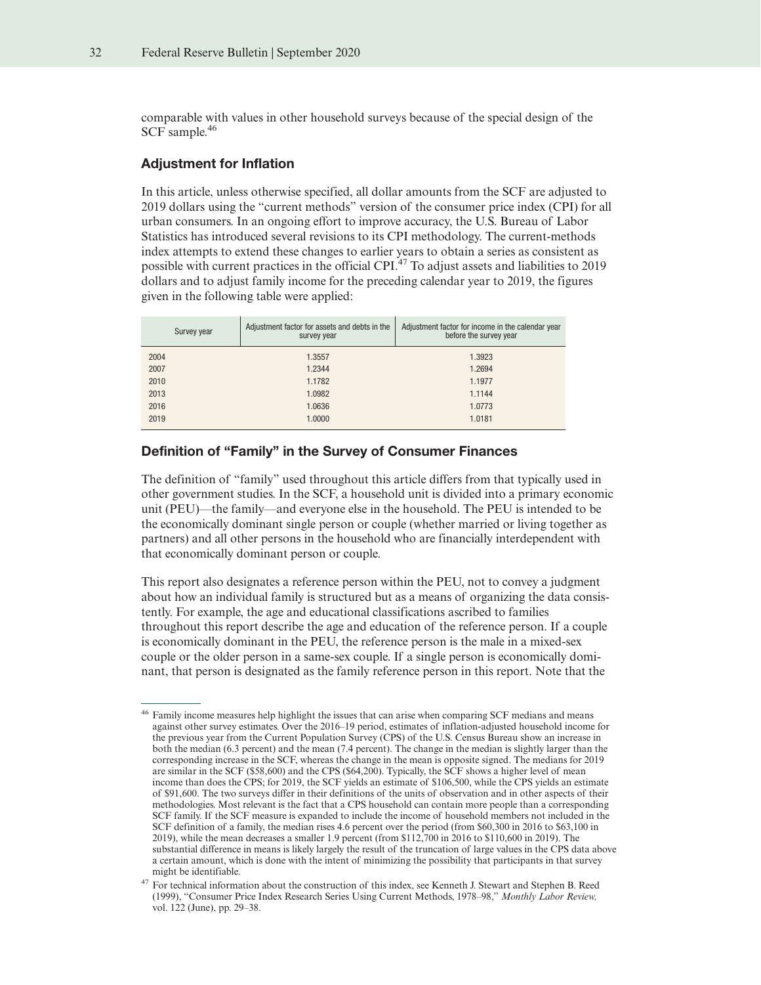comparable with values in other household surveys because of the special design of the SCF sample.<sup>46</sup>

#### Adjustment for Inflation

In this article, unless otherwise specified, all dollar amounts from the SCF are adjusted to 2019 dollars using the "current methods" version of the consumer price index (CPI) for all urban consumers. In an ongoing effort to improve accuracy, the U.S. Bureau of Labor Statistics has introduced several revisions to its CPI methodology. The current-methods index attempts to extend these changes to earlier years to obtain a series as consistent as possible with current practices in the official CPI.<sup>47</sup> To adjust assets and liabilities to 2019 dollars and to adjust family income for the preceding calendar year to 2019, the figures given in the following table were applied:

| Survey year | Adjustment factor for assets and debts in the<br>survey year | Adjustment factor for income in the calendar year<br>before the survey year |
|-------------|--------------------------------------------------------------|-----------------------------------------------------------------------------|
| 2004        | 1.3557                                                       | 1.3923                                                                      |
| 2007        | 1.2344                                                       | 1.2694                                                                      |
| 2010        | 1.1782                                                       | 1.1977                                                                      |
| 2013        | 1.0982                                                       | 1.1144                                                                      |
| 2016        | 1.0636                                                       | 1.0773                                                                      |
| 2019        | 1.0000                                                       | 1.0181                                                                      |
|             |                                                              |                                                                             |

# Definition of "Family" in the Survey of Consumer Finances

The definition of "family" used throughout this article differs from that typically used in other government studies. In the SCF, a household unit is divided into a primary economic unit (PEU)—the family—and everyone else in the household. The PEU is intended to be the economically dominant single person or couple (whether married or living together as partners) and all other persons in the household who are financially interdependent with that economically dominant person or couple.

This report also designates a reference person within the PEU, not to convey a judgment about how an individual family is structured but as a means of organizing the data consistently. For example, the age and educational classifications ascribed to families throughout this report describe the age and education of the reference person. If a couple is economically dominant in the PEU, the reference person is the male in a mixed-sex couple or the older person in a same-sex couple. If a single person is economically dominant, that person is designated as the family reference person in this report. Note that the

<sup>&</sup>lt;sup>46</sup> Family income measures help highlight the issues that can arise when comparing SCF medians and means against other survey estimates. Over the 2016–19 period, estimates of inflation-adjusted household income for the previous year from the Current Population Survey (CPS) of the U.S. Census Bureau show an increase in both the median (6.3 percent) and the mean (7.4 percent). The change in the median is slightly larger than the corresponding increase in the SCF, whereas the change in the mean is opposite signed. The medians for 2019 are similar in the SCF (\$58,600) and the CPS (\$64,200). Typically, the SCF shows a higher level of mean income than does the CPS; for 2019, the SCF yields an estimate of \$106,500, while the CPS yields an estimate of \$91,600. The two surveys differ in their definitions of the units of observation and in other aspects of their methodologies. Most relevant is the fact that a CPS household can contain more people than a corresponding SCF family. If the SCF measure is expanded to include the income of household members not included in the SCF definition of a family, the median rises 4.6 percent over the period (from \$60,300 in 2016 to \$63,100 in 2019), while the mean decreases a smaller 1.9 percent (from \$112,700 in 2016 to \$110,600 in 2019). The substantial difference in means is likely largely the result of the truncation of large values in the CPS data above a certain amount, which is done with the intent of minimizing the possibility that participants in that survey might be identifiable.

<sup>&</sup>lt;sup>47</sup> For technical information about the construction of this index, see Kenneth J. Stewart and Stephen B. Reed (1999), "Consumer Price Index Research Series Using Current Methods, 1978–98," *Monthly Labor Review,* vol. 122 (June), pp. 29–38.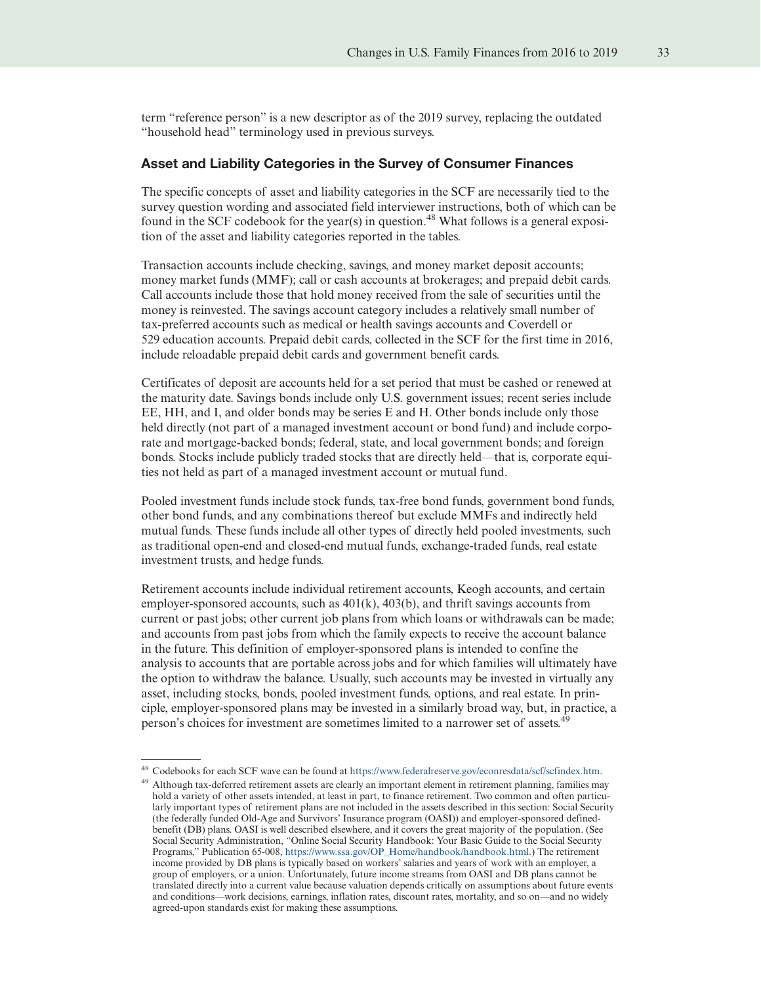term "reference person" is a new descriptor as of the 2019 survey, replacing the outdated "household head" terminology used in previous surveys.

#### Asset and Liability Categories in the Survey of Consumer Finances

The specific concepts of asset and liability categories in the SCF are necessarily tied to the survey question wording and associated field interviewer instructions, both of which can be found in the SCF codebook for the year(s) in question.<sup>48</sup> What follows is a general exposition of the asset and liability categories reported in the tables.

Transaction accounts include checking, savings, and money market deposit accounts; money market funds (MMF); call or cash accounts at brokerages; and prepaid debit cards. Call accounts include those that hold money received from the sale of securities until the money is reinvested. The savings account category includes a relatively small number of tax-preferred accounts such as medical or health savings accounts and Coverdell or 529 education accounts. Prepaid debit cards, collected in the SCF for the first time in 2016, include reloadable prepaid debit cards and government benefit cards.

Certificates of deposit are accounts held for a set period that must be cashed or renewed at the maturity date. Savings bonds include only U.S. government issues; recent series include EE, HH, and I, and older bonds may be series E and H. Other bonds include only those held directly (not part of a managed investment account or bond fund) and include corporate and mortgage-backed bonds; federal, state, and local government bonds; and foreign bonds. Stocks include publicly traded stocks that are directly held—that is, corporate equities not held as part of a managed investment account or mutual fund.

Pooled investment funds include stock funds, tax-free bond funds, government bond funds, other bond funds, and any combinations thereof but exclude MMFs and indirectly held mutual funds. These funds include all other types of directly held pooled investments, such as traditional open-end and closed-end mutual funds, exchange-traded funds, real estate investment trusts, and hedge funds.

Retirement accounts include individual retirement accounts, Keogh accounts, and certain employer-sponsored accounts, such as  $401(k)$ ,  $403(b)$ , and thrift savings accounts from current or past jobs; other current job plans from which loans or withdrawals can be made; and accounts from past jobs from which the family expects to receive the account balance in the future. This definition of employer-sponsored plans is intended to confine the analysis to accounts that are portable across jobs and for which families will ultimately have the option to withdraw the balance. Usually, such accounts may be invested in virtually any asset, including stocks, bonds, pooled investment funds, options, and real estate. In principle, employer-sponsored plans may be invested in a similarly broad way, but, in practice, a person's choices for investment are sometimes limited to a narrower set of assets.<sup>49</sup>

<sup>48</sup> Codebooks for each SCF wave can be found at [https://www.federalreserve.gov/econresdata/scf/scfindex.htm.](https://www.federalreserve.gov/econresdata/scf/scfindex.htm)

<sup>&</sup>lt;sup>49</sup> Although tax-deferred retirement assets are clearly an important element in retirement planning, families may hold a variety of other assets intended, at least in part, to finance retirement. Two common and often particularly important types of retirement plans are not included in the assets described in this section: Social Security (the federally funded Old-Age and Survivors' Insurance program (OASI)) and employer-sponsored definedbenefit (DB) plans. OASI is well described elsewhere, and it covers the great majority of the population. (See Social Security Administration, "Online Social Security Handbook: Your Basic Guide to the Social Security Programs," Publication 65-008, [https://www.ssa.gov/OP\\_Home/handbook/handbook.html.](https://www.ssa.gov/OP_Home/handbook/handbook.html)) The retirement income provided by DB plans is typically based on workers' salaries and years of work with an employer, a group of employers, or a union. Unfortunately, future income streams from OASI and DB plans cannot be translated directly into a current value because valuation depends critically on assumptions about future events and conditions—work decisions, earnings, inflation rates, discount rates, mortality, and so on—and no widely agreed-upon standards exist for making these assumptions.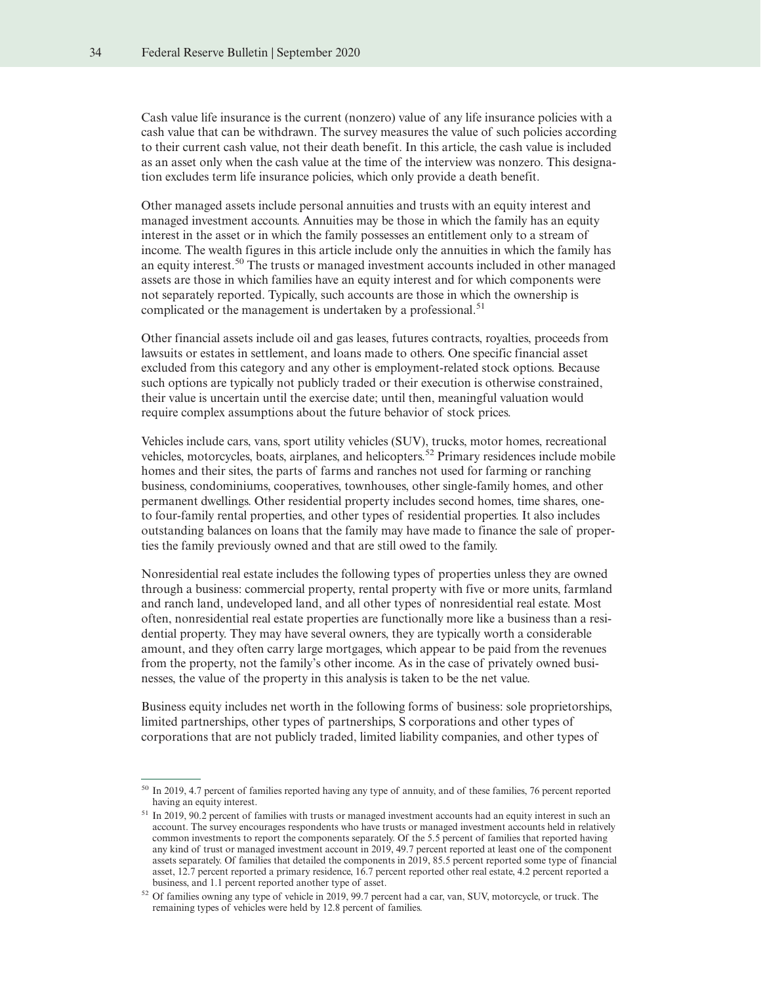Cash value life insurance is the current (nonzero) value of any life insurance policies with a cash value that can be withdrawn. The survey measures the value of such policies according to their current cash value, not their death benefit. In this article, the cash value is included as an asset only when the cash value at the time of the interview was nonzero. This designation excludes term life insurance policies, which only provide a death benefit.

Other managed assets include personal annuities and trusts with an equity interest and managed investment accounts. Annuities may be those in which the family has an equity interest in the asset or in which the family possesses an entitlement only to a stream of income. The wealth figures in this article include only the annuities in which the family has an equity interest.<sup>50</sup> The trusts or managed investment accounts included in other managed assets are those in which families have an equity interest and for which components were not separately reported. Typically, such accounts are those in which the ownership is complicated or the management is undertaken by a professional.<sup>51</sup>

Other financial assets include oil and gas leases, futures contracts, royalties, proceeds from lawsuits or estates in settlement, and loans made to others. One specific financial asset excluded from this category and any other is employment-related stock options. Because such options are typically not publicly traded or their execution is otherwise constrained, their value is uncertain until the exercise date; until then, meaningful valuation would require complex assumptions about the future behavior of stock prices.

Vehicles include cars, vans, sport utility vehicles (SUV), trucks, motor homes, recreational vehicles, motorcycles, boats, airplanes, and helicopters. <sup>52</sup> Primary residences include mobile homes and their sites, the parts of farms and ranches not used for farming or ranching business, condominiums, cooperatives, townhouses, other single-family homes, and other permanent dwellings. Other residential property includes second homes, time shares, oneto four-family rental properties, and other types of residential properties. It also includes outstanding balances on loans that the family may have made to finance the sale of properties the family previously owned and that are still owed to the family.

Nonresidential real estate includes the following types of properties unless they are owned through a business: commercial property, rental property with five or more units, farmland and ranch land, undeveloped land, and all other types of nonresidential real estate. Most often, nonresidential real estate properties are functionally more like a business than a residential property. They may have several owners, they are typically worth a considerable amount, and they often carry large mortgages, which appear to be paid from the revenues from the property, not the family's other income. As in the case of privately owned businesses, the value of the property in this analysis is taken to be the net value.

Business equity includes net worth in the following forms of business: sole proprietorships, limited partnerships, other types of partnerships, S corporations and other types of corporations that are not publicly traded, limited liability companies, and other types of

<sup>50</sup> In 2019, 4.7 percent of families reported having any type of annuity, and of these families, 76 percent reported having an equity interest.

 $51$  In 2019, 90.2 percent of families with trusts or managed investment accounts had an equity interest in such an account. The survey encourages respondents who have trusts or managed investment accounts held in relatively common investments to report the components separately. Of the 5.5 percent of families that reported having any kind of trust or managed investment account in 2019, 49.7 percent reported at least one of the component assets separately. Of families that detailed the components in 2019, 85.5 percent reported some type of financial asset, 12.7 percent reported a primary residence, 16.7 percent reported other real estate, 4.2 percent reported a business, and 1.1 percent reported another type of asset.

<sup>52</sup> Of families owning any type of vehicle in 2019, 99.7 percent had a car, van, SUV, motorcycle, or truck. The remaining types of vehicles were held by 12.8 percent of families.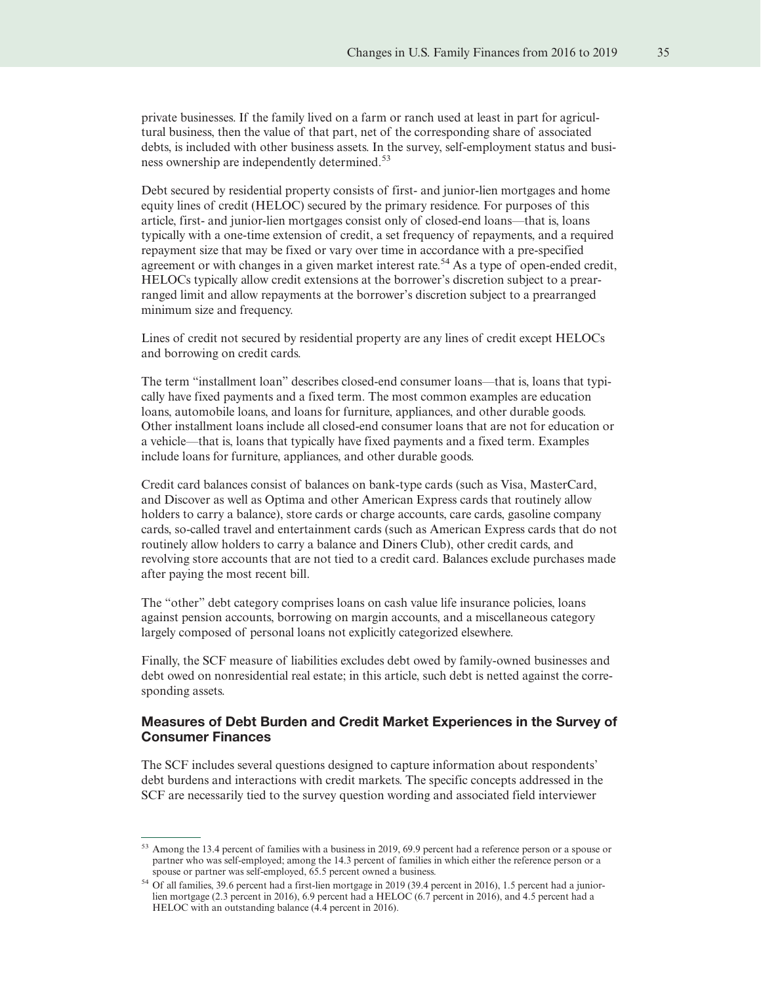private businesses. If the family lived on a farm or ranch used at least in part for agricultural business, then the value of that part, net of the corresponding share of associated debts, is included with other business assets. In the survey, self-employment status and business ownership are independently determined.<sup>53</sup>

Debt secured by residential property consists of first- and junior-lien mortgages and home equity lines of credit (HELOC) secured by the primary residence. For purposes of this article, first- and junior-lien mortgages consist only of closed-end loans—that is, loans typically with a one-time extension of credit, a set frequency of repayments, and a required repayment size that may be fixed or vary over time in accordance with a pre-specified agreement or with changes in a given market interest rate.<sup>54</sup> As a type of open-ended credit, HELOCs typically allow credit extensions at the borrower's discretion subject to a prearranged limit and allow repayments at the borrower's discretion subject to a prearranged minimum size and frequency.

Lines of credit not secured by residential property are any lines of credit except HELOCs and borrowing on credit cards.

The term "installment loan" describes closed-end consumer loans—that is, loans that typically have fixed payments and a fixed term. The most common examples are education loans, automobile loans, and loans for furniture, appliances, and other durable goods. Other installment loans include all closed-end consumer loans that are not for education or a vehicle—that is, loans that typically have fixed payments and a fixed term. Examples include loans for furniture, appliances, and other durable goods.

Credit card balances consist of balances on bank-type cards (such as Visa, MasterCard, and Discover as well as Optima and other American Express cards that routinely allow holders to carry a balance), store cards or charge accounts, care cards, gasoline company cards, so-called travel and entertainment cards (such as American Express cards that do not routinely allow holders to carry a balance and Diners Club), other credit cards, and revolving store accounts that are not tied to a credit card. Balances exclude purchases made after paying the most recent bill.

The "other" debt category comprises loans on cash value life insurance policies, loans against pension accounts, borrowing on margin accounts, and a miscellaneous category largely composed of personal loans not explicitly categorized elsewhere.

Finally, the SCF measure of liabilities excludes debt owed by family-owned businesses and debt owed on nonresidential real estate; in this article, such debt is netted against the corresponding assets.

#### Measures of Debt Burden and Credit Market Experiences in the Survey of Consumer Finances

The SCF includes several questions designed to capture information about respondents' debt burdens and interactions with credit markets. The specific concepts addressed in the SCF are necessarily tied to the survey question wording and associated field interviewer

<sup>53</sup> Among the 13.4 percent of families with a business in 2019, 69.9 percent had a reference person or a spouse or partner who was self-employed; among the 14.3 percent of families in which either the reference person or a spouse or partner was self-employed, 65.5 percent owned a business.

<sup>54</sup> Of all families, 39.6 percent had a first-lien mortgage in 2019 (39.4 percent in 2016), 1.5 percent had a juniorlien mortgage (2.3 percent in 2016), 6.9 percent had a HELOC (6.7 percent in 2016), and 4.5 percent had a HELOC with an outstanding balance (4.4 percent in 2016).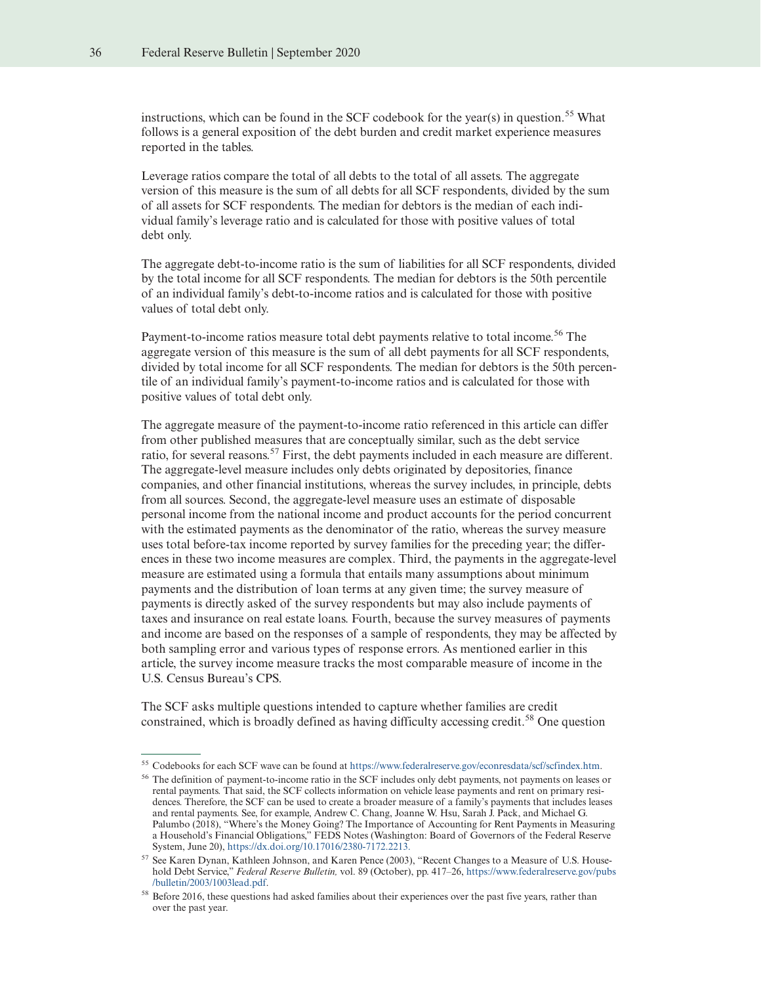instructions, which can be found in the SCF codebook for the year(s) in question.<sup>55</sup> What follows is a general exposition of the debt burden and credit market experience measures reported in the tables.

Leverage ratios compare the total of all debts to the total of all assets. The aggregate version of this measure is the sum of all debts for all SCF respondents, divided by the sum of all assets for SCF respondents. The median for debtors is the median of each individual family's leverage ratio and is calculated for those with positive values of total debt only.

The aggregate debt-to-income ratio is the sum of liabilities for all SCF respondents, divided by the total income for all SCF respondents. The median for debtors is the 50th percentile of an individual family's debt-to-income ratios and is calculated for those with positive values of total debt only.

Payment-to-income ratios measure total debt payments relative to total income.<sup>56</sup> The aggregate version of this measure is the sum of all debt payments for all SCF respondents, divided by total income for all SCF respondents. The median for debtors is the 50th percentile of an individual family's payment-to-income ratios and is calculated for those with positive values of total debt only.

The aggregate measure of the payment-to-income ratio referenced in this article can differ from other published measures that are conceptually similar, such as the debt service ratio, for several reasons.<sup>57</sup> First, the debt payments included in each measure are different. The aggregate-level measure includes only debts originated by depositories, finance companies, and other financial institutions, whereas the survey includes, in principle, debts from all sources. Second, the aggregate-level measure uses an estimate of disposable personal income from the national income and product accounts for the period concurrent with the estimated payments as the denominator of the ratio, whereas the survey measure uses total before-tax income reported by survey families for the preceding year; the differences in these two income measures are complex. Third, the payments in the aggregate-level measure are estimated using a formula that entails many assumptions about minimum payments and the distribution of loan terms at any given time; the survey measure of payments is directly asked of the survey respondents but may also include payments of taxes and insurance on real estate loans. Fourth, because the survey measures of payments and income are based on the responses of a sample of respondents, they may be affected by both sampling error and various types of response errors. As mentioned earlier in this article, the survey income measure tracks the most comparable measure of income in the U.S. Census Bureau's CPS.

The SCF asks multiple questions intended to capture whether families are credit constrained, which is broadly defined as having difficulty accessing credit.<sup>58</sup> One question

<sup>55</sup> Codebooks for each SCF wave can be found at [https://www.federalreserve.gov/econresdata/scf/scfindex.htm.](https://www.federalreserve.gov/econresdata/scf/scfindex.htm)

<sup>&</sup>lt;sup>56</sup> The definition of payment-to-income ratio in the SCF includes only debt payments, not payments on leases or rental payments. That said, the SCF collects information on vehicle lease payments and rent on primary residences. Therefore, the SCF can be used to create a broader measure of a family's payments that includes leases and rental payments. See, for example, Andrew C. Chang, Joanne W. Hsu, Sarah J. Pack, and Michael G. Palumbo (2018), "Where's the Money Going? The Importance of Accounting for Rent Payments in Measuring a Household's Financial Obligations," FEDS Notes (Washington: Board of Governors of the Federal Reserve System, June 20), [https://dx.doi.org/10.17016/2380-7172.2213.](https://dx.doi.org/10.17016/2380-7172.2213)

<sup>57</sup> See Karen Dynan, Kathleen Johnson, and Karen Pence (2003), "Recent Changes to a Measure of U.S. Household Debt Service," *Federal Reserve Bulletin,* vol. 89 (October), pp. 417–26, [https://www.federalreserve.gov/pubs](https://www.federalreserve.gov/pubs/bulletin/2003/1003lead.pdf) [/bulletin/2003/1003lead.pdf.](https://www.federalreserve.gov/pubs/bulletin/2003/1003lead.pdf)

<sup>58</sup> Before 2016, these questions had asked families about their experiences over the past five years, rather than over the past year.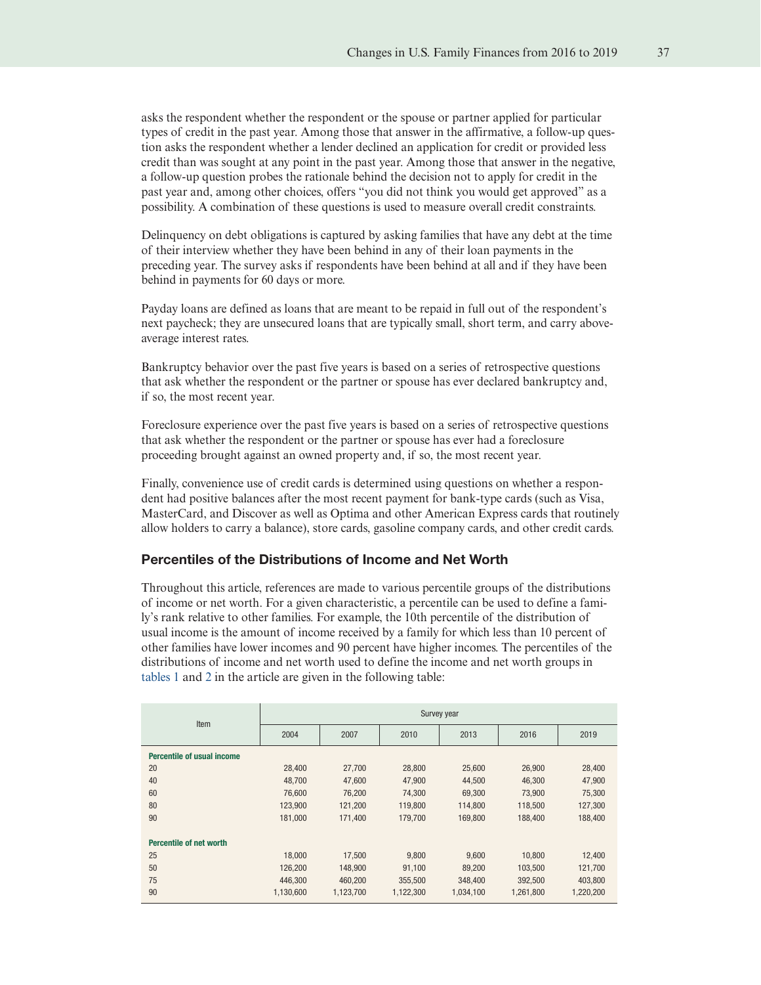asks the respondent whether the respondent or the spouse or partner applied for particular types of credit in the past year. Among those that answer in the affirmative, a follow-up question asks the respondent whether a lender declined an application for credit or provided less credit than was sought at any point in the past year. Among those that answer in the negative, a follow-up question probes the rationale behind the decision not to apply for credit in the past year and, among other choices, offers "you did not think you would get approved" as a possibility. A combination of these questions is used to measure overall credit constraints.

Delinquency on debt obligations is captured by asking families that have any debt at the time of their interview whether they have been behind in any of their loan payments in the preceding year. The survey asks if respondents have been behind at all and if they have been behind in payments for 60 days or more.

Payday loans are defined as loans that are meant to be repaid in full out of the respondent's next paycheck; they are unsecured loans that are typically small, short term, and carry aboveaverage interest rates.

Bankruptcy behavior over the past five years is based on a series of retrospective questions that ask whether the respondent or the partner or spouse has ever declared bankruptcy and, if so, the most recent year.

Foreclosure experience over the past five years is based on a series of retrospective questions that ask whether the respondent or the partner or spouse has ever had a foreclosure proceeding brought against an owned property and, if so, the most recent year.

Finally, convenience use of credit cards is determined using questions on whether a respondent had positive balances after the most recent payment for bank-type cards (such as Visa, MasterCard, and Discover as well as Optima and other American Express cards that routinely allow holders to carry a balance), store cards, gasoline company cards, and other credit cards.

# Percentiles of the Distributions of Income and Net Worth

Throughout this article, references are made to various percentile groups of the distributions of income or net worth. For a given characteristic, a percentile can be used to define a family's rank relative to other families. For example, the 10th percentile of the distribution of usual income is the amount of income received by a family for which less than 10 percent of other families have lower incomes and 90 percent have higher incomes. The percentiles of the distributions of income and net worth used to define the income and net worth groups in [tables 1](#page-6-0) and [2](#page-10-0) in the article are given in the following table:

| Item                              | Survey year |           |           |           |           |           |
|-----------------------------------|-------------|-----------|-----------|-----------|-----------|-----------|
|                                   | 2004        | 2007      | 2010      | 2013      | 2016      | 2019      |
| <b>Percentile of usual income</b> |             |           |           |           |           |           |
| 20                                | 28.400      | 27.700    | 28.800    | 25,600    | 26,900    | 28,400    |
| 40                                | 48,700      | 47,600    | 47,900    | 44,500    | 46,300    | 47,900    |
| 60                                | 76.600      | 76.200    | 74.300    | 69.300    | 73.900    | 75.300    |
| 80                                | 123,900     | 121,200   | 119,800   | 114,800   | 118,500   | 127,300   |
| 90                                | 181,000     | 171.400   | 179,700   | 169,800   | 188,400   | 188,400   |
| <b>Percentile of net worth</b>    |             |           |           |           |           |           |
| 25                                | 18.000      | 17,500    | 9,800     | 9,600     | 10.800    | 12,400    |
| 50                                | 126,200     | 148,900   | 91,100    | 89,200    | 103,500   | 121,700   |
| 75                                | 446.300     | 460.200   | 355.500   | 348,400   | 392,500   | 403.800   |
| 90                                | 1,130,600   | 1,123,700 | 1,122,300 | 1,034,100 | 1,261,800 | 1,220,200 |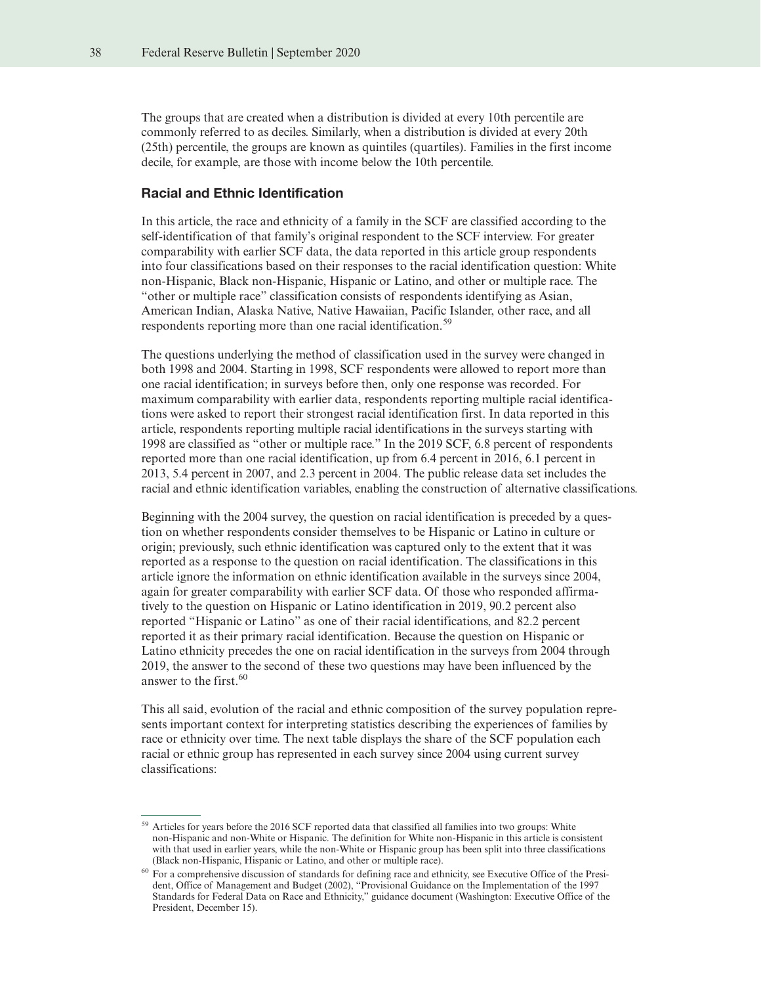The groups that are created when a distribution is divided at every 10th percentile are commonly referred to as deciles. Similarly, when a distribution is divided at every 20th (25th) percentile, the groups are known as quintiles (quartiles). Families in the first income decile, for example, are those with income below the 10th percentile.

#### Racial and Ethnic Identification

In this article, the race and ethnicity of a family in the SCF are classified according to the self-identification of that family's original respondent to the SCF interview. For greater comparability with earlier SCF data, the data reported in this article group respondents into four classifications based on their responses to the racial identification question: White non-Hispanic, Black non-Hispanic, Hispanic or Latino, and other or multiple race. The "other or multiple race" classification consists of respondents identifying as Asian, American Indian, Alaska Native, Native Hawaiian, Pacific Islander, other race, and all respondents reporting more than one racial identification.<sup>59</sup>

The questions underlying the method of classification used in the survey were changed in both 1998 and 2004. Starting in 1998, SCF respondents were allowed to report more than one racial identification; in surveys before then, only one response was recorded. For maximum comparability with earlier data, respondents reporting multiple racial identifications were asked to report their strongest racial identification first. In data reported in this article, respondents reporting multiple racial identifications in the surveys starting with 1998 are classified as "other or multiple race." In the 2019 SCF, 6.8 percent of respondents reported more than one racial identification, up from 6.4 percent in 2016, 6.1 percent in 2013, 5.4 percent in 2007, and 2.3 percent in 2004. The public release data set includes the racial and ethnic identification variables, enabling the construction of alternative classifications.

Beginning with the 2004 survey, the question on racial identification is preceded by a question on whether respondents consider themselves to be Hispanic or Latino in culture or origin; previously, such ethnic identification was captured only to the extent that it was reported as a response to the question on racial identification. The classifications in this article ignore the information on ethnic identification available in the surveys since 2004, again for greater comparability with earlier SCF data. Of those who responded affirmatively to the question on Hispanic or Latino identification in 2019, 90.2 percent also reported "Hispanic or Latino" as one of their racial identifications, and 82.2 percent reported it as their primary racial identification. Because the question on Hispanic or Latino ethnicity precedes the one on racial identification in the surveys from 2004 through 2019, the answer to the second of these two questions may have been influenced by the answer to the first  $60$ 

This all said, evolution of the racial and ethnic composition of the survey population represents important context for interpreting statistics describing the experiences of families by race or ethnicity over time. The next table displays the share of the SCF population each racial or ethnic group has represented in each survey since 2004 using current survey classifications:

<sup>&</sup>lt;sup>59</sup> Articles for years before the 2016 SCF reported data that classified all families into two groups: White non-Hispanic and non-White or Hispanic. The definition for White non-Hispanic in this article is consistent with that used in earlier years, while the non-White or Hispanic group has been split into three classifications (Black non-Hispanic, Hispanic or Latino, and other or multiple race).

<sup>60</sup> For a comprehensive discussion of standards for defining race and ethnicity, see Executive Office of the President, Office of Management and Budget (2002), "Provisional Guidance on the Implementation of the 1997 Standards for Federal Data on Race and Ethnicity," guidance document (Washington: Executive Office of the President, December 15).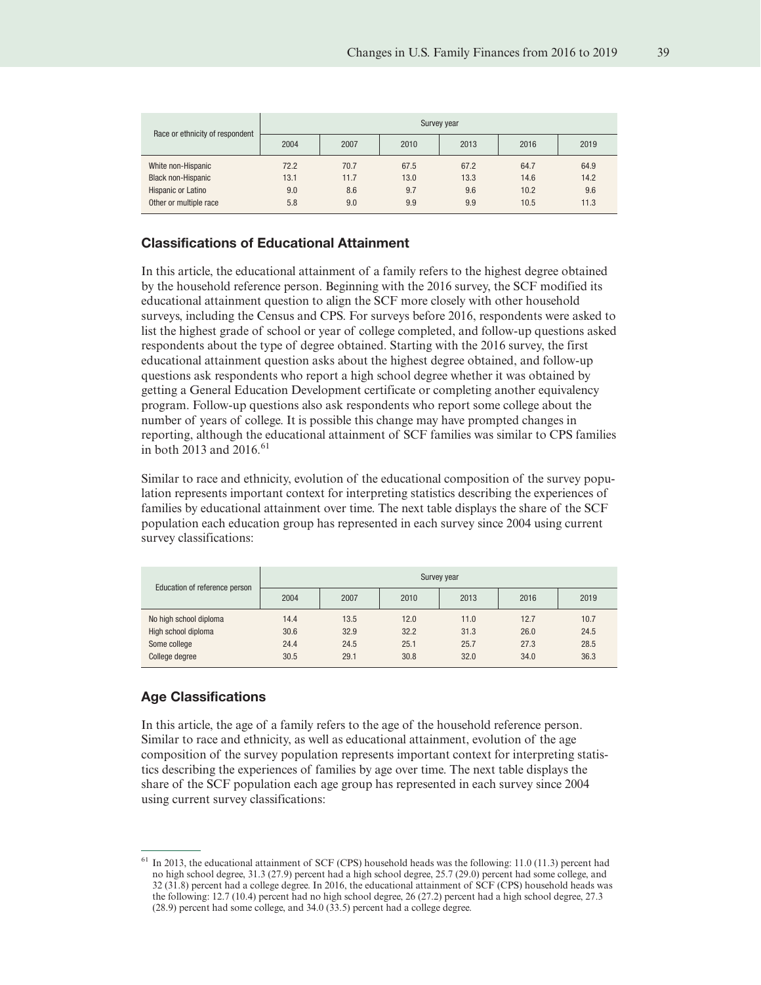| Race or ethnicity of respondent | Survey year |      |      |      |      |      |  |
|---------------------------------|-------------|------|------|------|------|------|--|
|                                 | 2004        | 2007 | 2010 | 2013 | 2016 | 2019 |  |
| White non-Hispanic              | 72.2        | 70.7 | 67.5 | 67.2 | 64.7 | 64.9 |  |
| <b>Black non-Hispanic</b>       | 13.1        | 11.7 | 13.0 | 13.3 | 14.6 | 14.2 |  |
| Hispanic or Latino              | 9.0         | 8.6  | 9.7  | 9.6  | 10.2 | 9.6  |  |
| Other or multiple race          | 5.8         | 9.0  | 9.9  | 9.9  | 10.5 | 11.3 |  |

#### Classifications of Educational Attainment

In this article, the educational attainment of a family refers to the highest degree obtained by the household reference person. Beginning with the 2016 survey, the SCF modified its educational attainment question to align the SCF more closely with other household surveys, including the Census and CPS. For surveys before 2016, respondents were asked to list the highest grade of school or year of college completed, and follow-up questions asked respondents about the type of degree obtained. Starting with the 2016 survey, the first educational attainment question asks about the highest degree obtained, and follow-up questions ask respondents who report a high school degree whether it was obtained by getting a General Education Development certificate or completing another equivalency program. Follow-up questions also ask respondents who report some college about the number of years of college. It is possible this change may have prompted changes in reporting, although the educational attainment of SCF families was similar to CPS families in both 2013 and 2016.<sup>61</sup>

Similar to race and ethnicity, evolution of the educational composition of the survey population represents important context for interpreting statistics describing the experiences of families by educational attainment over time. The next table displays the share of the SCF population each education group has represented in each survey since 2004 using current survey classifications:

| Education of reference person | Survey year |      |      |      |      |      |  |
|-------------------------------|-------------|------|------|------|------|------|--|
|                               | 2004        | 2007 | 2010 | 2013 | 2016 | 2019 |  |
| No high school diploma        | 14.4        | 13.5 | 12.0 | 11.0 | 12.7 | 10.7 |  |
| High school diploma           | 30.6        | 32.9 | 32.2 | 31.3 | 26.0 | 24.5 |  |
| Some college                  | 24.4        | 24.5 | 25.1 | 25.7 | 27.3 | 28.5 |  |
| College degree                | 30.5        | 29.1 | 30.8 | 32.0 | 34.0 | 36.3 |  |

# Age Classifications

In this article, the age of a family refers to the age of the household reference person. Similar to race and ethnicity, as well as educational attainment, evolution of the age composition of the survey population represents important context for interpreting statistics describing the experiences of families by age over time. The next table displays the share of the SCF population each age group has represented in each survey since 2004 using current survey classifications:

<sup>61</sup> In 2013, the educational attainment of SCF (CPS) household heads was the following: 11.0 (11.3) percent had no high school degree, 31.3 (27.9) percent had a high school degree, 25.7 (29.0) percent had some college, and 32 (31.8) percent had a college degree. In 2016, the educational attainment of SCF (CPS) household heads was the following: 12.7 (10.4) percent had no high school degree, 26 (27.2) percent had a high school degree, 27.3 (28.9) percent had some college, and 34.0 (33.5) percent had a college degree.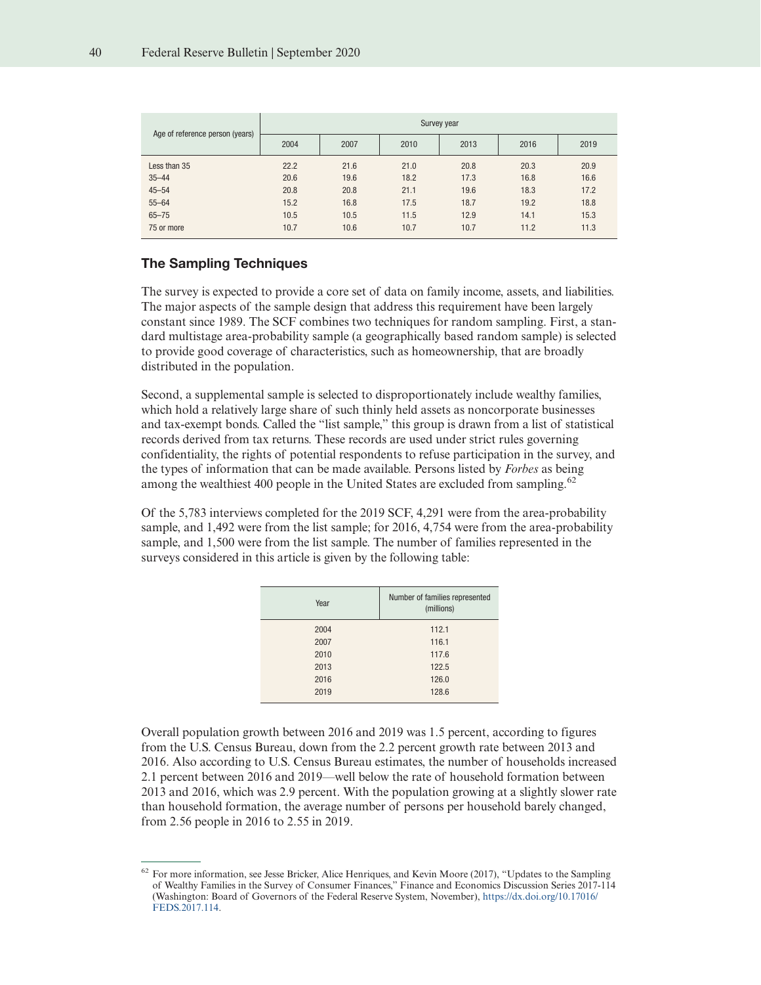|                                 | Survey year |      |      |      |      |      |  |
|---------------------------------|-------------|------|------|------|------|------|--|
| Age of reference person (years) | 2004        | 2007 | 2010 | 2013 | 2016 | 2019 |  |
| Less than 35                    | 22.2        | 21.6 | 21.0 | 20.8 | 20.3 | 20.9 |  |
| $35 - 44$                       | 20.6        | 19.6 | 18.2 | 17.3 | 16.8 | 16.6 |  |
| $45 - 54$                       | 20.8        | 20.8 | 21.1 | 19.6 | 18.3 | 17.2 |  |
| $55 - 64$                       | 15.2        | 16.8 | 17.5 | 18.7 | 19.2 | 18.8 |  |
| $65 - 75$                       | 10.5        | 10.5 | 11.5 | 12.9 | 14.1 | 15.3 |  |
| 75 or more                      | 10.7        | 10.6 | 10.7 | 10.7 | 11.2 | 11.3 |  |

# The Sampling Techniques

The survey is expected to provide a core set of data on family income, assets, and liabilities. The major aspects of the sample design that address this requirement have been largely constant since 1989. The SCF combines two techniques for random sampling. First, a standard multistage area-probability sample (a geographically based random sample) is selected to provide good coverage of characteristics, such as homeownership, that are broadly distributed in the population.

Second, a supplemental sample is selected to disproportionately include wealthy families, which hold a relatively large share of such thinly held assets as noncorporate businesses and tax-exempt bonds. Called the "list sample," this group is drawn from a list of statistical records derived from tax returns. These records are used under strict rules governing confidentiality, the rights of potential respondents to refuse participation in the survey, and the types of information that can be made available. Persons listed by *Forbes* as being among the wealthiest 400 people in the United States are excluded from sampling.<sup>62</sup>

Of the 5,783 interviews completed for the 2019 SCF, 4,291 were from the area-probability sample, and 1,492 were from the list sample; for 2016, 4,754 were from the area-probability sample, and 1,500 were from the list sample. The number of families represented in the surveys considered in this article is given by the following table:

| Year | Number of families represented<br>(millions) |
|------|----------------------------------------------|
| 2004 | 112.1                                        |
| 2007 | 116.1                                        |
| 2010 | 117.6                                        |
| 2013 | 122.5                                        |
| 2016 | 126.0                                        |
| 2019 | 128.6                                        |
|      |                                              |

Overall population growth between 2016 and 2019 was 1.5 percent, according to figures from the U.S. Census Bureau, down from the 2.2 percent growth rate between 2013 and 2016. Also according to U.S. Census Bureau estimates, the number of households increased 2.1 percent between 2016 and 2019—well below the rate of household formation between 2013 and 2016, which was 2.9 percent. With the population growing at a slightly slower rate than household formation, the average number of persons per household barely changed, from 2.56 people in 2016 to 2.55 in 2019.

<sup>&</sup>lt;sup>62</sup> For more information, see Jesse Bricker, Alice Henriques, and Kevin Moore (2017), "Updates to the Sampling of Wealthy Families in the Survey of Consumer Finances," Finance and Economics Discussion Series 2017-114 (Washington: Board of Governors of the Federal Reserve System, November), [https://dx.doi.org/10.17016/](https://dx.doi.org/10.17016/FEDS.2017.114) [FEDS.2017.114.](https://dx.doi.org/10.17016/FEDS.2017.114)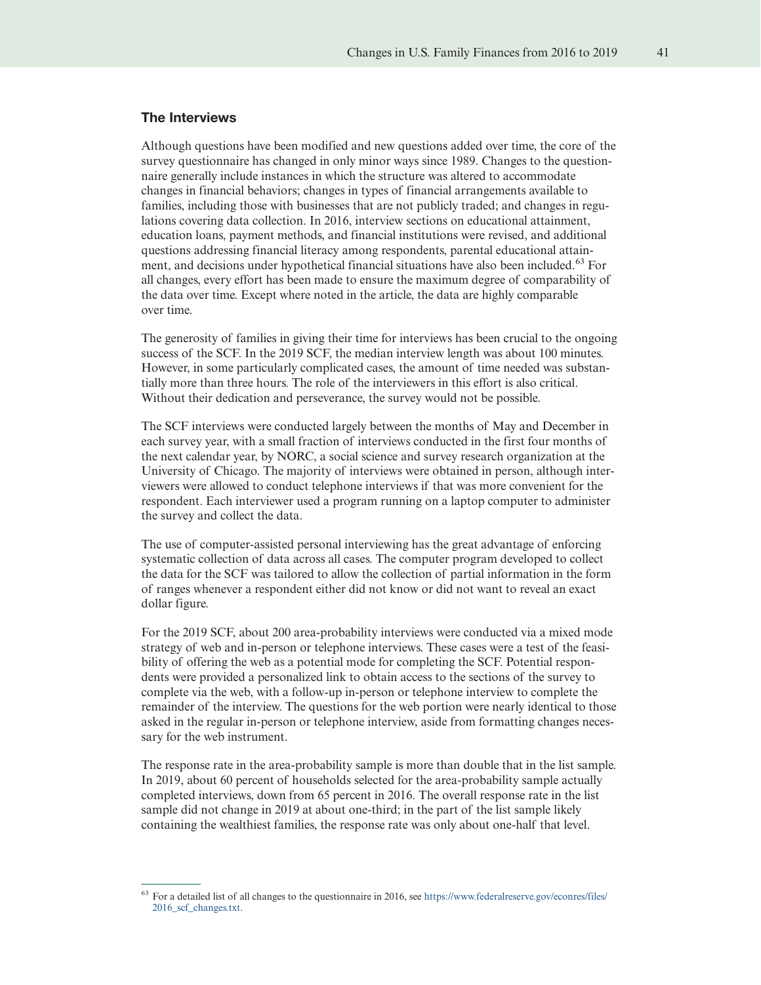#### The Interviews

Although questions have been modified and new questions added over time, the core of the survey questionnaire has changed in only minor ways since 1989. Changes to the questionnaire generally include instances in which the structure was altered to accommodate changes in financial behaviors; changes in types of financial arrangements available to families, including those with businesses that are not publicly traded; and changes in regulations covering data collection. In 2016, interview sections on educational attainment, education loans, payment methods, and financial institutions were revised, and additional questions addressing financial literacy among respondents, parental educational attainment, and decisions under hypothetical financial situations have also been included.<sup>63</sup> For all changes, every effort has been made to ensure the maximum degree of comparability of the data over time. Except where noted in the article, the data are highly comparable over time.

The generosity of families in giving their time for interviews has been crucial to the ongoing success of the SCF. In the 2019 SCF, the median interview length was about 100 minutes. However, in some particularly complicated cases, the amount of time needed was substantially more than three hours. The role of the interviewers in this effort is also critical. Without their dedication and perseverance, the survey would not be possible.

The SCF interviews were conducted largely between the months of May and December in each survey year, with a small fraction of interviews conducted in the first four months of the next calendar year, by NORC, a social science and survey research organization at the University of Chicago. The majority of interviews were obtained in person, although interviewers were allowed to conduct telephone interviews if that was more convenient for the respondent. Each interviewer used a program running on a laptop computer to administer the survey and collect the data.

The use of computer-assisted personal interviewing has the great advantage of enforcing systematic collection of data across all cases. The computer program developed to collect the data for the SCF was tailored to allow the collection of partial information in the form of ranges whenever a respondent either did not know or did not want to reveal an exact dollar figure.

For the 2019 SCF, about 200 area-probability interviews were conducted via a mixed mode strategy of web and in-person or telephone interviews. These cases were a test of the feasibility of offering the web as a potential mode for completing the SCF. Potential respondents were provided a personalized link to obtain access to the sections of the survey to complete via the web, with a follow-up in-person or telephone interview to complete the remainder of the interview. The questions for the web portion were nearly identical to those asked in the regular in-person or telephone interview, aside from formatting changes necessary for the web instrument.

The response rate in the area-probability sample is more than double that in the list sample. In 2019, about 60 percent of households selected for the area-probability sample actually completed interviews, down from 65 percent in 2016. The overall response rate in the list sample did not change in 2019 at about one-third; in the part of the list sample likely containing the wealthiest families, the response rate was only about one-half that level.

<sup>63</sup> For a detailed list of all changes to the questionnaire in 2016, see [https://www.federalreserve.gov/econres/files/](https://www.federalreserve.gov/econres/files/2016_scf_changes.txt) [2016\\_scf\\_changes.txt.](https://www.federalreserve.gov/econres/files/2016_scf_changes.txt)